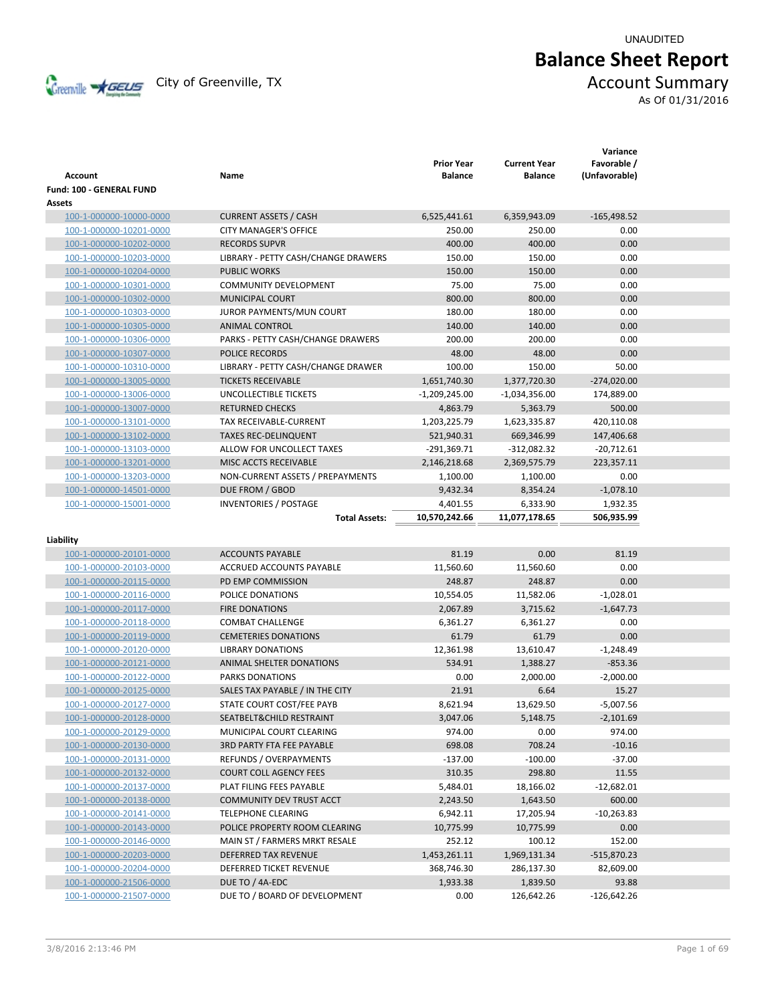UNAUDITED

# **Balance Sheet Report**

Creenville **AGEUS** City of Greenville, TX **ACCOUNT** Summary

As Of 01/31/2016

| Account                  | Name                                | <b>Prior Year</b><br><b>Balance</b> | <b>Current Year</b><br><b>Balance</b> | Variance<br>Favorable /<br>(Unfavorable) |  |
|--------------------------|-------------------------------------|-------------------------------------|---------------------------------------|------------------------------------------|--|
| Fund: 100 - GENERAL FUND |                                     |                                     |                                       |                                          |  |
| Assets                   |                                     |                                     |                                       |                                          |  |
| 100-1-000000-10000-0000  | <b>CURRENT ASSETS / CASH</b>        | 6,525,441.61                        | 6,359,943.09                          | $-165,498.52$                            |  |
| 100-1-000000-10201-0000  | <b>CITY MANAGER'S OFFICE</b>        | 250.00                              | 250.00                                | 0.00                                     |  |
| 100-1-000000-10202-0000  | <b>RECORDS SUPVR</b>                | 400.00                              | 400.00                                | 0.00                                     |  |
| 100-1-000000-10203-0000  | LIBRARY - PETTY CASH/CHANGE DRAWERS | 150.00                              | 150.00                                | 0.00                                     |  |
| 100-1-000000-10204-0000  | <b>PUBLIC WORKS</b>                 | 150.00                              | 150.00                                | 0.00                                     |  |
| 100-1-000000-10301-0000  | <b>COMMUNITY DEVELOPMENT</b>        | 75.00                               | 75.00                                 | 0.00                                     |  |
| 100-1-000000-10302-0000  | <b>MUNICIPAL COURT</b>              | 800.00                              | 800.00                                | 0.00                                     |  |
| 100-1-000000-10303-0000  | JUROR PAYMENTS/MUN COURT            | 180.00                              | 180.00                                | 0.00                                     |  |
| 100-1-000000-10305-0000  | <b>ANIMAL CONTROL</b>               | 140.00                              | 140.00                                | 0.00                                     |  |
| 100-1-000000-10306-0000  | PARKS - PETTY CASH/CHANGE DRAWERS   | 200.00                              | 200.00                                | 0.00                                     |  |
| 100-1-000000-10307-0000  | POLICE RECORDS                      | 48.00                               | 48.00                                 | 0.00                                     |  |
| 100-1-000000-10310-0000  | LIBRARY - PETTY CASH/CHANGE DRAWER  | 100.00                              | 150.00                                | 50.00                                    |  |
| 100-1-000000-13005-0000  | <b>TICKETS RECEIVABLE</b>           | 1,651,740.30                        | 1,377,720.30                          | $-274,020.00$                            |  |
| 100-1-000000-13006-0000  | UNCOLLECTIBLE TICKETS               | $-1,209,245.00$                     | $-1,034,356.00$                       | 174,889.00                               |  |
| 100-1-000000-13007-0000  | <b>RETURNED CHECKS</b>              | 4,863.79                            | 5,363.79                              | 500.00                                   |  |
| 100-1-000000-13101-0000  | TAX RECEIVABLE-CURRENT              | 1,203,225.79                        | 1,623,335.87                          | 420,110.08                               |  |
| 100-1-000000-13102-0000  | <b>TAXES REC-DELINQUENT</b>         | 521,940.31                          | 669,346.99                            | 147,406.68                               |  |
| 100-1-000000-13103-0000  | ALLOW FOR UNCOLLECT TAXES           | $-291,369.71$                       | $-312,082.32$                         | $-20,712.61$                             |  |
| 100-1-000000-13201-0000  | MISC ACCTS RECEIVABLE               | 2,146,218.68                        | 2,369,575.79                          | 223,357.11                               |  |
| 100-1-000000-13203-0000  | NON-CURRENT ASSETS / PREPAYMENTS    | 1,100.00                            | 1,100.00                              | 0.00                                     |  |
| 100-1-000000-14501-0000  | DUE FROM / GBOD                     | 9,432.34                            | 8,354.24                              | $-1,078.10$                              |  |
| 100-1-000000-15001-0000  | <b>INVENTORIES / POSTAGE</b>        | 4,401.55                            | 6,333.90                              | 1,932.35                                 |  |
|                          | <b>Total Assets:</b>                | 10,570,242.66                       | 11,077,178.65                         | 506,935.99                               |  |
|                          |                                     |                                     |                                       |                                          |  |
| Liability                |                                     |                                     |                                       |                                          |  |
| 100-1-000000-20101-0000  | <b>ACCOUNTS PAYABLE</b>             | 81.19                               | 0.00                                  | 81.19                                    |  |
| 100-1-000000-20103-0000  | <b>ACCRUED ACCOUNTS PAYABLE</b>     | 11,560.60                           | 11,560.60                             | 0.00                                     |  |
| 100-1-000000-20115-0000  | PD EMP COMMISSION                   | 248.87                              | 248.87                                | 0.00                                     |  |
| 100-1-000000-20116-0000  | POLICE DONATIONS                    | 10,554.05                           | 11,582.06                             | $-1,028.01$                              |  |
| 100-1-000000-20117-0000  | <b>FIRE DONATIONS</b>               | 2,067.89                            | 3,715.62                              | $-1,647.73$                              |  |
| 100-1-000000-20118-0000  | <b>COMBAT CHALLENGE</b>             | 6,361.27                            | 6,361.27                              | 0.00                                     |  |
| 100-1-000000-20119-0000  | <b>CEMETERIES DONATIONS</b>         | 61.79                               | 61.79                                 | 0.00                                     |  |
| 100-1-000000-20120-0000  | <b>LIBRARY DONATIONS</b>            | 12,361.98                           | 13,610.47                             | $-1,248.49$                              |  |
| 100-1-000000-20121-0000  | ANIMAL SHELTER DONATIONS            | 534.91                              | 1,388.27                              | $-853.36$                                |  |
| 100-1-000000-20122-0000  | PARKS DONATIONS                     | 0.00                                | 2,000.00                              | $-2,000.00$                              |  |
| 100-1-000000-20125-0000  | SALES TAX PAYABLE / IN THE CITY     | 21.91                               | 6.64                                  | 15.27                                    |  |
| 100-1-000000-20127-0000  | STATE COURT COST/FEE PAYB           | 8,621.94                            | 13,629.50                             | $-5,007.56$                              |  |
| 100-1-000000-20128-0000  | SEATBELT& CHILD RESTRAINT           | 3,047.06                            | 5,148.75                              | $-2,101.69$                              |  |
| 100-1-000000-20129-0000  | MUNICIPAL COURT CLEARING            | 974.00                              | 0.00                                  | 974.00                                   |  |
| 100-1-000000-20130-0000  | <b>3RD PARTY FTA FEE PAYABLE</b>    | 698.08                              | 708.24                                | $-10.16$                                 |  |
| 100-1-000000-20131-0000  | REFUNDS / OVERPAYMENTS              | $-137.00$                           | $-100.00$                             | $-37.00$                                 |  |
| 100-1-000000-20132-0000  | <b>COURT COLL AGENCY FEES</b>       | 310.35                              | 298.80                                | 11.55                                    |  |
| 100-1-000000-20137-0000  | PLAT FILING FEES PAYABLE            | 5,484.01                            | 18,166.02                             | $-12,682.01$                             |  |
| 100-1-000000-20138-0000  | COMMUNITY DEV TRUST ACCT            | 2,243.50                            | 1,643.50                              | 600.00                                   |  |
| 100-1-000000-20141-0000  | <b>TELEPHONE CLEARING</b>           | 6,942.11                            | 17,205.94                             | $-10,263.83$                             |  |
| 100-1-000000-20143-0000  | POLICE PROPERTY ROOM CLEARING       | 10,775.99                           | 10,775.99                             | 0.00                                     |  |
| 100-1-000000-20146-0000  | MAIN ST / FARMERS MRKT RESALE       | 252.12                              | 100.12                                | 152.00                                   |  |
| 100-1-000000-20203-0000  | DEFERRED TAX REVENUE                | 1,453,261.11                        | 1,969,131.34                          | $-515,870.23$                            |  |
| 100-1-000000-20204-0000  | DEFERRED TICKET REVENUE             | 368,746.30                          | 286,137.30                            | 82,609.00                                |  |
| 100-1-000000-21506-0000  | DUE TO / 4A-EDC                     | 1,933.38                            | 1,839.50                              | 93.88                                    |  |
| 100-1-000000-21507-0000  | DUE TO / BOARD OF DEVELOPMENT       | 0.00                                | 126,642.26                            | $-126,642.26$                            |  |
|                          |                                     |                                     |                                       |                                          |  |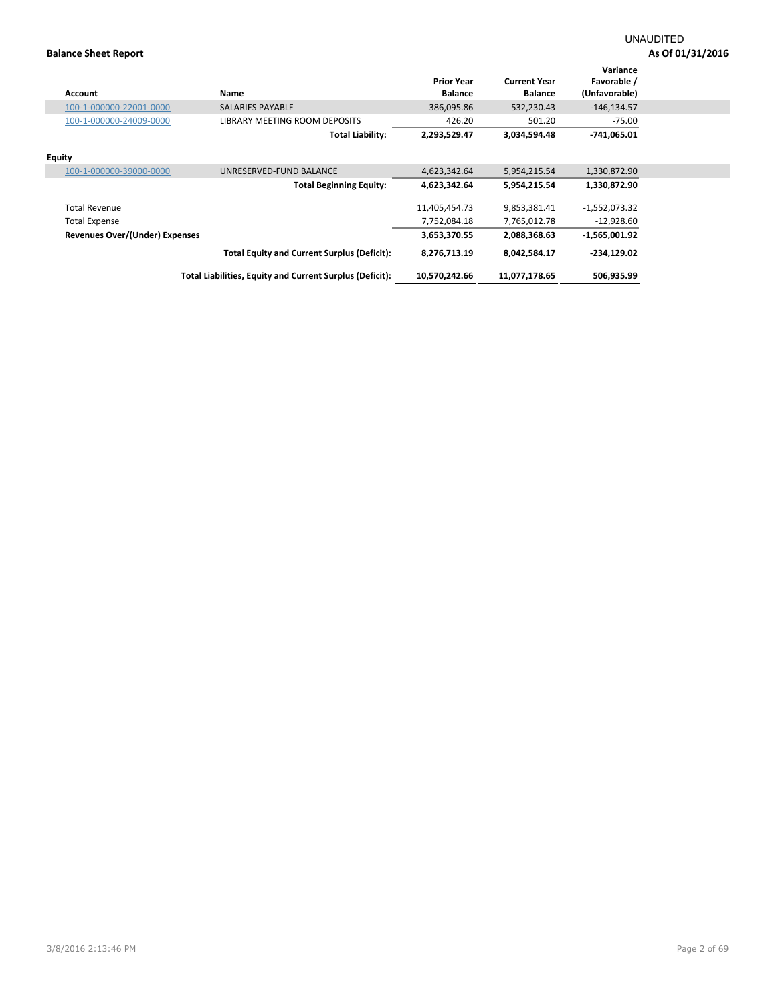| <b>Account</b>                 | Name                                                     | <b>Prior Year</b><br><b>Balance</b> | <b>Current Year</b><br><b>Balance</b> | Variance<br>Favorable /<br>(Unfavorable) |  |
|--------------------------------|----------------------------------------------------------|-------------------------------------|---------------------------------------|------------------------------------------|--|
| 100-1-000000-22001-0000        | <b>SALARIES PAYABLE</b>                                  | 386,095.86                          | 532,230.43                            | $-146, 134.57$                           |  |
| 100-1-000000-24009-0000        | LIBRARY MEETING ROOM DEPOSITS                            | 426.20                              | 501.20                                | $-75.00$                                 |  |
|                                | <b>Total Liability:</b>                                  | 2,293,529.47                        | 3,034,594.48                          | -741,065.01                              |  |
| <b>Equity</b>                  |                                                          |                                     |                                       |                                          |  |
| 100-1-000000-39000-0000        | UNRESERVED-FUND BALANCE                                  | 4,623,342.64                        | 5,954,215.54                          | 1,330,872.90                             |  |
|                                | <b>Total Beginning Equity:</b>                           | 4,623,342.64                        | 5,954,215.54                          | 1,330,872.90                             |  |
| <b>Total Revenue</b>           |                                                          | 11,405,454.73                       | 9,853,381.41                          | $-1,552,073.32$                          |  |
| <b>Total Expense</b>           |                                                          | 7,752,084.18                        | 7,765,012.78                          | $-12,928.60$                             |  |
| Revenues Over/(Under) Expenses |                                                          | 3,653,370.55                        | 2,088,368.63                          | $-1,565,001.92$                          |  |
|                                | <b>Total Equity and Current Surplus (Deficit):</b>       | 8,276,713.19                        | 8,042,584.17                          | -234,129.02                              |  |
|                                | Total Liabilities, Equity and Current Surplus (Deficit): | 10.570.242.66                       | 11,077,178.65                         | 506,935.99                               |  |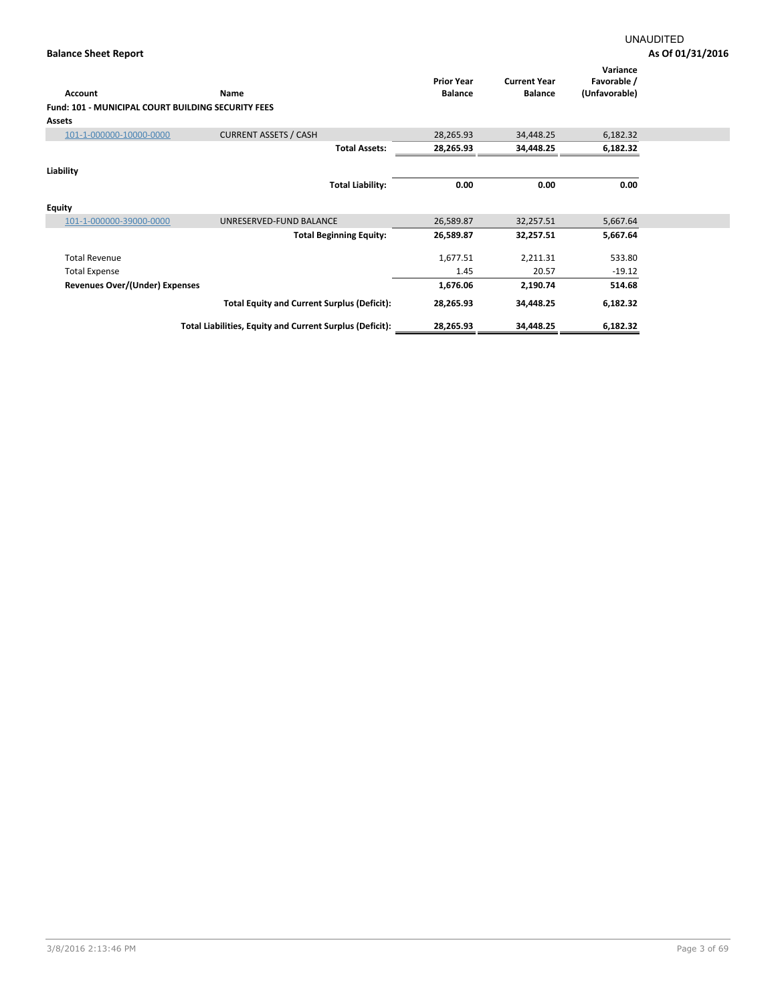| Account                                                   | Name                                                     | <b>Prior Year</b><br><b>Balance</b> | <b>Current Year</b><br><b>Balance</b> | Variance<br>Favorable /<br>(Unfavorable) |  |
|-----------------------------------------------------------|----------------------------------------------------------|-------------------------------------|---------------------------------------|------------------------------------------|--|
| <b>Fund: 101 - MUNICIPAL COURT BUILDING SECURITY FEES</b> |                                                          |                                     |                                       |                                          |  |
| <b>Assets</b>                                             |                                                          |                                     |                                       |                                          |  |
| 101-1-000000-10000-0000                                   | <b>CURRENT ASSETS / CASH</b>                             | 28,265.93                           | 34,448.25                             | 6,182.32                                 |  |
|                                                           | <b>Total Assets:</b>                                     | 28,265.93                           | 34,448.25                             | 6,182.32                                 |  |
| Liability                                                 |                                                          |                                     |                                       |                                          |  |
|                                                           | <b>Total Liability:</b>                                  | 0.00                                | 0.00                                  | 0.00                                     |  |
| <b>Equity</b>                                             |                                                          |                                     |                                       |                                          |  |
| 101-1-000000-39000-0000                                   | UNRESERVED-FUND BALANCE                                  | 26,589.87                           | 32,257.51                             | 5,667.64                                 |  |
|                                                           | <b>Total Beginning Equity:</b>                           | 26,589.87                           | 32,257.51                             | 5,667.64                                 |  |
| <b>Total Revenue</b>                                      |                                                          | 1,677.51                            | 2,211.31                              | 533.80                                   |  |
| <b>Total Expense</b>                                      |                                                          | 1.45                                | 20.57                                 | $-19.12$                                 |  |
| Revenues Over/(Under) Expenses                            |                                                          | 1,676.06                            | 2,190.74                              | 514.68                                   |  |
|                                                           | <b>Total Equity and Current Surplus (Deficit):</b>       | 28,265.93                           | 34,448.25                             | 6,182.32                                 |  |
|                                                           | Total Liabilities, Equity and Current Surplus (Deficit): | 28,265.93                           | 34,448.25                             | 6,182.32                                 |  |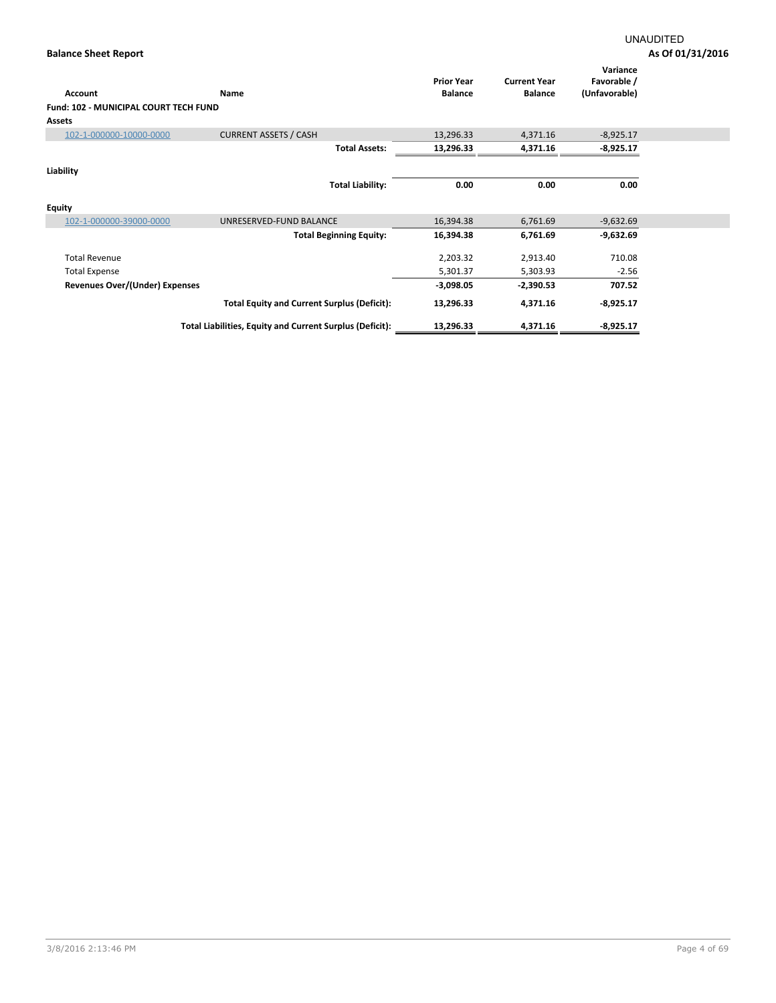| Account                               | Name                                                     | <b>Prior Year</b><br><b>Balance</b> | <b>Current Year</b><br><b>Balance</b> | Variance<br>Favorable /<br>(Unfavorable) |  |
|---------------------------------------|----------------------------------------------------------|-------------------------------------|---------------------------------------|------------------------------------------|--|
| Fund: 102 - MUNICIPAL COURT TECH FUND |                                                          |                                     |                                       |                                          |  |
| <b>Assets</b>                         |                                                          |                                     |                                       |                                          |  |
|                                       | <b>CURRENT ASSETS / CASH</b>                             |                                     |                                       |                                          |  |
| 102-1-000000-10000-0000               |                                                          | 13,296.33                           | 4,371.16                              | $-8,925.17$                              |  |
|                                       | <b>Total Assets:</b>                                     | 13,296.33                           | 4,371.16                              | $-8,925.17$                              |  |
| Liability                             |                                                          |                                     |                                       |                                          |  |
|                                       | <b>Total Liability:</b>                                  | 0.00                                | 0.00                                  | 0.00                                     |  |
| Equity                                |                                                          |                                     |                                       |                                          |  |
| 102-1-000000-39000-0000               | UNRESERVED-FUND BALANCE                                  | 16,394.38                           | 6,761.69                              | $-9,632.69$                              |  |
|                                       | <b>Total Beginning Equity:</b>                           | 16,394.38                           | 6,761.69                              | $-9,632.69$                              |  |
| <b>Total Revenue</b>                  |                                                          | 2,203.32                            | 2,913.40                              | 710.08                                   |  |
| <b>Total Expense</b>                  |                                                          | 5,301.37                            | 5,303.93                              | $-2.56$                                  |  |
| <b>Revenues Over/(Under) Expenses</b> |                                                          | $-3,098.05$                         | $-2,390.53$                           | 707.52                                   |  |
|                                       | <b>Total Equity and Current Surplus (Deficit):</b>       | 13,296.33                           | 4,371.16                              | $-8,925.17$                              |  |
|                                       | Total Liabilities, Equity and Current Surplus (Deficit): | 13,296.33                           | 4,371.16                              | $-8,925.17$                              |  |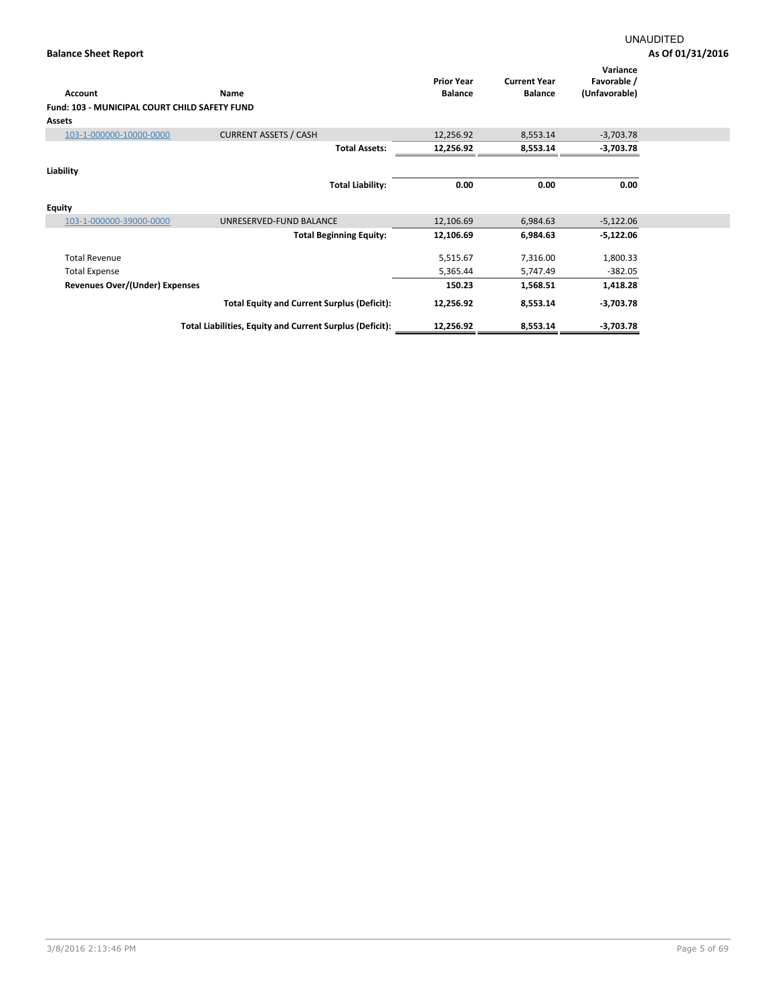| Account                                       | Name                                                     | <b>Prior Year</b><br><b>Balance</b> | <b>Current Year</b><br><b>Balance</b> | Variance<br>Favorable /<br>(Unfavorable) |
|-----------------------------------------------|----------------------------------------------------------|-------------------------------------|---------------------------------------|------------------------------------------|
| Fund: 103 - MUNICIPAL COURT CHILD SAFETY FUND |                                                          |                                     |                                       |                                          |
| <b>Assets</b>                                 |                                                          |                                     |                                       |                                          |
| 103-1-000000-10000-0000                       | <b>CURRENT ASSETS / CASH</b>                             | 12,256.92                           | 8,553.14                              | $-3,703.78$                              |
|                                               | <b>Total Assets:</b>                                     | 12,256.92                           | 8,553.14                              | $-3,703.78$                              |
|                                               |                                                          |                                     |                                       |                                          |
| Liability                                     |                                                          |                                     |                                       |                                          |
|                                               | <b>Total Liability:</b>                                  | 0.00                                | 0.00                                  | 0.00                                     |
| <b>Equity</b>                                 |                                                          |                                     |                                       |                                          |
| 103-1-000000-39000-0000                       | UNRESERVED-FUND BALANCE                                  | 12,106.69                           | 6,984.63                              | $-5,122.06$                              |
|                                               | <b>Total Beginning Equity:</b>                           | 12,106.69                           | 6,984.63                              | $-5,122.06$                              |
| <b>Total Revenue</b>                          |                                                          | 5,515.67                            | 7,316.00                              | 1,800.33                                 |
| <b>Total Expense</b>                          |                                                          | 5,365.44                            | 5,747.49                              | $-382.05$                                |
| Revenues Over/(Under) Expenses                |                                                          | 150.23                              | 1,568.51                              | 1,418.28                                 |
|                                               | <b>Total Equity and Current Surplus (Deficit):</b>       | 12,256.92                           | 8,553.14                              | $-3,703.78$                              |
|                                               | Total Liabilities, Equity and Current Surplus (Deficit): | 12,256.92                           | 8,553.14                              | $-3,703.78$                              |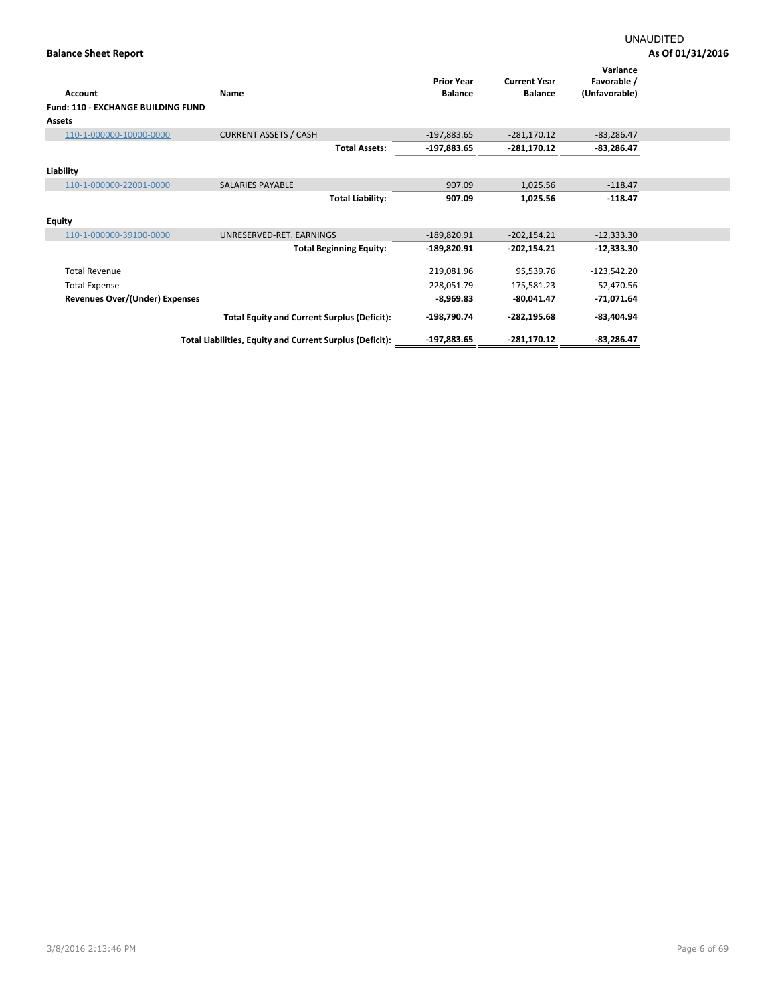|                                           |                                                          | <b>Prior Year</b> | <b>Current Year</b> | Variance<br>Favorable / |  |
|-------------------------------------------|----------------------------------------------------------|-------------------|---------------------|-------------------------|--|
| Account                                   | Name                                                     | <b>Balance</b>    | <b>Balance</b>      | (Unfavorable)           |  |
| <b>Fund: 110 - EXCHANGE BUILDING FUND</b> |                                                          |                   |                     |                         |  |
| <b>Assets</b>                             |                                                          |                   |                     |                         |  |
| 110-1-000000-10000-0000                   | <b>CURRENT ASSETS / CASH</b>                             | $-197,883.65$     | $-281,170.12$       | $-83,286.47$            |  |
|                                           | <b>Total Assets:</b>                                     | $-197,883.65$     | $-281,170.12$       | $-83,286.47$            |  |
| Liability                                 |                                                          |                   |                     |                         |  |
| 110-1-000000-22001-0000                   | <b>SALARIES PAYABLE</b>                                  | 907.09            | 1,025.56            | $-118.47$               |  |
|                                           | <b>Total Liability:</b>                                  | 907.09            | 1,025.56            | $-118.47$               |  |
|                                           |                                                          |                   |                     |                         |  |
| <b>Equity</b>                             |                                                          |                   |                     |                         |  |
| 110-1-000000-39100-0000                   | UNRESERVED-RET. EARNINGS                                 | $-189,820.91$     | $-202,154.21$       | $-12,333.30$            |  |
|                                           | <b>Total Beginning Equity:</b>                           | $-189,820.91$     | $-202,154.21$       | $-12,333.30$            |  |
| <b>Total Revenue</b>                      |                                                          | 219,081.96        | 95,539.76           | $-123,542.20$           |  |
| <b>Total Expense</b>                      |                                                          | 228,051.79        | 175,581.23          | 52,470.56               |  |
| <b>Revenues Over/(Under) Expenses</b>     |                                                          | $-8,969.83$       | $-80,041.47$        | $-71,071.64$            |  |
|                                           | <b>Total Equity and Current Surplus (Deficit):</b>       | -198,790.74       | $-282, 195.68$      | $-83,404.94$            |  |
|                                           | Total Liabilities, Equity and Current Surplus (Deficit): | $-197,883.65$     | $-281,170.12$       | $-83,286.47$            |  |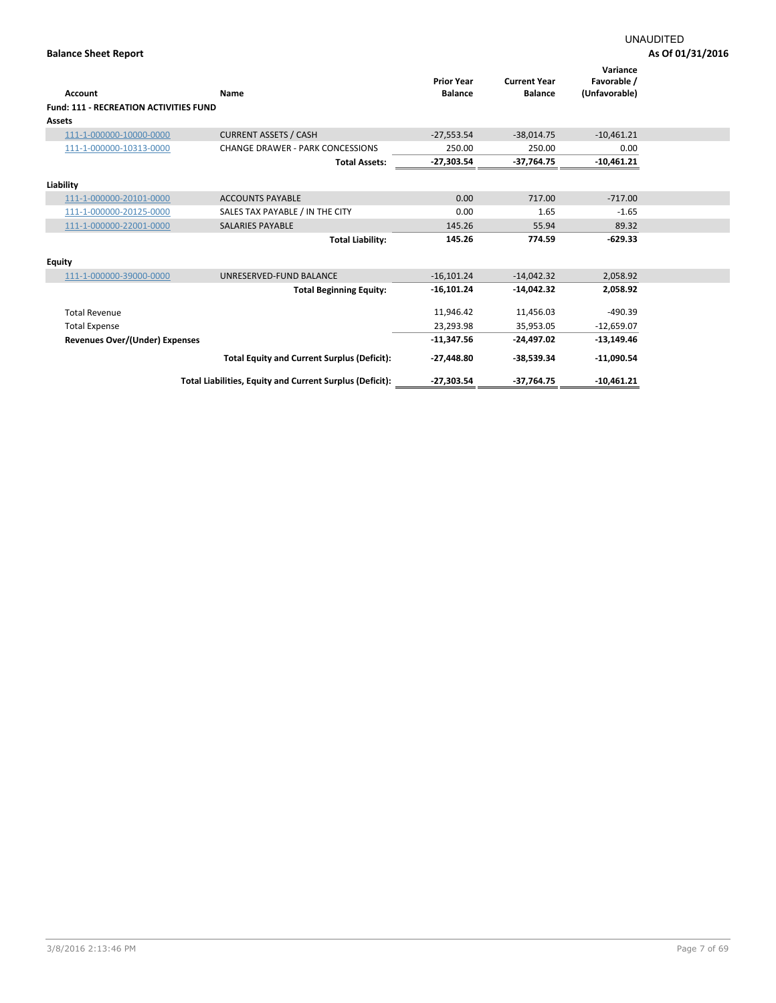| <b>Account</b>                                | <b>Name</b>                                              | <b>Prior Year</b><br><b>Balance</b> | <b>Current Year</b><br><b>Balance</b> | Variance<br>Favorable /<br>(Unfavorable) |
|-----------------------------------------------|----------------------------------------------------------|-------------------------------------|---------------------------------------|------------------------------------------|
| <b>Fund: 111 - RECREATION ACTIVITIES FUND</b> |                                                          |                                     |                                       |                                          |
| <b>Assets</b>                                 |                                                          |                                     |                                       |                                          |
| 111-1-000000-10000-0000                       | <b>CURRENT ASSETS / CASH</b>                             | $-27,553.54$                        | $-38,014.75$                          | $-10,461.21$                             |
| 111-1-000000-10313-0000                       | <b>CHANGE DRAWER - PARK CONCESSIONS</b>                  | 250.00                              | 250.00                                | 0.00                                     |
|                                               | <b>Total Assets:</b>                                     | $-27,303.54$                        | $-37,764.75$                          | $-10,461.21$                             |
|                                               |                                                          |                                     |                                       |                                          |
| Liability                                     |                                                          |                                     |                                       |                                          |
| 111-1-000000-20101-0000                       | <b>ACCOUNTS PAYABLE</b>                                  | 0.00                                | 717.00                                | $-717.00$                                |
| 111-1-000000-20125-0000                       | SALES TAX PAYABLE / IN THE CITY                          | 0.00                                | 1.65                                  | $-1.65$                                  |
| 111-1-000000-22001-0000                       | <b>SALARIES PAYABLE</b>                                  | 145.26                              | 55.94                                 | 89.32                                    |
|                                               | <b>Total Liability:</b>                                  | 145.26                              | 774.59                                | $-629.33$                                |
|                                               |                                                          |                                     |                                       |                                          |
| <b>Equity</b>                                 |                                                          |                                     |                                       |                                          |
| 111-1-000000-39000-0000                       | UNRESERVED-FUND BALANCE                                  | $-16,101.24$                        | $-14,042.32$                          | 2,058.92                                 |
|                                               | <b>Total Beginning Equity:</b>                           | $-16,101.24$                        | $-14,042.32$                          | 2,058.92                                 |
| <b>Total Revenue</b>                          |                                                          | 11,946.42                           | 11,456.03                             | $-490.39$                                |
| <b>Total Expense</b>                          |                                                          | 23,293.98                           | 35,953.05                             | $-12,659.07$                             |
|                                               |                                                          |                                     |                                       |                                          |
| <b>Revenues Over/(Under) Expenses</b>         |                                                          | $-11,347.56$                        | $-24,497.02$                          | $-13,149.46$                             |
|                                               | <b>Total Equity and Current Surplus (Deficit):</b>       | $-27,448.80$                        | $-38,539.34$                          | $-11,090.54$                             |
|                                               | Total Liabilities, Equity and Current Surplus (Deficit): | $-27,303.54$                        | $-37,764.75$                          | $-10,461.21$                             |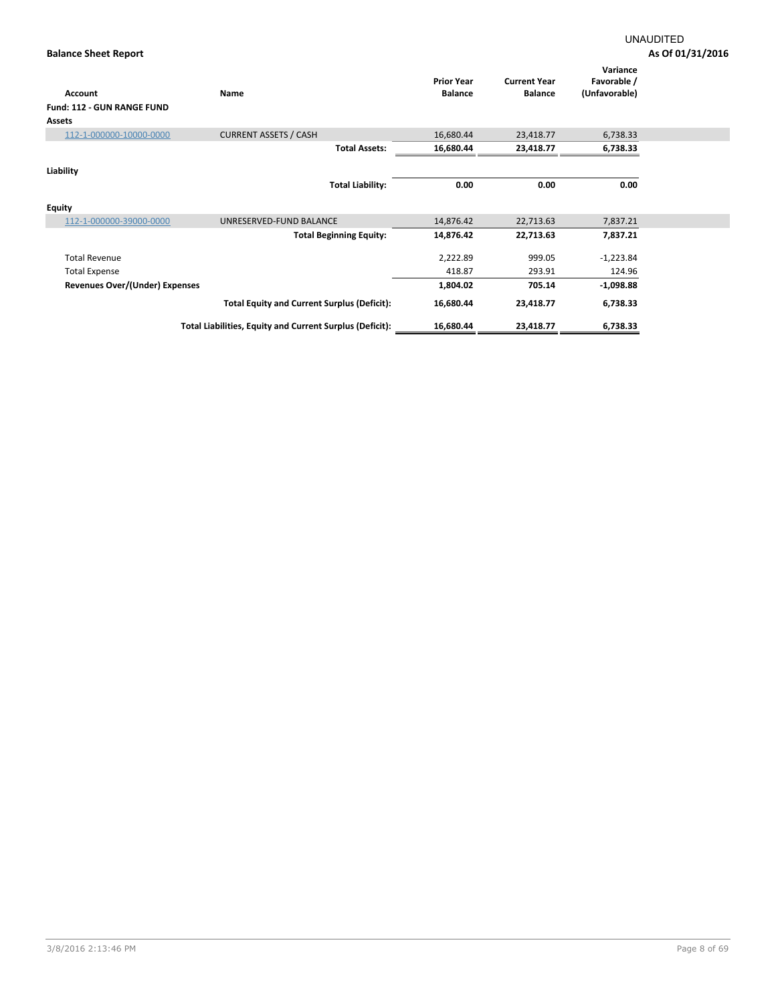| Account                           | Name                                                     | <b>Prior Year</b><br><b>Balance</b> | <b>Current Year</b><br><b>Balance</b> | Variance<br>Favorable /<br>(Unfavorable) |  |
|-----------------------------------|----------------------------------------------------------|-------------------------------------|---------------------------------------|------------------------------------------|--|
| <b>Fund: 112 - GUN RANGE FUND</b> |                                                          |                                     |                                       |                                          |  |
| Assets                            |                                                          |                                     |                                       |                                          |  |
| 112-1-000000-10000-0000           | <b>CURRENT ASSETS / CASH</b>                             | 16,680.44                           | 23,418.77                             | 6,738.33                                 |  |
|                                   | <b>Total Assets:</b>                                     | 16,680.44                           | 23,418.77                             | 6,738.33                                 |  |
| Liability                         |                                                          |                                     |                                       |                                          |  |
|                                   | <b>Total Liability:</b>                                  | 0.00                                | 0.00                                  | 0.00                                     |  |
| <b>Equity</b>                     |                                                          |                                     |                                       |                                          |  |
| 112-1-000000-39000-0000           | UNRESERVED-FUND BALANCE                                  | 14,876.42                           | 22,713.63                             | 7,837.21                                 |  |
|                                   | <b>Total Beginning Equity:</b>                           | 14,876.42                           | 22,713.63                             | 7,837.21                                 |  |
| <b>Total Revenue</b>              |                                                          | 2,222.89                            | 999.05                                | $-1,223.84$                              |  |
| <b>Total Expense</b>              |                                                          | 418.87                              | 293.91                                | 124.96                                   |  |
| Revenues Over/(Under) Expenses    |                                                          | 1,804.02                            | 705.14                                | $-1,098.88$                              |  |
|                                   | <b>Total Equity and Current Surplus (Deficit):</b>       | 16,680.44                           | 23,418.77                             | 6,738.33                                 |  |
|                                   | Total Liabilities, Equity and Current Surplus (Deficit): | 16,680.44                           | 23,418.77                             | 6,738.33                                 |  |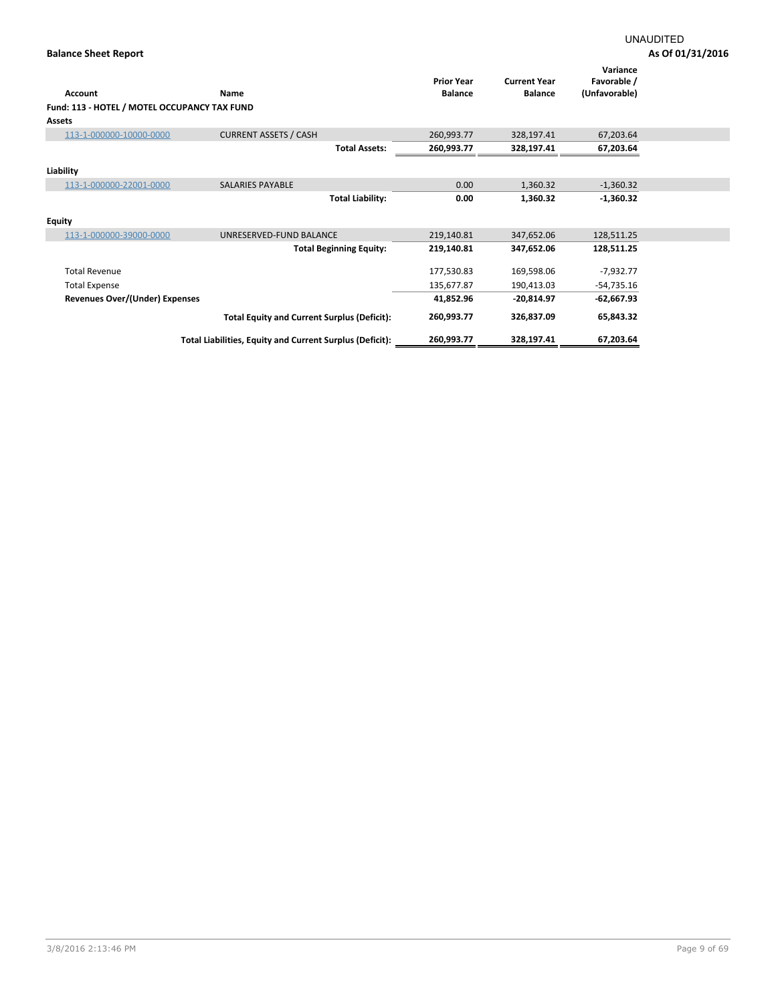# UNAUDITED

|                                              |                                                          | <b>Prior Year</b> | <b>Current Year</b> | Variance<br>Favorable / |  |
|----------------------------------------------|----------------------------------------------------------|-------------------|---------------------|-------------------------|--|
| <b>Account</b>                               | Name                                                     | <b>Balance</b>    | <b>Balance</b>      | (Unfavorable)           |  |
| Fund: 113 - HOTEL / MOTEL OCCUPANCY TAX FUND |                                                          |                   |                     |                         |  |
| <b>Assets</b>                                |                                                          |                   |                     |                         |  |
| 113-1-000000-10000-0000                      | <b>CURRENT ASSETS / CASH</b>                             | 260,993.77        | 328,197.41          | 67,203.64               |  |
|                                              | <b>Total Assets:</b>                                     | 260,993.77        | 328,197.41          | 67,203.64               |  |
| Liability                                    |                                                          |                   |                     |                         |  |
| 113-1-000000-22001-0000                      | <b>SALARIES PAYABLE</b>                                  | 0.00              | 1,360.32            | $-1,360.32$             |  |
|                                              | <b>Total Liability:</b>                                  | 0.00              | 1,360.32            | $-1,360.32$             |  |
| <b>Equity</b>                                |                                                          |                   |                     |                         |  |
| 113-1-000000-39000-0000                      | UNRESERVED-FUND BALANCE                                  | 219,140.81        | 347,652.06          | 128,511.25              |  |
|                                              | <b>Total Beginning Equity:</b>                           | 219,140.81        | 347,652.06          | 128,511.25              |  |
| <b>Total Revenue</b>                         |                                                          | 177,530.83        | 169,598.06          | $-7,932.77$             |  |
| <b>Total Expense</b>                         |                                                          | 135,677.87        | 190,413.03          | $-54,735.16$            |  |
| Revenues Over/(Under) Expenses               |                                                          | 41,852.96         | $-20,814.97$        | -62,667.93              |  |
|                                              | <b>Total Equity and Current Surplus (Deficit):</b>       | 260,993.77        | 326,837.09          | 65,843.32               |  |
|                                              | Total Liabilities, Equity and Current Surplus (Deficit): | 260,993.77        | 328,197.41          | 67,203.64               |  |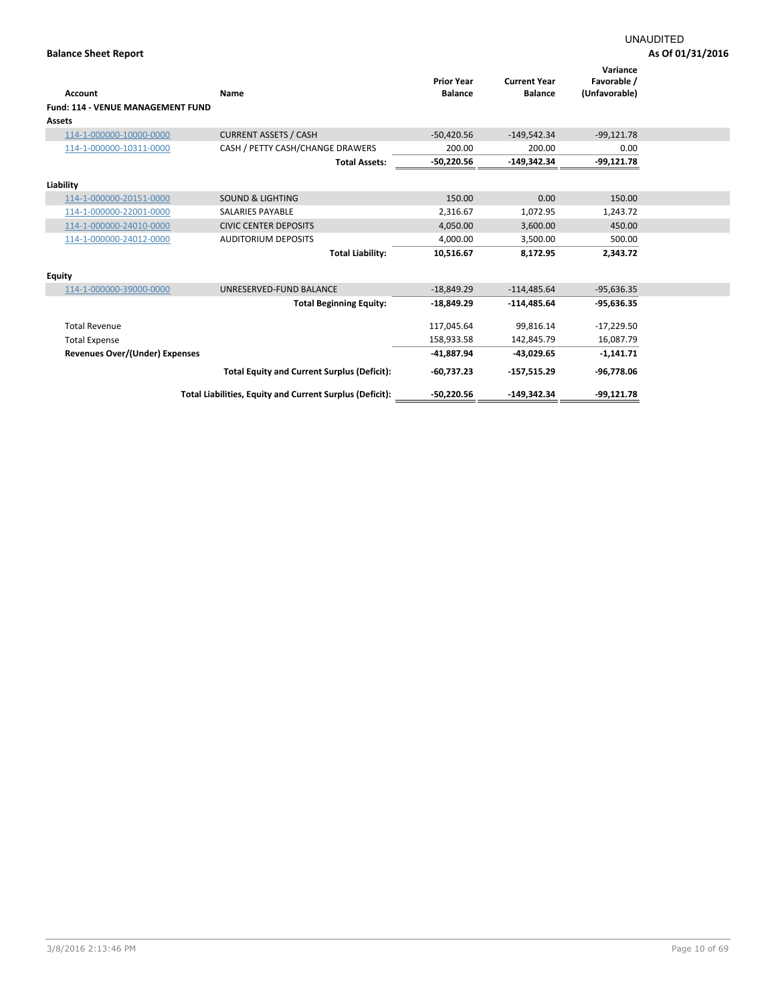| <b>Account</b><br><b>Fund: 114 - VENUE MANAGEMENT FUND</b><br><b>Assets</b> | Name                                                     | <b>Prior Year</b><br><b>Balance</b> | <b>Current Year</b><br><b>Balance</b> | Variance<br>Favorable /<br>(Unfavorable) |  |
|-----------------------------------------------------------------------------|----------------------------------------------------------|-------------------------------------|---------------------------------------|------------------------------------------|--|
| 114-1-000000-10000-0000                                                     | <b>CURRENT ASSETS / CASH</b>                             | $-50,420.56$                        | $-149,542.34$                         | $-99,121.78$                             |  |
| 114-1-000000-10311-0000                                                     | CASH / PETTY CASH/CHANGE DRAWERS                         | 200.00                              | 200.00                                | 0.00                                     |  |
|                                                                             | <b>Total Assets:</b>                                     | $-50,220.56$                        | $-149,342.34$                         | $-99,121.78$                             |  |
| Liability                                                                   |                                                          |                                     |                                       |                                          |  |
| 114-1-000000-20151-0000                                                     | <b>SOUND &amp; LIGHTING</b>                              | 150.00                              | 0.00                                  | 150.00                                   |  |
| 114-1-000000-22001-0000                                                     | <b>SALARIES PAYABLE</b>                                  | 2,316.67                            | 1,072.95                              | 1,243.72                                 |  |
| 114-1-000000-24010-0000                                                     | <b>CIVIC CENTER DEPOSITS</b>                             | 4,050.00                            | 3,600.00                              | 450.00                                   |  |
| 114-1-000000-24012-0000                                                     | <b>AUDITORIUM DEPOSITS</b>                               | 4,000.00                            | 3,500.00                              | 500.00                                   |  |
|                                                                             | <b>Total Liability:</b>                                  | 10,516.67                           | 8,172.95                              | 2,343.72                                 |  |
| <b>Equity</b>                                                               |                                                          |                                     |                                       |                                          |  |
| 114-1-000000-39000-0000                                                     | UNRESERVED-FUND BALANCE                                  | $-18,849.29$                        | $-114,485.64$                         | $-95,636.35$                             |  |
|                                                                             | <b>Total Beginning Equity:</b>                           | $-18,849.29$                        | $-114,485.64$                         | $-95,636.35$                             |  |
| <b>Total Revenue</b>                                                        |                                                          | 117,045.64                          | 99,816.14                             | $-17,229.50$                             |  |
| <b>Total Expense</b>                                                        |                                                          | 158,933.58                          | 142,845.79                            | 16,087.79                                |  |
| Revenues Over/(Under) Expenses                                              |                                                          | $-41,887.94$                        | $-43,029.65$                          | $-1,141.71$                              |  |
|                                                                             | <b>Total Equity and Current Surplus (Deficit):</b>       | $-60,737.23$                        | $-157,515.29$                         | -96,778.06                               |  |
|                                                                             | Total Liabilities, Equity and Current Surplus (Deficit): | $-50,220.56$                        | $-149,342.34$                         | $-99,121.78$                             |  |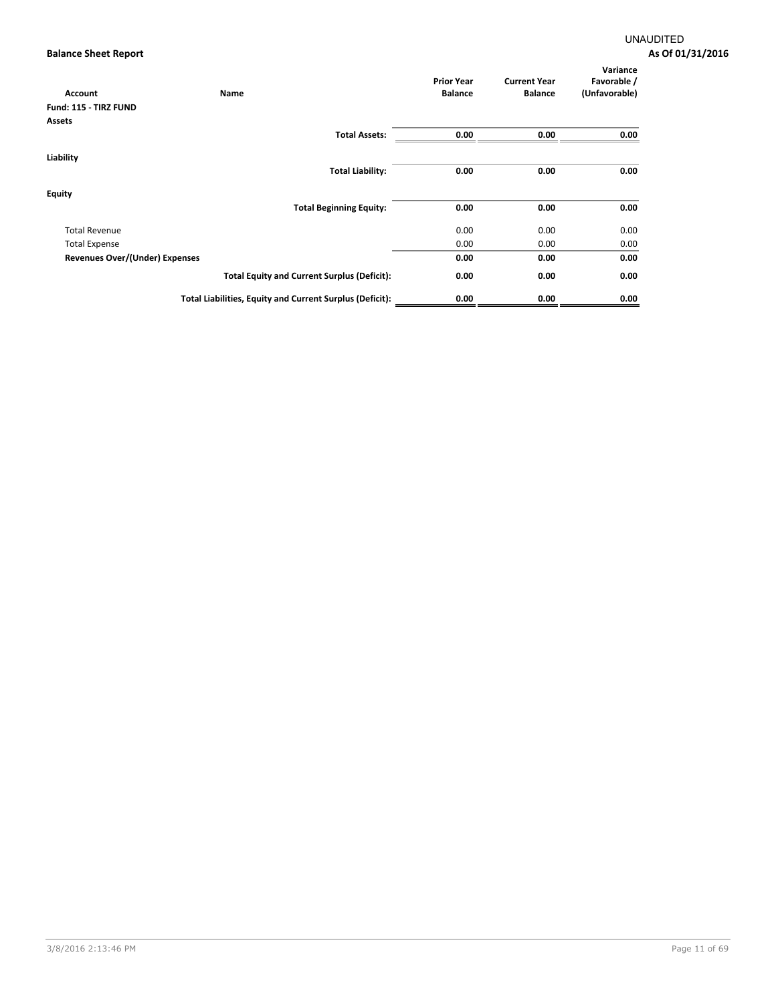| <b>Account</b>                 | Name                                                     | <b>Prior Year</b><br><b>Balance</b> | <b>Current Year</b><br><b>Balance</b> | Variance<br>Favorable /<br>(Unfavorable) |
|--------------------------------|----------------------------------------------------------|-------------------------------------|---------------------------------------|------------------------------------------|
| Fund: 115 - TIRZ FUND          |                                                          |                                     |                                       |                                          |
| <b>Assets</b>                  |                                                          |                                     |                                       |                                          |
|                                | <b>Total Assets:</b>                                     | 0.00                                | 0.00                                  | 0.00                                     |
| Liability                      |                                                          |                                     |                                       |                                          |
|                                | <b>Total Liability:</b>                                  | 0.00                                | 0.00                                  | 0.00                                     |
| <b>Equity</b>                  |                                                          |                                     |                                       |                                          |
|                                | <b>Total Beginning Equity:</b>                           | 0.00                                | 0.00                                  | 0.00                                     |
| <b>Total Revenue</b>           |                                                          | 0.00                                | 0.00                                  | 0.00                                     |
| <b>Total Expense</b>           |                                                          | 0.00                                | 0.00                                  | 0.00                                     |
| Revenues Over/(Under) Expenses |                                                          | 0.00                                | 0.00                                  | 0.00                                     |
|                                | <b>Total Equity and Current Surplus (Deficit):</b>       | 0.00                                | 0.00                                  | 0.00                                     |
|                                | Total Liabilities, Equity and Current Surplus (Deficit): | 0.00                                | 0.00                                  | 0.00                                     |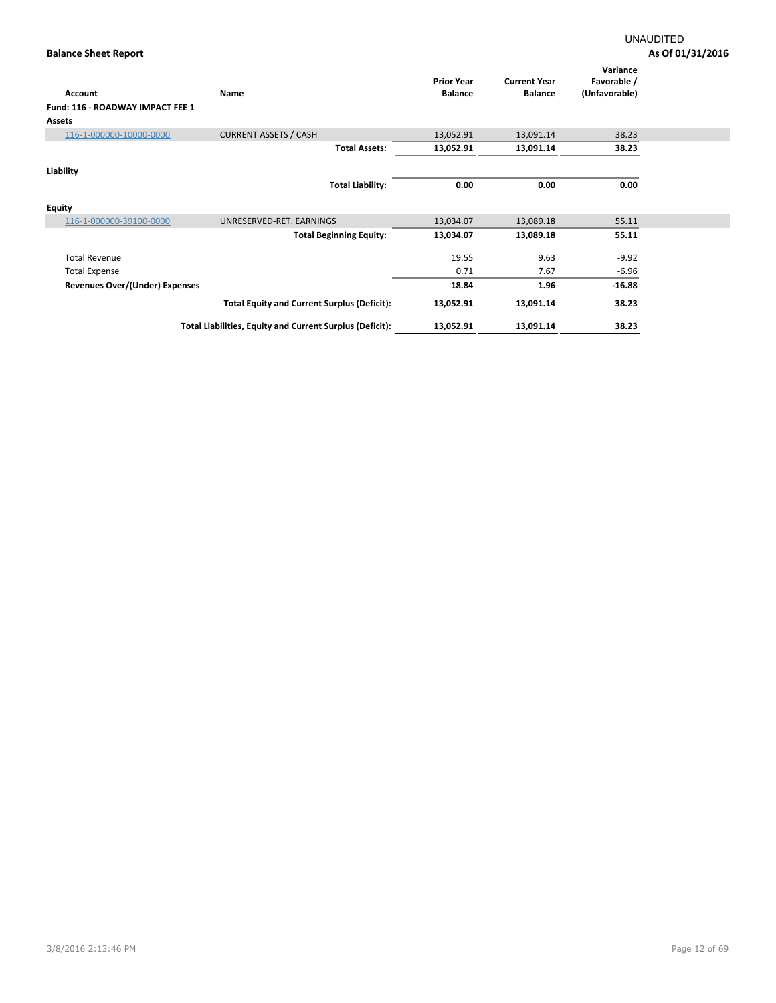| Account                          | Name                                                     | <b>Prior Year</b><br><b>Balance</b> | <b>Current Year</b><br><b>Balance</b> | Variance<br>Favorable /<br>(Unfavorable) |  |
|----------------------------------|----------------------------------------------------------|-------------------------------------|---------------------------------------|------------------------------------------|--|
| Fund: 116 - ROADWAY IMPACT FEE 1 |                                                          |                                     |                                       |                                          |  |
| Assets                           |                                                          |                                     |                                       |                                          |  |
| 116-1-000000-10000-0000          | <b>CURRENT ASSETS / CASH</b>                             | 13,052.91                           | 13,091.14                             | 38.23                                    |  |
|                                  | <b>Total Assets:</b>                                     | 13,052.91                           | 13,091.14                             | 38.23                                    |  |
| Liability                        |                                                          |                                     |                                       |                                          |  |
|                                  | <b>Total Liability:</b>                                  | 0.00                                | 0.00                                  | 0.00                                     |  |
| <b>Equity</b>                    |                                                          |                                     |                                       |                                          |  |
| 116-1-000000-39100-0000          | UNRESERVED-RET. EARNINGS                                 | 13,034.07                           | 13,089.18                             | 55.11                                    |  |
|                                  | <b>Total Beginning Equity:</b>                           | 13,034.07                           | 13,089.18                             | 55.11                                    |  |
| <b>Total Revenue</b>             |                                                          | 19.55                               | 9.63                                  | $-9.92$                                  |  |
| <b>Total Expense</b>             |                                                          | 0.71                                | 7.67                                  | $-6.96$                                  |  |
| Revenues Over/(Under) Expenses   |                                                          | 18.84                               | 1.96                                  | $-16.88$                                 |  |
|                                  | <b>Total Equity and Current Surplus (Deficit):</b>       | 13,052.91                           | 13,091.14                             | 38.23                                    |  |
|                                  | Total Liabilities, Equity and Current Surplus (Deficit): | 13,052.91                           | 13,091.14                             | 38.23                                    |  |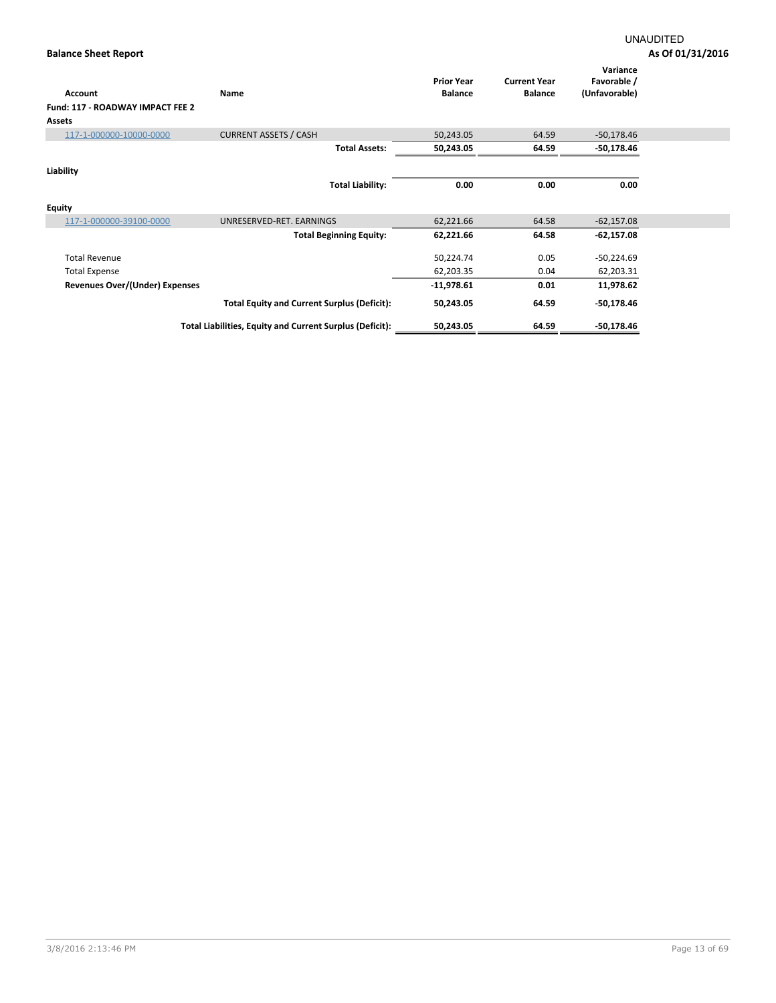| Account                                 | Name                                                     | <b>Prior Year</b><br><b>Balance</b> | <b>Current Year</b><br><b>Balance</b> | Variance<br>Favorable /<br>(Unfavorable) |  |
|-----------------------------------------|----------------------------------------------------------|-------------------------------------|---------------------------------------|------------------------------------------|--|
| <b>Fund: 117 - ROADWAY IMPACT FEE 2</b> |                                                          |                                     |                                       |                                          |  |
| <b>Assets</b>                           |                                                          |                                     |                                       |                                          |  |
| 117-1-000000-10000-0000                 | <b>CURRENT ASSETS / CASH</b>                             | 50,243.05                           | 64.59                                 | $-50,178.46$                             |  |
|                                         | <b>Total Assets:</b>                                     | 50,243.05                           | 64.59                                 | $-50,178.46$                             |  |
| Liability                               |                                                          |                                     |                                       |                                          |  |
|                                         | <b>Total Liability:</b>                                  | 0.00                                | 0.00                                  | 0.00                                     |  |
| <b>Equity</b>                           |                                                          |                                     |                                       |                                          |  |
| 117-1-000000-39100-0000                 | UNRESERVED-RET. EARNINGS                                 | 62,221.66                           | 64.58                                 | $-62,157.08$                             |  |
|                                         | <b>Total Beginning Equity:</b>                           | 62,221.66                           | 64.58                                 | $-62,157.08$                             |  |
| <b>Total Revenue</b>                    |                                                          | 50,224.74                           | 0.05                                  | $-50,224.69$                             |  |
| <b>Total Expense</b>                    |                                                          | 62,203.35                           | 0.04                                  | 62,203.31                                |  |
| Revenues Over/(Under) Expenses          |                                                          | $-11,978.61$                        | 0.01                                  | 11,978.62                                |  |
|                                         | <b>Total Equity and Current Surplus (Deficit):</b>       | 50,243.05                           | 64.59                                 | -50,178.46                               |  |
|                                         | Total Liabilities, Equity and Current Surplus (Deficit): | 50,243.05                           | 64.59                                 | $-50,178.46$                             |  |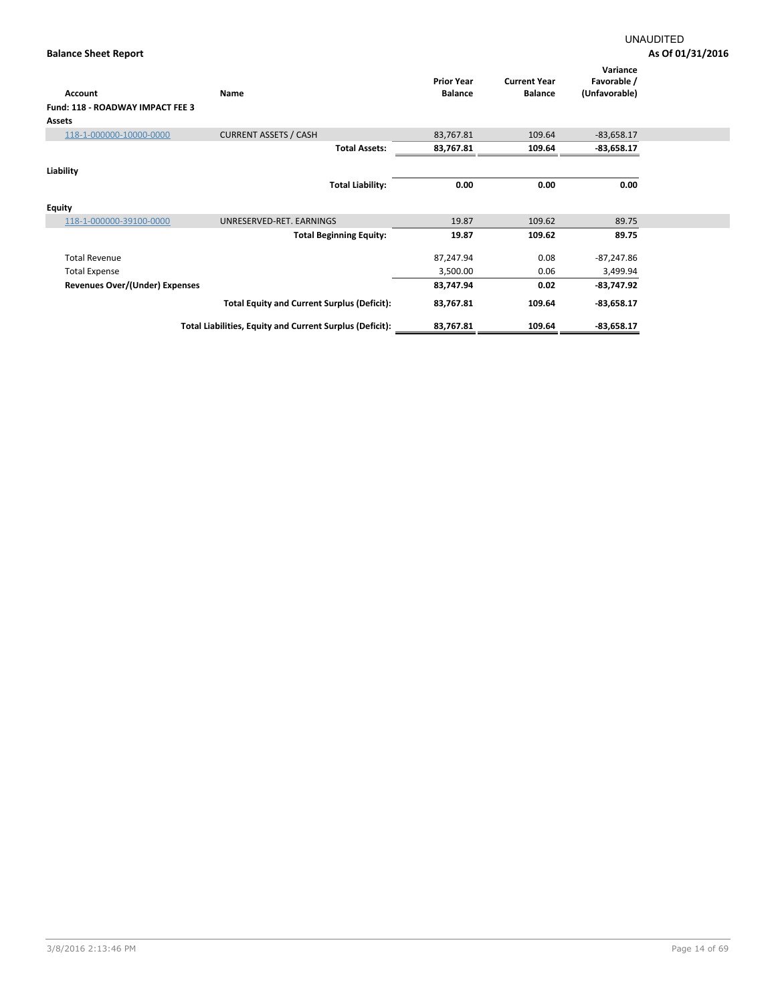| Account                                 | Name                                                     | <b>Prior Year</b><br><b>Balance</b> | <b>Current Year</b><br><b>Balance</b> | Variance<br>Favorable /<br>(Unfavorable) |  |
|-----------------------------------------|----------------------------------------------------------|-------------------------------------|---------------------------------------|------------------------------------------|--|
| <b>Fund: 118 - ROADWAY IMPACT FEE 3</b> |                                                          |                                     |                                       |                                          |  |
| Assets                                  |                                                          |                                     |                                       |                                          |  |
| 118-1-000000-10000-0000                 | <b>CURRENT ASSETS / CASH</b>                             | 83,767.81                           | 109.64                                | $-83,658.17$                             |  |
|                                         | <b>Total Assets:</b>                                     | 83,767.81                           | 109.64                                | $-83,658.17$                             |  |
| Liability                               |                                                          |                                     |                                       |                                          |  |
|                                         | <b>Total Liability:</b>                                  | 0.00                                | 0.00                                  | 0.00                                     |  |
| <b>Equity</b>                           |                                                          |                                     |                                       |                                          |  |
| 118-1-000000-39100-0000                 | UNRESERVED-RET. EARNINGS                                 | 19.87                               | 109.62                                | 89.75                                    |  |
|                                         | <b>Total Beginning Equity:</b>                           | 19.87                               | 109.62                                | 89.75                                    |  |
| <b>Total Revenue</b>                    |                                                          | 87,247.94                           | 0.08                                  | $-87,247.86$                             |  |
| <b>Total Expense</b>                    |                                                          | 3,500.00                            | 0.06                                  | 3,499.94                                 |  |
| Revenues Over/(Under) Expenses          |                                                          | 83,747.94                           | 0.02                                  | $-83,747.92$                             |  |
|                                         | <b>Total Equity and Current Surplus (Deficit):</b>       | 83,767.81                           | 109.64                                | $-83,658.17$                             |  |
|                                         | Total Liabilities, Equity and Current Surplus (Deficit): | 83,767.81                           | 109.64                                | $-83,658.17$                             |  |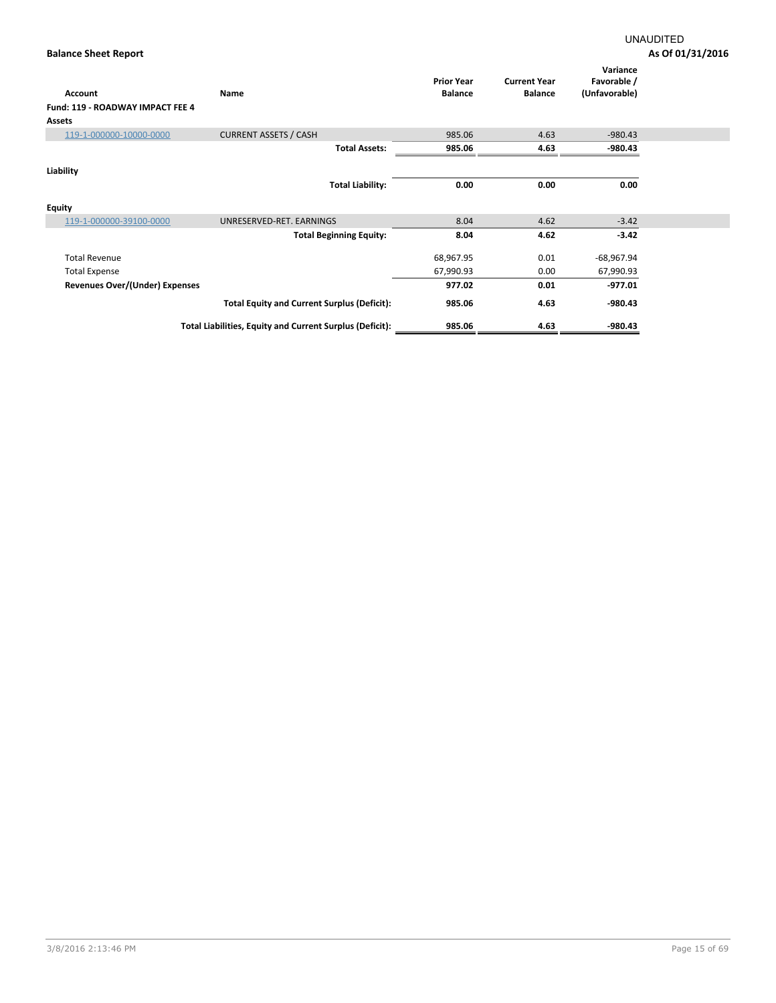| <b>Account</b>                        | Name                                                     | <b>Prior Year</b><br><b>Balance</b> | <b>Current Year</b><br><b>Balance</b> | Variance<br>Favorable /<br>(Unfavorable) |  |
|---------------------------------------|----------------------------------------------------------|-------------------------------------|---------------------------------------|------------------------------------------|--|
| Fund: 119 - ROADWAY IMPACT FEE 4      |                                                          |                                     |                                       |                                          |  |
| Assets                                |                                                          |                                     |                                       |                                          |  |
| 119-1-000000-10000-0000               | <b>CURRENT ASSETS / CASH</b>                             | 985.06                              | 4.63                                  | $-980.43$                                |  |
|                                       | <b>Total Assets:</b>                                     | 985.06                              | 4.63                                  | -980.43                                  |  |
| Liability                             |                                                          |                                     |                                       |                                          |  |
|                                       | <b>Total Liability:</b>                                  | 0.00                                | 0.00                                  | 0.00                                     |  |
| <b>Equity</b>                         |                                                          |                                     |                                       |                                          |  |
| 119-1-000000-39100-0000               | UNRESERVED-RET. EARNINGS                                 | 8.04                                | 4.62                                  | $-3.42$                                  |  |
|                                       | <b>Total Beginning Equity:</b>                           | 8.04                                | 4.62                                  | $-3.42$                                  |  |
| <b>Total Revenue</b>                  |                                                          | 68,967.95                           | 0.01                                  | $-68,967.94$                             |  |
| <b>Total Expense</b>                  |                                                          | 67,990.93                           | 0.00                                  | 67,990.93                                |  |
| <b>Revenues Over/(Under) Expenses</b> |                                                          | 977.02                              | 0.01                                  | $-977.01$                                |  |
|                                       | <b>Total Equity and Current Surplus (Deficit):</b>       | 985.06                              | 4.63                                  | $-980.43$                                |  |
|                                       | Total Liabilities, Equity and Current Surplus (Deficit): | 985.06                              | 4.63                                  | -980.43                                  |  |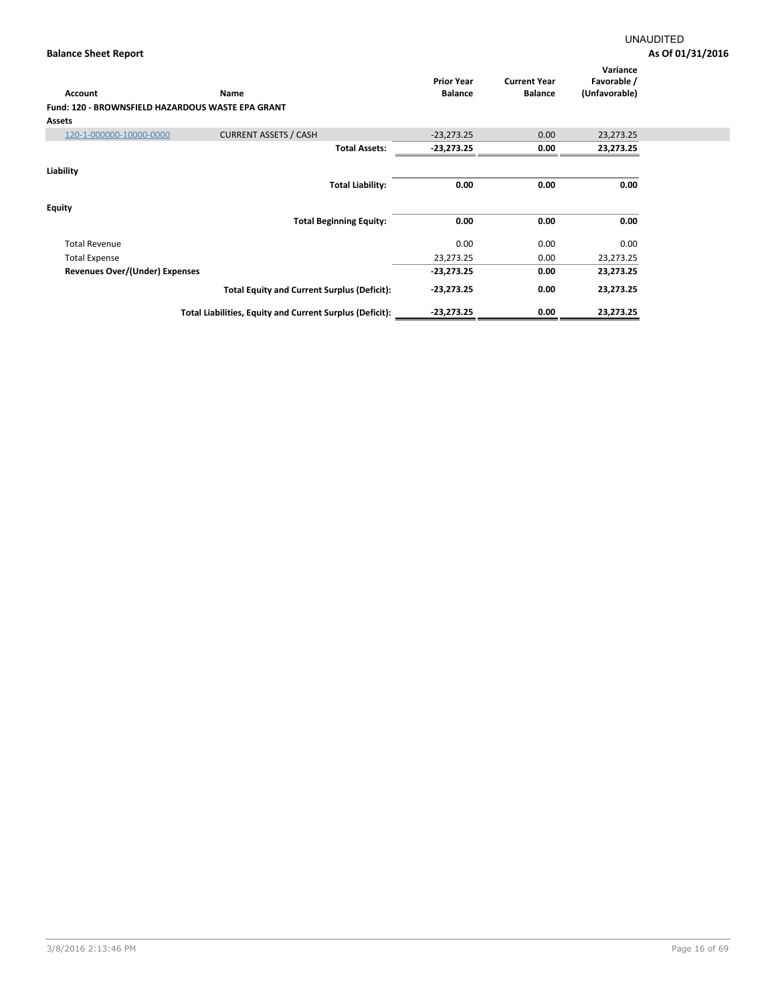| Account<br><b>Fund: 120 - BROWNSFIELD HAZARDOUS WASTE EPA GRANT</b> | Name                                                     | <b>Prior Year</b><br><b>Balance</b> | <b>Current Year</b><br><b>Balance</b> | Variance<br>Favorable /<br>(Unfavorable) |  |
|---------------------------------------------------------------------|----------------------------------------------------------|-------------------------------------|---------------------------------------|------------------------------------------|--|
| <b>Assets</b>                                                       |                                                          |                                     |                                       |                                          |  |
| 120-1-000000-10000-0000                                             | <b>CURRENT ASSETS / CASH</b>                             | $-23,273.25$                        | 0.00                                  | 23,273.25                                |  |
|                                                                     | <b>Total Assets:</b>                                     | $-23,273.25$                        | 0.00                                  | 23,273.25                                |  |
| Liability                                                           | <b>Total Liability:</b>                                  | 0.00                                | 0.00                                  | 0.00                                     |  |
| <b>Equity</b>                                                       | <b>Total Beginning Equity:</b>                           | 0.00                                | 0.00                                  | 0.00                                     |  |
|                                                                     |                                                          |                                     |                                       |                                          |  |
| <b>Total Revenue</b>                                                |                                                          | 0.00                                | 0.00                                  | 0.00                                     |  |
| <b>Total Expense</b>                                                |                                                          | 23,273.25                           | 0.00                                  | 23,273.25                                |  |
| Revenues Over/(Under) Expenses                                      |                                                          | $-23,273.25$                        | 0.00                                  | 23,273.25                                |  |
|                                                                     | <b>Total Equity and Current Surplus (Deficit):</b>       | $-23,273.25$                        | 0.00                                  | 23,273.25                                |  |
|                                                                     | Total Liabilities, Equity and Current Surplus (Deficit): | $-23,273.25$                        | 0.00                                  | 23,273.25                                |  |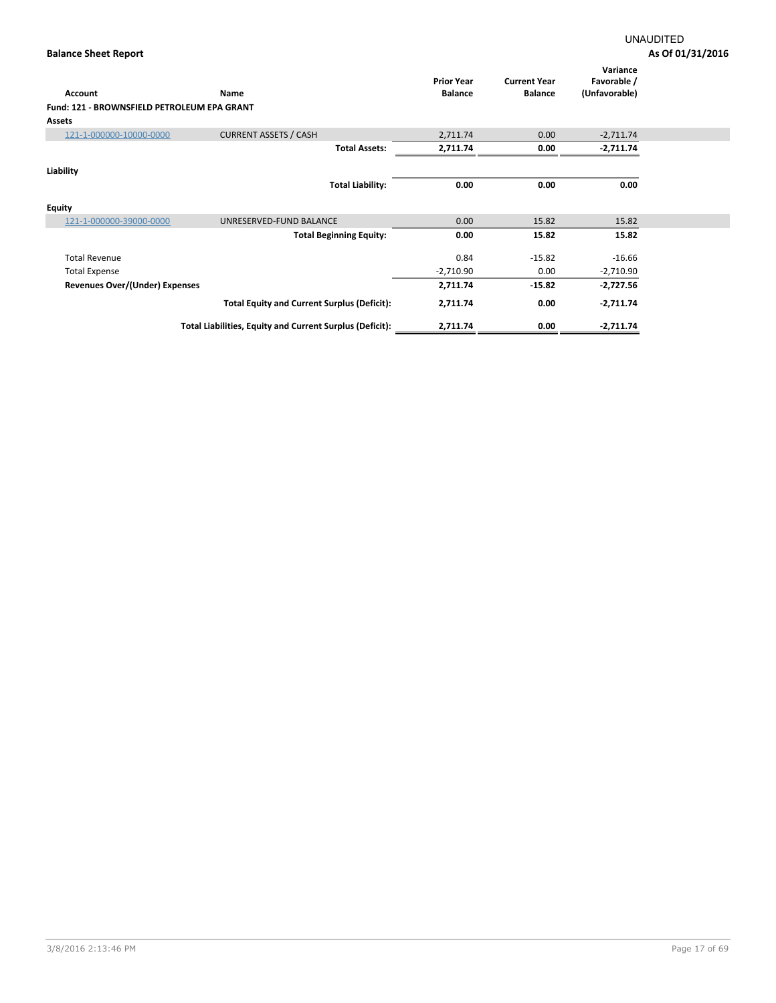| <b>Account</b>                              | Name                                                     | <b>Prior Year</b><br><b>Balance</b> | <b>Current Year</b><br><b>Balance</b> | Variance<br>Favorable /<br>(Unfavorable) |  |
|---------------------------------------------|----------------------------------------------------------|-------------------------------------|---------------------------------------|------------------------------------------|--|
| Fund: 121 - BROWNSFIELD PETROLEUM EPA GRANT |                                                          |                                     |                                       |                                          |  |
| Assets                                      |                                                          |                                     |                                       |                                          |  |
| 121-1-000000-10000-0000                     | <b>CURRENT ASSETS / CASH</b>                             | 2,711.74                            | 0.00                                  | $-2,711.74$                              |  |
|                                             | <b>Total Assets:</b>                                     | 2,711.74                            | 0.00                                  | $-2,711.74$                              |  |
|                                             |                                                          |                                     |                                       |                                          |  |
| Liability                                   |                                                          |                                     |                                       |                                          |  |
|                                             | <b>Total Liability:</b>                                  | 0.00                                | 0.00                                  | 0.00                                     |  |
| <b>Equity</b>                               |                                                          |                                     |                                       |                                          |  |
| 121-1-000000-39000-0000                     | UNRESERVED-FUND BALANCE                                  | 0.00                                | 15.82                                 | 15.82                                    |  |
|                                             | <b>Total Beginning Equity:</b>                           | 0.00                                | 15.82                                 | 15.82                                    |  |
| <b>Total Revenue</b>                        |                                                          | 0.84                                | $-15.82$                              | $-16.66$                                 |  |
| <b>Total Expense</b>                        |                                                          | $-2,710.90$                         | 0.00                                  | $-2,710.90$                              |  |
| Revenues Over/(Under) Expenses              |                                                          | 2,711.74                            | $-15.82$                              | $-2,727.56$                              |  |
|                                             | <b>Total Equity and Current Surplus (Deficit):</b>       | 2,711.74                            | 0.00                                  | $-2,711.74$                              |  |
|                                             | Total Liabilities, Equity and Current Surplus (Deficit): | 2,711.74                            | 0.00                                  | $-2,711.74$                              |  |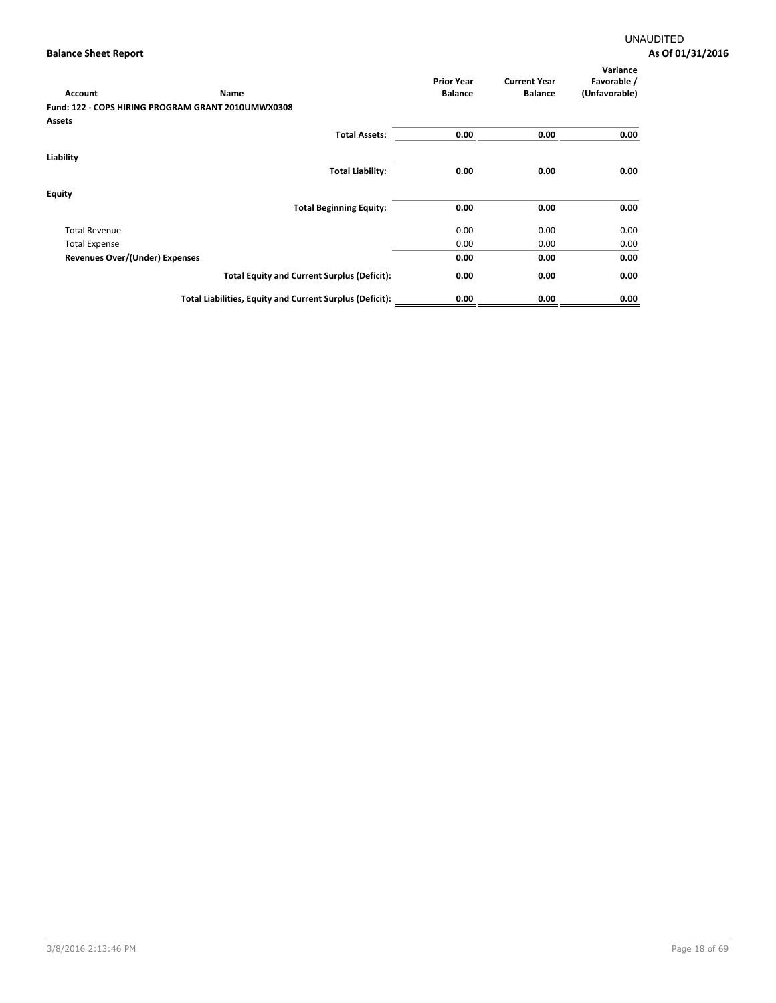| Account                        | Name                                                     | <b>Prior Year</b><br><b>Balance</b> | <b>Current Year</b><br><b>Balance</b> | Variance<br>Favorable /<br>(Unfavorable) |
|--------------------------------|----------------------------------------------------------|-------------------------------------|---------------------------------------|------------------------------------------|
|                                | Fund: 122 - COPS HIRING PROGRAM GRANT 2010UMWX0308       |                                     |                                       |                                          |
| Assets                         |                                                          |                                     |                                       |                                          |
|                                | <b>Total Assets:</b>                                     | 0.00                                | 0.00                                  | 0.00                                     |
| Liability                      |                                                          |                                     |                                       |                                          |
|                                | <b>Total Liability:</b>                                  | 0.00                                | 0.00                                  | 0.00                                     |
| <b>Equity</b>                  |                                                          |                                     |                                       |                                          |
|                                | <b>Total Beginning Equity:</b>                           | 0.00                                | 0.00                                  | 0.00                                     |
| <b>Total Revenue</b>           |                                                          | 0.00                                | 0.00                                  | 0.00                                     |
| <b>Total Expense</b>           |                                                          | 0.00                                | 0.00                                  | 0.00                                     |
| Revenues Over/(Under) Expenses |                                                          | 0.00                                | 0.00                                  | 0.00                                     |
|                                | <b>Total Equity and Current Surplus (Deficit):</b>       | 0.00                                | 0.00                                  | 0.00                                     |
|                                | Total Liabilities, Equity and Current Surplus (Deficit): | 0.00                                | 0.00                                  | 0.00                                     |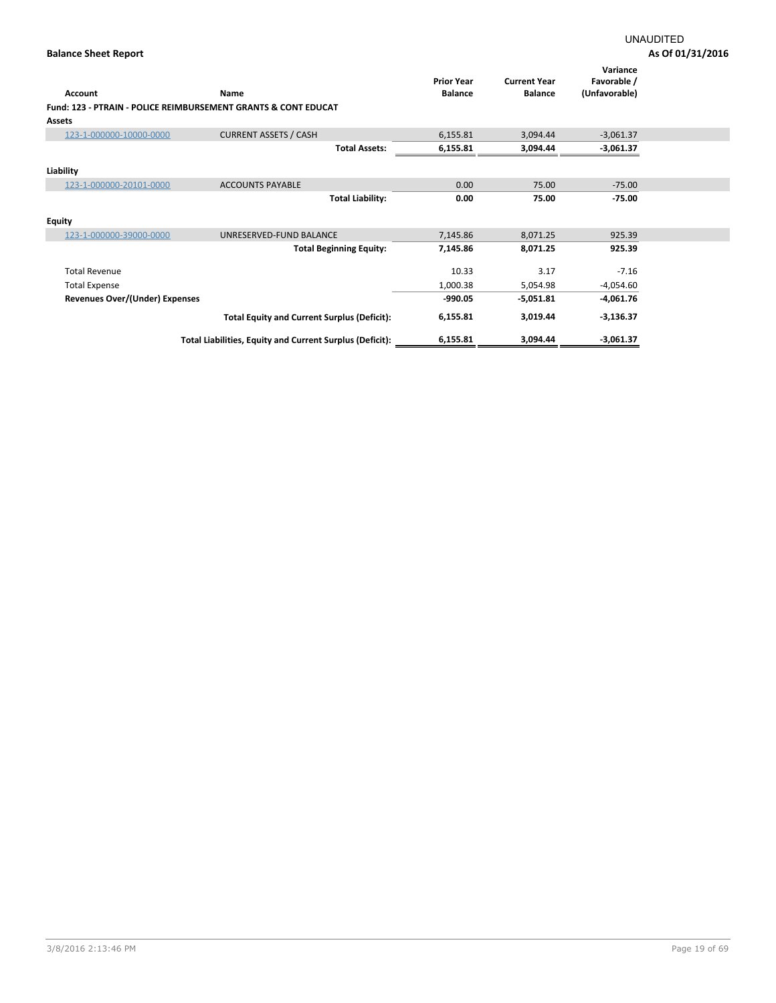|                                                                           |                                                          | <b>Prior Year</b> | <b>Current Year</b> | Variance<br>Favorable / |  |
|---------------------------------------------------------------------------|----------------------------------------------------------|-------------------|---------------------|-------------------------|--|
| <b>Account</b>                                                            | Name                                                     | <b>Balance</b>    | <b>Balance</b>      | (Unfavorable)           |  |
| <b>Fund: 123 - PTRAIN - POLICE REIMBURSEMENT GRANTS &amp; CONT EDUCAT</b> |                                                          |                   |                     |                         |  |
| <b>Assets</b>                                                             |                                                          |                   |                     |                         |  |
| 123-1-000000-10000-0000                                                   | <b>CURRENT ASSETS / CASH</b>                             | 6,155.81          | 3,094.44            | $-3,061.37$             |  |
|                                                                           | <b>Total Assets:</b>                                     | 6,155.81          | 3,094.44            | $-3,061.37$             |  |
| Liability                                                                 |                                                          |                   |                     |                         |  |
| 123-1-000000-20101-0000                                                   | <b>ACCOUNTS PAYABLE</b>                                  | 0.00              | 75.00               | $-75.00$                |  |
|                                                                           | <b>Total Liability:</b>                                  | 0.00              | 75.00               | $-75.00$                |  |
| <b>Equity</b>                                                             |                                                          |                   |                     |                         |  |
| 123-1-000000-39000-0000                                                   | UNRESERVED-FUND BALANCE                                  | 7,145.86          | 8,071.25            | 925.39                  |  |
|                                                                           | <b>Total Beginning Equity:</b>                           | 7,145.86          | 8,071.25            | 925.39                  |  |
| <b>Total Revenue</b>                                                      |                                                          | 10.33             | 3.17                | $-7.16$                 |  |
| <b>Total Expense</b>                                                      |                                                          | 1,000.38          | 5,054.98            | $-4,054.60$             |  |
| Revenues Over/(Under) Expenses                                            |                                                          | $-990.05$         | $-5,051.81$         | $-4,061.76$             |  |
|                                                                           | <b>Total Equity and Current Surplus (Deficit):</b>       | 6,155.81          | 3,019.44            | $-3,136.37$             |  |
|                                                                           | Total Liabilities, Equity and Current Surplus (Deficit): | 6,155.81          | 3,094.44            | $-3,061.37$             |  |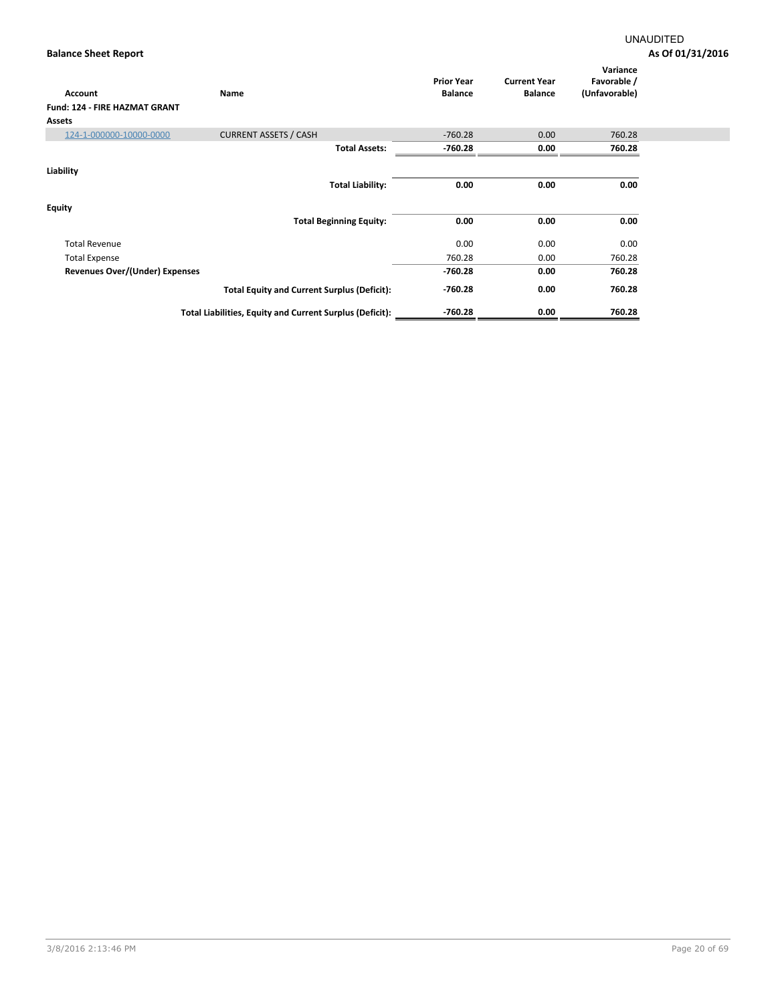| Account<br><b>Fund: 124 - FIRE HAZMAT GRANT</b><br><b>Assets</b> | <b>Name</b>                                              | <b>Prior Year</b><br><b>Balance</b> | <b>Current Year</b><br><b>Balance</b> | Variance<br>Favorable /<br>(Unfavorable) |
|------------------------------------------------------------------|----------------------------------------------------------|-------------------------------------|---------------------------------------|------------------------------------------|
| 124-1-000000-10000-0000                                          | <b>CURRENT ASSETS / CASH</b>                             | $-760.28$                           | 0.00                                  | 760.28                                   |
|                                                                  | <b>Total Assets:</b>                                     | $-760.28$                           | 0.00                                  | 760.28                                   |
| Liability                                                        | <b>Total Liability:</b>                                  | 0.00                                | 0.00                                  | 0.00                                     |
| <b>Equity</b>                                                    | <b>Total Beginning Equity:</b>                           | 0.00                                | 0.00                                  | 0.00                                     |
| <b>Total Revenue</b>                                             |                                                          | 0.00                                | 0.00                                  | 0.00                                     |
| <b>Total Expense</b>                                             |                                                          | 760.28                              | 0.00                                  | 760.28                                   |
| Revenues Over/(Under) Expenses                                   |                                                          | $-760.28$                           | 0.00                                  | 760.28                                   |
|                                                                  | <b>Total Equity and Current Surplus (Deficit):</b>       | $-760.28$                           | 0.00                                  | 760.28                                   |
|                                                                  | Total Liabilities, Equity and Current Surplus (Deficit): | $-760.28$                           | 0.00                                  | 760.28                                   |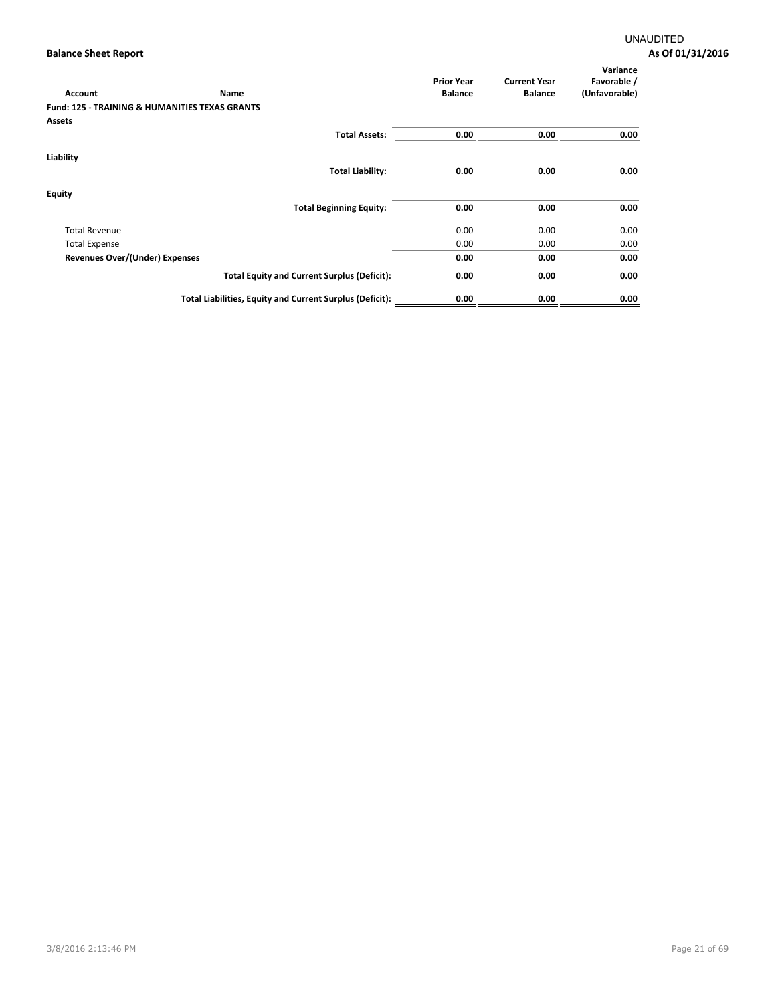| Account                               | <b>Name</b>                                               | <b>Prior Year</b><br><b>Balance</b> | <b>Current Year</b><br><b>Balance</b> | Variance<br>Favorable /<br>(Unfavorable) |
|---------------------------------------|-----------------------------------------------------------|-------------------------------------|---------------------------------------|------------------------------------------|
|                                       | <b>Fund: 125 - TRAINING &amp; HUMANITIES TEXAS GRANTS</b> |                                     |                                       |                                          |
| Assets                                |                                                           |                                     |                                       |                                          |
|                                       | <b>Total Assets:</b>                                      | 0.00                                | 0.00                                  | 0.00                                     |
| Liability                             |                                                           |                                     |                                       |                                          |
|                                       | <b>Total Liability:</b>                                   | 0.00                                | 0.00                                  | 0.00                                     |
| <b>Equity</b>                         |                                                           |                                     |                                       |                                          |
|                                       | <b>Total Beginning Equity:</b>                            | 0.00                                | 0.00                                  | 0.00                                     |
| <b>Total Revenue</b>                  |                                                           | 0.00                                | 0.00                                  | 0.00                                     |
| <b>Total Expense</b>                  |                                                           | 0.00                                | 0.00                                  | 0.00                                     |
| <b>Revenues Over/(Under) Expenses</b> |                                                           | 0.00                                | 0.00                                  | 0.00                                     |
|                                       | <b>Total Equity and Current Surplus (Deficit):</b>        | 0.00                                | 0.00                                  | 0.00                                     |
|                                       | Total Liabilities, Equity and Current Surplus (Deficit):  | 0.00                                | 0.00                                  | 0.00                                     |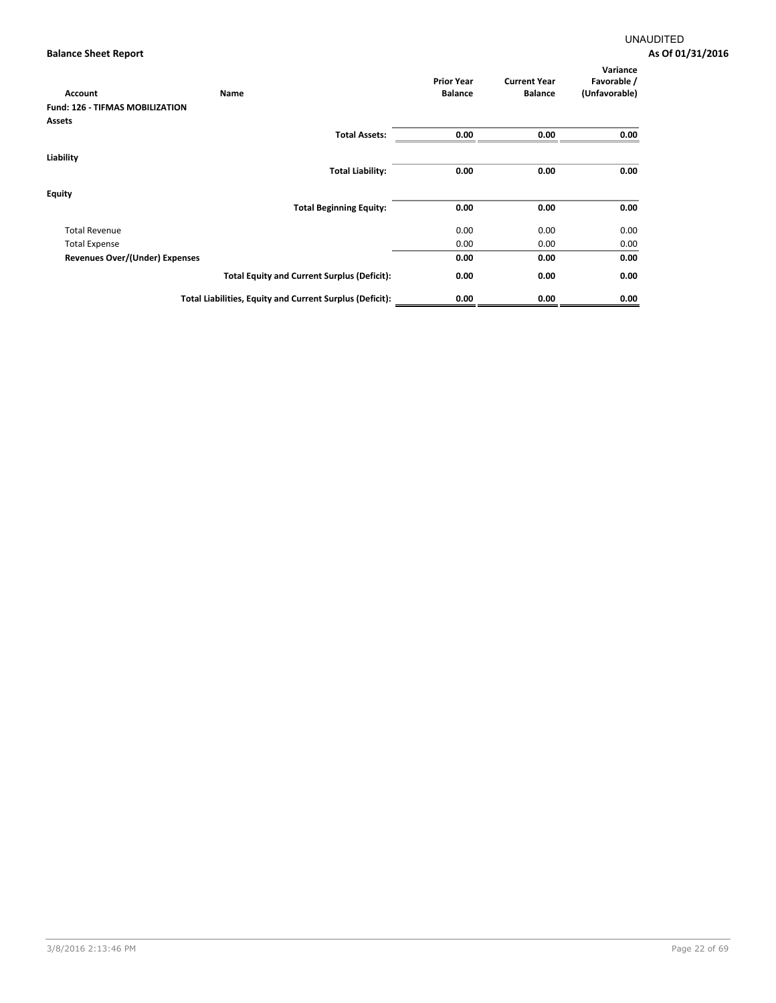| Account                                | Name                                                     | <b>Prior Year</b><br><b>Balance</b> | <b>Current Year</b><br><b>Balance</b> | Variance<br>Favorable /<br>(Unfavorable) |
|----------------------------------------|----------------------------------------------------------|-------------------------------------|---------------------------------------|------------------------------------------|
| <b>Fund: 126 - TIFMAS MOBILIZATION</b> |                                                          |                                     |                                       |                                          |
| <b>Assets</b>                          |                                                          |                                     |                                       |                                          |
|                                        | <b>Total Assets:</b>                                     | 0.00                                | 0.00                                  | 0.00                                     |
| Liability                              |                                                          |                                     |                                       |                                          |
|                                        | <b>Total Liability:</b>                                  | 0.00                                | 0.00                                  | 0.00                                     |
| <b>Equity</b>                          |                                                          |                                     |                                       |                                          |
|                                        | <b>Total Beginning Equity:</b>                           | 0.00                                | 0.00                                  | 0.00                                     |
| <b>Total Revenue</b>                   |                                                          | 0.00                                | 0.00                                  | 0.00                                     |
| <b>Total Expense</b>                   |                                                          | 0.00                                | 0.00                                  | 0.00                                     |
| <b>Revenues Over/(Under) Expenses</b>  |                                                          | 0.00                                | 0.00                                  | 0.00                                     |
|                                        | <b>Total Equity and Current Surplus (Deficit):</b>       | 0.00                                | 0.00                                  | 0.00                                     |
|                                        | Total Liabilities, Equity and Current Surplus (Deficit): | 0.00                                | 0.00                                  | 0.00                                     |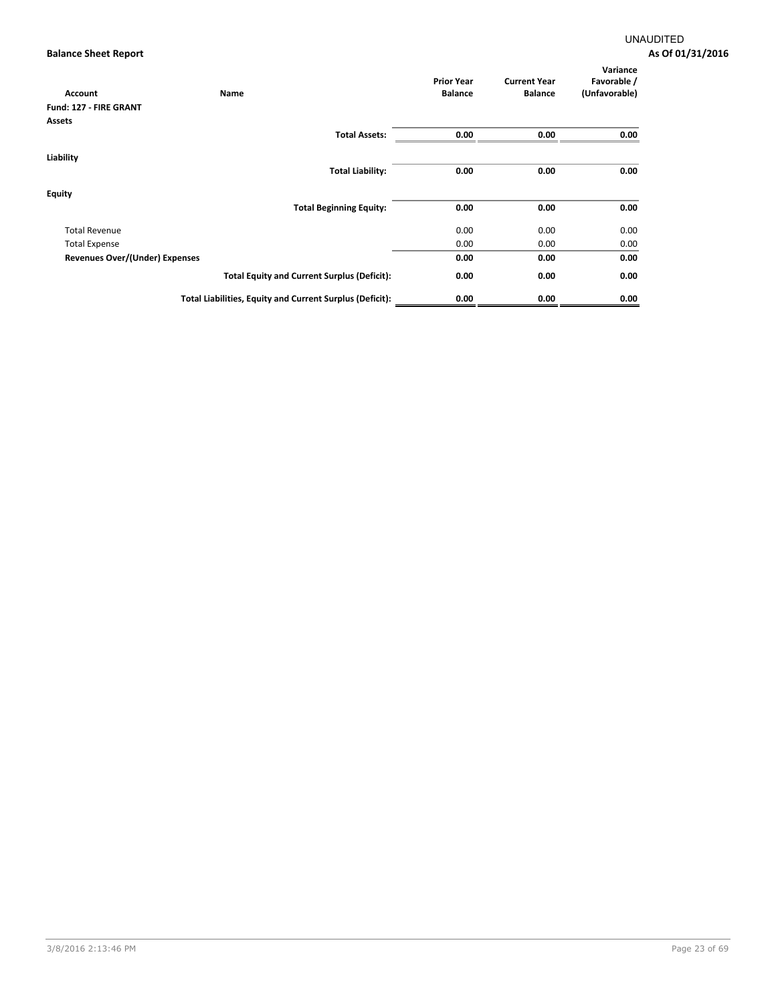| <b>Account</b>                 | Name                                                     | <b>Prior Year</b><br><b>Balance</b> | <b>Current Year</b><br><b>Balance</b> | Variance<br>Favorable /<br>(Unfavorable) |
|--------------------------------|----------------------------------------------------------|-------------------------------------|---------------------------------------|------------------------------------------|
| Fund: 127 - FIRE GRANT         |                                                          |                                     |                                       |                                          |
| Assets                         |                                                          |                                     |                                       |                                          |
|                                | <b>Total Assets:</b>                                     | 0.00                                | 0.00                                  | 0.00                                     |
| Liability                      |                                                          |                                     |                                       |                                          |
|                                | <b>Total Liability:</b>                                  | 0.00                                | 0.00                                  | 0.00                                     |
| <b>Equity</b>                  |                                                          |                                     |                                       |                                          |
|                                | <b>Total Beginning Equity:</b>                           | 0.00                                | 0.00                                  | 0.00                                     |
| <b>Total Revenue</b>           |                                                          | 0.00                                | 0.00                                  | 0.00                                     |
| <b>Total Expense</b>           |                                                          | 0.00                                | 0.00                                  | 0.00                                     |
| Revenues Over/(Under) Expenses |                                                          | 0.00                                | 0.00                                  | 0.00                                     |
|                                | <b>Total Equity and Current Surplus (Deficit):</b>       | 0.00                                | 0.00                                  | 0.00                                     |
|                                | Total Liabilities, Equity and Current Surplus (Deficit): | 0.00                                | 0.00                                  | 0.00                                     |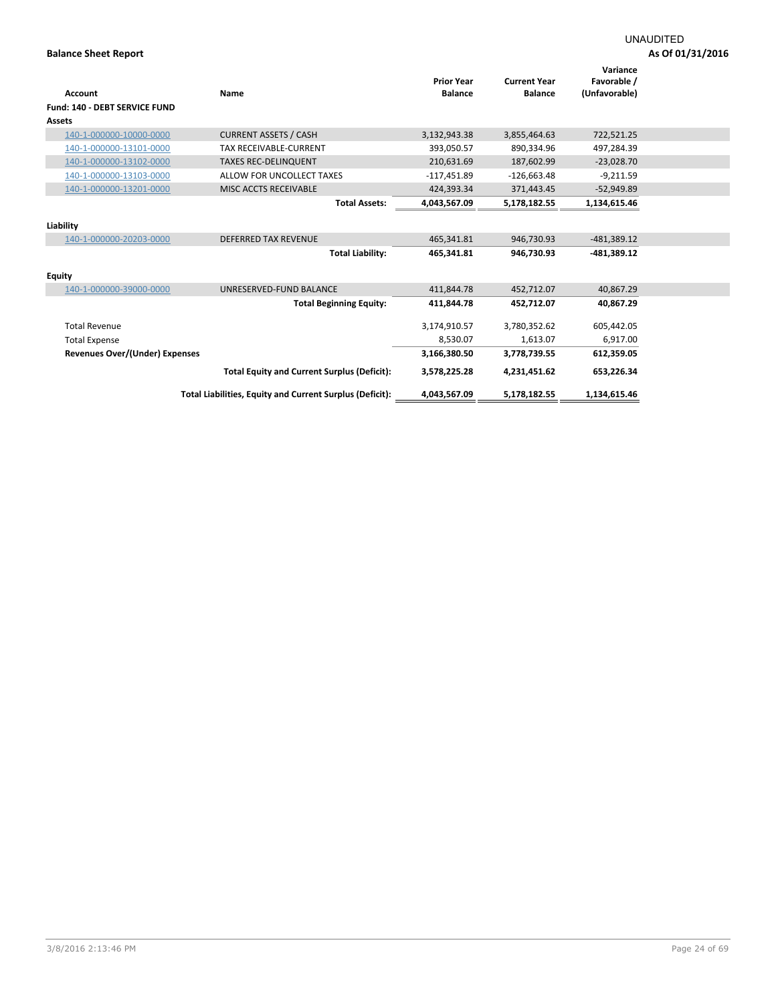|                                       |                                                          | <b>Prior Year</b> | <b>Current Year</b> | Variance<br>Favorable / |  |
|---------------------------------------|----------------------------------------------------------|-------------------|---------------------|-------------------------|--|
| <b>Account</b>                        | Name                                                     | <b>Balance</b>    | <b>Balance</b>      | (Unfavorable)           |  |
| <b>Fund: 140 - DEBT SERVICE FUND</b>  |                                                          |                   |                     |                         |  |
| <b>Assets</b>                         |                                                          |                   |                     |                         |  |
| 140-1-000000-10000-0000               | <b>CURRENT ASSETS / CASH</b>                             | 3,132,943.38      | 3,855,464.63        | 722,521.25              |  |
| 140-1-000000-13101-0000               | <b>TAX RECEIVABLE-CURRENT</b>                            | 393,050.57        | 890,334.96          | 497,284.39              |  |
| 140-1-000000-13102-0000               | <b>TAXES REC-DELINQUENT</b>                              | 210,631.69        | 187,602.99          | $-23,028.70$            |  |
| 140-1-000000-13103-0000               | ALLOW FOR UNCOLLECT TAXES                                | $-117,451.89$     | $-126,663.48$       | $-9,211.59$             |  |
| 140-1-000000-13201-0000               | MISC ACCTS RECEIVABLE                                    | 424,393.34        | 371,443.45          | $-52,949.89$            |  |
|                                       | <b>Total Assets:</b>                                     | 4.043.567.09      | 5,178,182.55        | 1,134,615.46            |  |
|                                       |                                                          |                   |                     |                         |  |
| Liability                             |                                                          |                   |                     |                         |  |
| 140-1-000000-20203-0000               | <b>DEFERRED TAX REVENUE</b>                              | 465,341.81        | 946,730.93          | $-481,389.12$           |  |
|                                       | <b>Total Liability:</b>                                  | 465,341.81        | 946,730.93          | $-481,389.12$           |  |
| <b>Equity</b>                         |                                                          |                   |                     |                         |  |
| 140-1-000000-39000-0000               | UNRESERVED-FUND BALANCE                                  | 411,844.78        | 452,712.07          | 40,867.29               |  |
|                                       | <b>Total Beginning Equity:</b>                           | 411,844.78        | 452,712.07          | 40,867.29               |  |
| <b>Total Revenue</b>                  |                                                          | 3,174,910.57      | 3,780,352.62        | 605,442.05              |  |
| <b>Total Expense</b>                  |                                                          | 8,530.07          | 1,613.07            | 6,917.00                |  |
| <b>Revenues Over/(Under) Expenses</b> |                                                          | 3,166,380.50      | 3,778,739.55        | 612,359.05              |  |
|                                       | <b>Total Equity and Current Surplus (Deficit):</b>       | 3,578,225.28      | 4,231,451.62        | 653,226.34              |  |
|                                       | Total Liabilities, Equity and Current Surplus (Deficit): | 4,043,567.09      | 5,178,182.55        | 1,134,615.46            |  |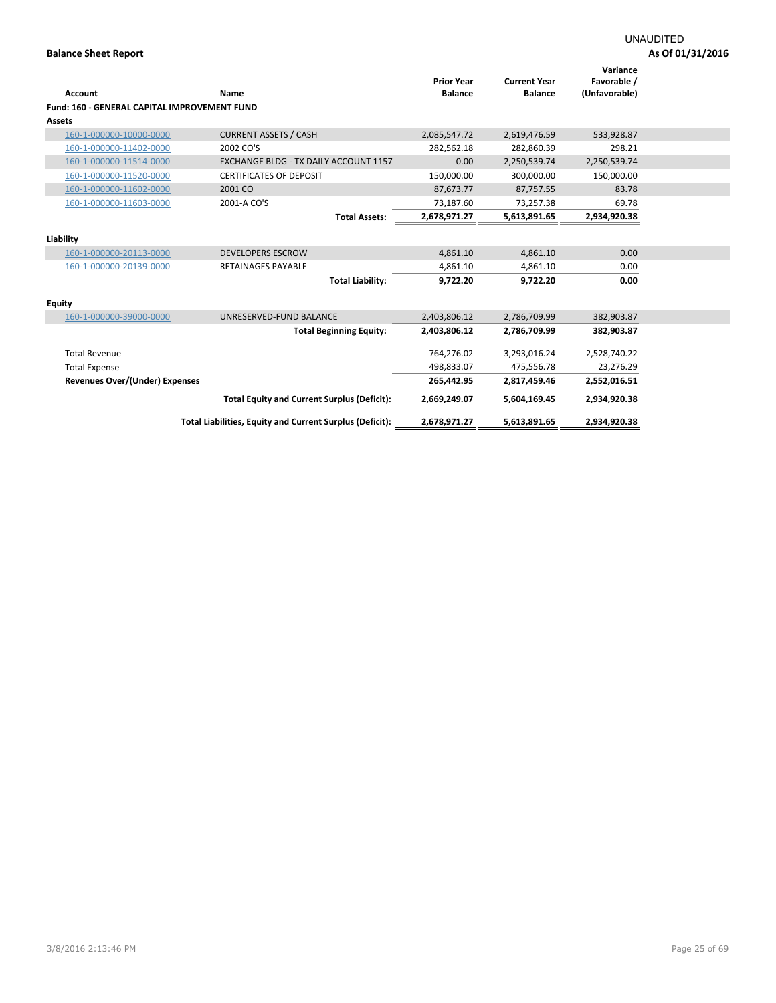|                                              |                                                          | <b>Prior Year</b> | <b>Current Year</b> | Variance<br>Favorable / |  |
|----------------------------------------------|----------------------------------------------------------|-------------------|---------------------|-------------------------|--|
| <b>Account</b>                               | Name                                                     | <b>Balance</b>    | <b>Balance</b>      | (Unfavorable)           |  |
| Fund: 160 - GENERAL CAPITAL IMPROVEMENT FUND |                                                          |                   |                     |                         |  |
| <b>Assets</b>                                |                                                          |                   |                     |                         |  |
| 160-1-000000-10000-0000                      | <b>CURRENT ASSETS / CASH</b>                             | 2,085,547.72      | 2,619,476.59        | 533,928.87              |  |
| 160-1-000000-11402-0000                      | 2002 CO'S                                                | 282,562.18        | 282,860.39          | 298.21                  |  |
| 160-1-000000-11514-0000                      | <b>EXCHANGE BLDG - TX DAILY ACCOUNT 1157</b>             | 0.00              | 2,250,539.74        | 2,250,539.74            |  |
| 160-1-000000-11520-0000                      | <b>CERTIFICATES OF DEPOSIT</b>                           | 150,000.00        | 300,000.00          | 150,000.00              |  |
| 160-1-000000-11602-0000                      | 2001 CO                                                  | 87,673.77         | 87,757.55           | 83.78                   |  |
| 160-1-000000-11603-0000                      | 2001-A CO'S                                              | 73,187.60         | 73,257.38           | 69.78                   |  |
|                                              | <b>Total Assets:</b>                                     | 2,678,971.27      | 5,613,891.65        | 2,934,920.38            |  |
|                                              |                                                          |                   |                     |                         |  |
| Liability                                    |                                                          |                   |                     |                         |  |
| 160-1-000000-20113-0000                      | <b>DEVELOPERS ESCROW</b>                                 | 4,861.10          | 4,861.10            | 0.00                    |  |
| 160-1-000000-20139-0000                      | <b>RETAINAGES PAYABLE</b>                                | 4,861.10          | 4,861.10            | 0.00                    |  |
|                                              | <b>Total Liability:</b>                                  | 9,722.20          | 9,722.20            | 0.00                    |  |
|                                              |                                                          |                   |                     |                         |  |
| <b>Equity</b>                                |                                                          |                   |                     |                         |  |
| 160-1-000000-39000-0000                      | UNRESERVED-FUND BALANCE                                  | 2,403,806.12      | 2,786,709.99        | 382,903.87              |  |
|                                              | <b>Total Beginning Equity:</b>                           | 2,403,806.12      | 2,786,709.99        | 382,903.87              |  |
| <b>Total Revenue</b>                         |                                                          | 764,276.02        | 3,293,016.24        | 2,528,740.22            |  |
|                                              |                                                          |                   |                     |                         |  |
| <b>Total Expense</b>                         |                                                          | 498,833.07        | 475,556.78          | 23,276.29               |  |
| Revenues Over/(Under) Expenses               |                                                          | 265,442.95        | 2,817,459.46        | 2,552,016.51            |  |
|                                              | <b>Total Equity and Current Surplus (Deficit):</b>       | 2,669,249.07      | 5,604,169.45        | 2,934,920.38            |  |
|                                              | Total Liabilities, Equity and Current Surplus (Deficit): | 2,678,971.27      | 5,613,891.65        | 2,934,920.38            |  |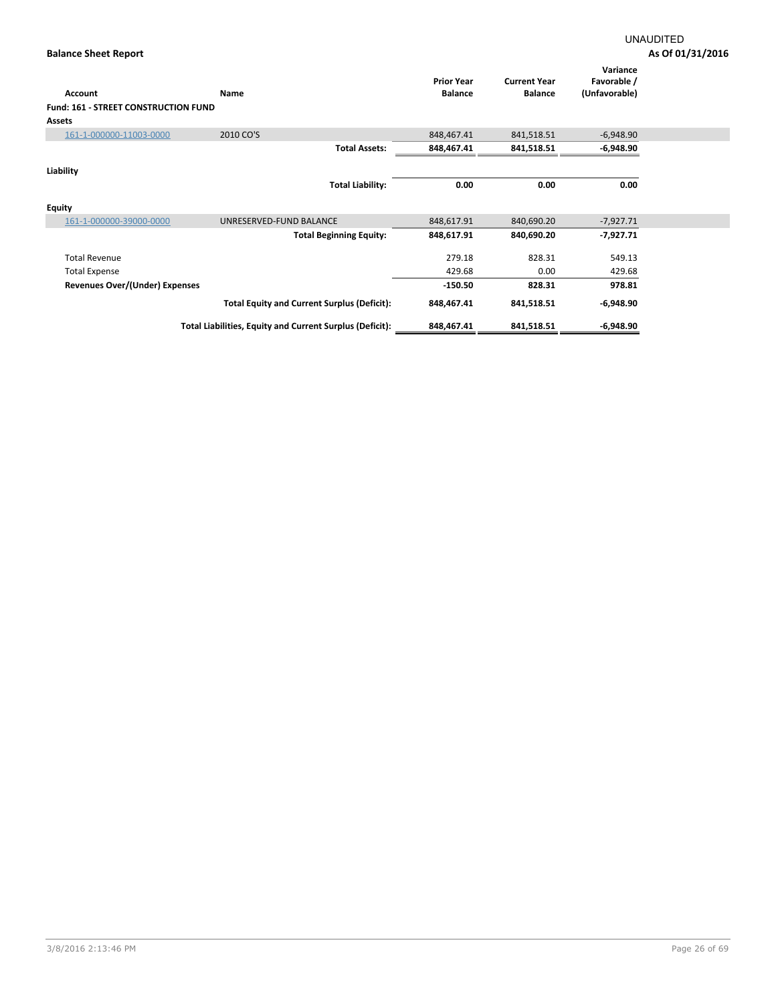| Account                               | <b>Name</b>                                              | <b>Prior Year</b><br><b>Balance</b> | <b>Current Year</b><br><b>Balance</b> | Variance<br>Favorable /<br>(Unfavorable) |
|---------------------------------------|----------------------------------------------------------|-------------------------------------|---------------------------------------|------------------------------------------|
| Fund: 161 - STREET CONSTRUCTION FUND  |                                                          |                                     |                                       |                                          |
| <b>Assets</b>                         |                                                          |                                     |                                       |                                          |
| 161-1-000000-11003-0000               | 2010 CO'S                                                | 848,467.41                          | 841,518.51                            | $-6,948.90$                              |
|                                       | <b>Total Assets:</b>                                     | 848,467.41                          | 841,518.51                            | $-6,948.90$                              |
| Liability                             |                                                          |                                     |                                       |                                          |
|                                       | <b>Total Liability:</b>                                  | 0.00                                | 0.00                                  | 0.00                                     |
| <b>Equity</b>                         |                                                          |                                     |                                       |                                          |
| 161-1-000000-39000-0000               | UNRESERVED-FUND BALANCE                                  | 848,617.91                          | 840,690.20                            | $-7,927.71$                              |
|                                       | <b>Total Beginning Equity:</b>                           | 848,617.91                          | 840,690.20                            | -7,927.71                                |
| <b>Total Revenue</b>                  |                                                          | 279.18                              | 828.31                                | 549.13                                   |
| <b>Total Expense</b>                  |                                                          | 429.68                              | 0.00                                  | 429.68                                   |
| <b>Revenues Over/(Under) Expenses</b> |                                                          | $-150.50$                           | 828.31                                | 978.81                                   |
|                                       | <b>Total Equity and Current Surplus (Deficit):</b>       | 848,467.41                          | 841,518.51                            | $-6,948.90$                              |
|                                       | Total Liabilities, Equity and Current Surplus (Deficit): | 848,467.41                          | 841,518.51                            | $-6,948.90$                              |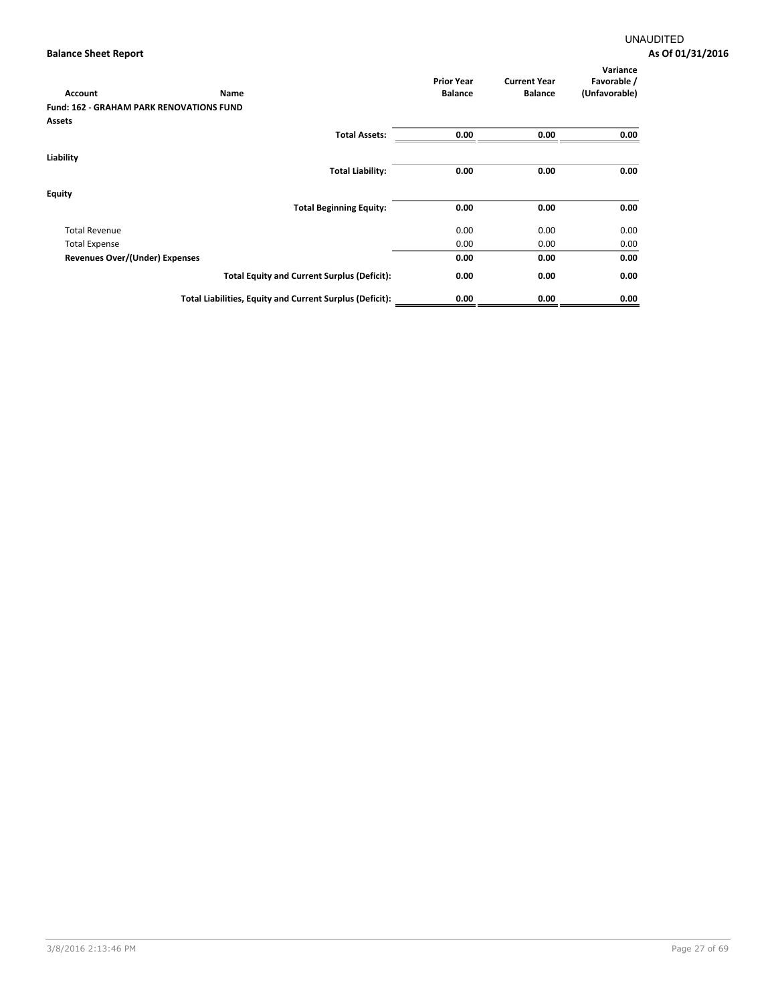| Account                               | Name                                                     | <b>Prior Year</b><br><b>Balance</b> | <b>Current Year</b><br><b>Balance</b> | Variance<br>Favorable /<br>(Unfavorable) |
|---------------------------------------|----------------------------------------------------------|-------------------------------------|---------------------------------------|------------------------------------------|
|                                       | <b>Fund: 162 - GRAHAM PARK RENOVATIONS FUND</b>          |                                     |                                       |                                          |
| Assets                                |                                                          |                                     |                                       |                                          |
|                                       | <b>Total Assets:</b>                                     | 0.00                                | 0.00                                  | 0.00                                     |
| Liability                             |                                                          |                                     |                                       |                                          |
|                                       | <b>Total Liability:</b>                                  | 0.00                                | 0.00                                  | 0.00                                     |
| <b>Equity</b>                         |                                                          |                                     |                                       |                                          |
|                                       | <b>Total Beginning Equity:</b>                           | 0.00                                | 0.00                                  | 0.00                                     |
| <b>Total Revenue</b>                  |                                                          | 0.00                                | 0.00                                  | 0.00                                     |
| <b>Total Expense</b>                  |                                                          | 0.00                                | 0.00                                  | 0.00                                     |
| <b>Revenues Over/(Under) Expenses</b> |                                                          | 0.00                                | 0.00                                  | 0.00                                     |
|                                       | <b>Total Equity and Current Surplus (Deficit):</b>       | 0.00                                | 0.00                                  | 0.00                                     |
|                                       | Total Liabilities, Equity and Current Surplus (Deficit): | 0.00                                | 0.00                                  | 0.00                                     |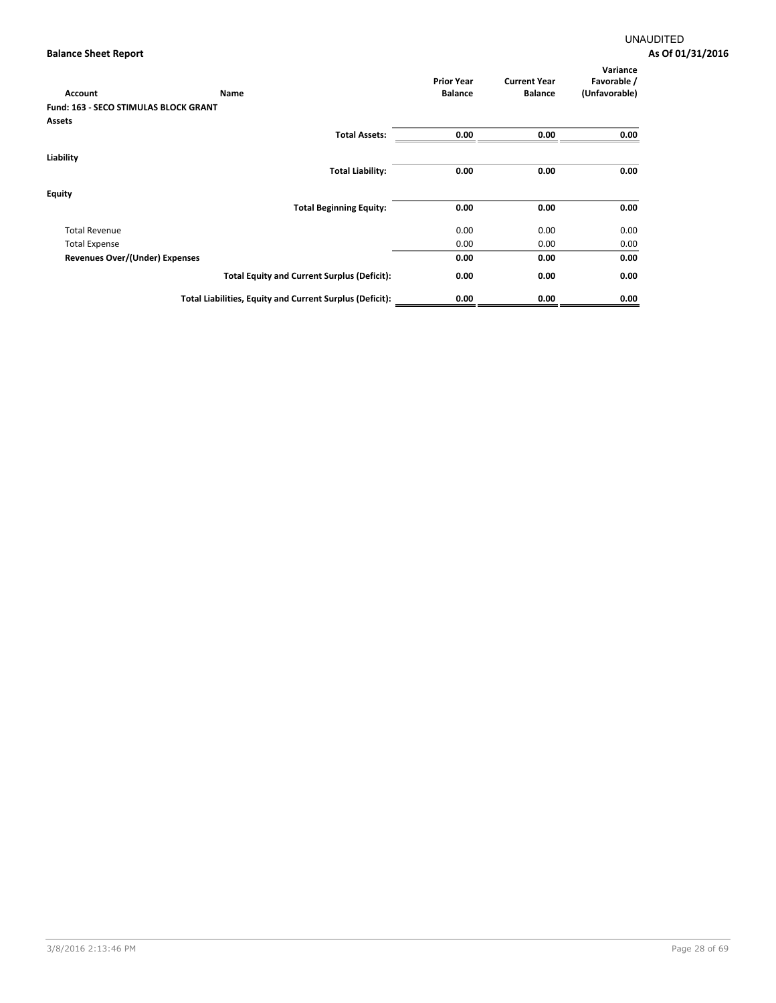| Account                               | Name                                                     | <b>Prior Year</b><br><b>Balance</b> | <b>Current Year</b><br><b>Balance</b> | Variance<br>Favorable /<br>(Unfavorable) |
|---------------------------------------|----------------------------------------------------------|-------------------------------------|---------------------------------------|------------------------------------------|
| Fund: 163 - SECO STIMULAS BLOCK GRANT |                                                          |                                     |                                       |                                          |
| Assets                                |                                                          |                                     |                                       |                                          |
|                                       | <b>Total Assets:</b>                                     | 0.00                                | 0.00                                  | 0.00                                     |
| Liability                             |                                                          |                                     |                                       |                                          |
|                                       | <b>Total Liability:</b>                                  | 0.00                                | 0.00                                  | 0.00                                     |
| <b>Equity</b>                         |                                                          |                                     |                                       |                                          |
|                                       | <b>Total Beginning Equity:</b>                           | 0.00                                | 0.00                                  | 0.00                                     |
| <b>Total Revenue</b>                  |                                                          | 0.00                                | 0.00                                  | 0.00                                     |
| <b>Total Expense</b>                  |                                                          | 0.00                                | 0.00                                  | 0.00                                     |
| <b>Revenues Over/(Under) Expenses</b> |                                                          | 0.00                                | 0.00                                  | 0.00                                     |
|                                       | <b>Total Equity and Current Surplus (Deficit):</b>       | 0.00                                | 0.00                                  | 0.00                                     |
|                                       | Total Liabilities, Equity and Current Surplus (Deficit): | 0.00                                | 0.00                                  | 0.00                                     |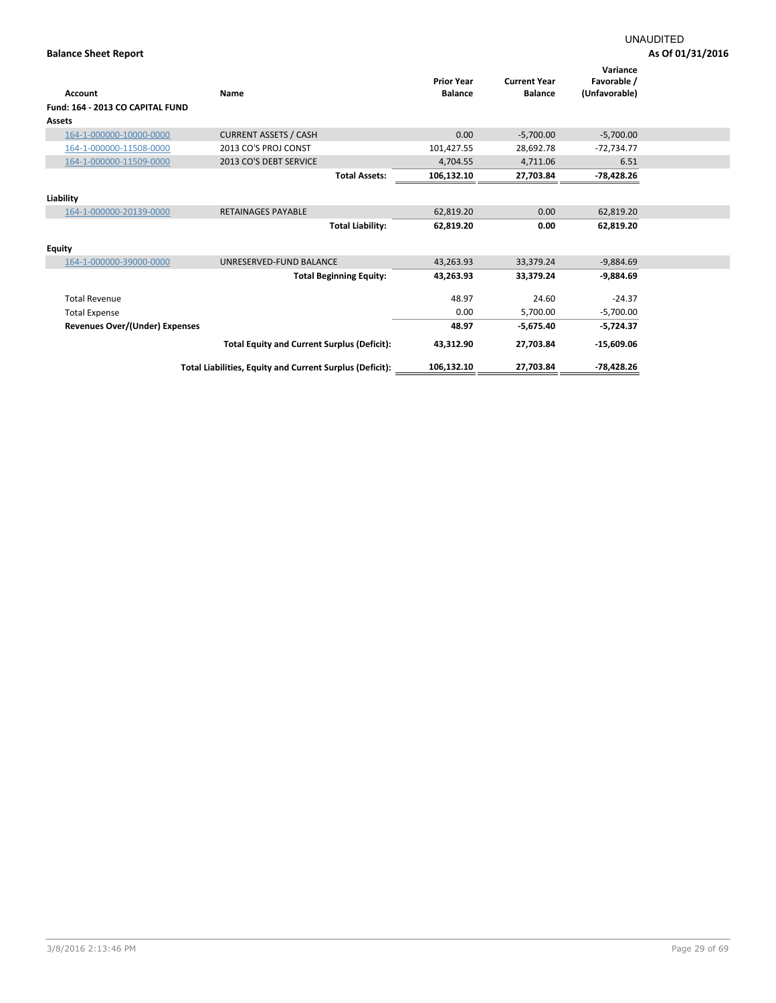| Account                                    | Name                                                     | <b>Prior Year</b><br><b>Balance</b> | <b>Current Year</b><br><b>Balance</b> | Variance<br>Favorable /<br>(Unfavorable) |  |
|--------------------------------------------|----------------------------------------------------------|-------------------------------------|---------------------------------------|------------------------------------------|--|
| Fund: 164 - 2013 CO CAPITAL FUND<br>Assets |                                                          |                                     |                                       |                                          |  |
| 164-1-000000-10000-0000                    | <b>CURRENT ASSETS / CASH</b>                             | 0.00                                | $-5,700.00$                           | $-5,700.00$                              |  |
|                                            |                                                          |                                     |                                       |                                          |  |
| 164-1-000000-11508-0000                    | 2013 CO'S PROJ CONST                                     | 101,427.55                          | 28,692.78                             | $-72,734.77$                             |  |
| 164-1-000000-11509-0000                    | 2013 CO'S DEBT SERVICE                                   | 4,704.55                            | 4,711.06                              | 6.51                                     |  |
|                                            | <b>Total Assets:</b>                                     | 106,132.10                          | 27,703.84                             | -78,428.26                               |  |
| Liability                                  |                                                          |                                     |                                       |                                          |  |
| 164-1-000000-20139-0000                    | <b>RETAINAGES PAYABLE</b>                                | 62,819.20                           | 0.00                                  | 62,819.20                                |  |
|                                            | <b>Total Liability:</b>                                  | 62,819.20                           | 0.00                                  | 62,819.20                                |  |
| Equity                                     |                                                          |                                     |                                       |                                          |  |
| 164-1-000000-39000-0000                    | UNRESERVED-FUND BALANCE                                  | 43,263.93                           | 33,379.24                             | $-9,884.69$                              |  |
|                                            | <b>Total Beginning Equity:</b>                           | 43,263.93                           | 33,379.24                             | $-9,884.69$                              |  |
| <b>Total Revenue</b>                       |                                                          | 48.97                               | 24.60                                 | $-24.37$                                 |  |
| <b>Total Expense</b>                       |                                                          | 0.00                                | 5,700.00                              | $-5,700.00$                              |  |
| Revenues Over/(Under) Expenses             |                                                          | 48.97                               | $-5,675.40$                           | $-5,724.37$                              |  |
|                                            | <b>Total Equity and Current Surplus (Deficit):</b>       | 43,312.90                           | 27,703.84                             | $-15,609.06$                             |  |
|                                            | Total Liabilities, Equity and Current Surplus (Deficit): | 106,132.10                          | 27,703.84                             | -78,428.26                               |  |
|                                            |                                                          |                                     |                                       |                                          |  |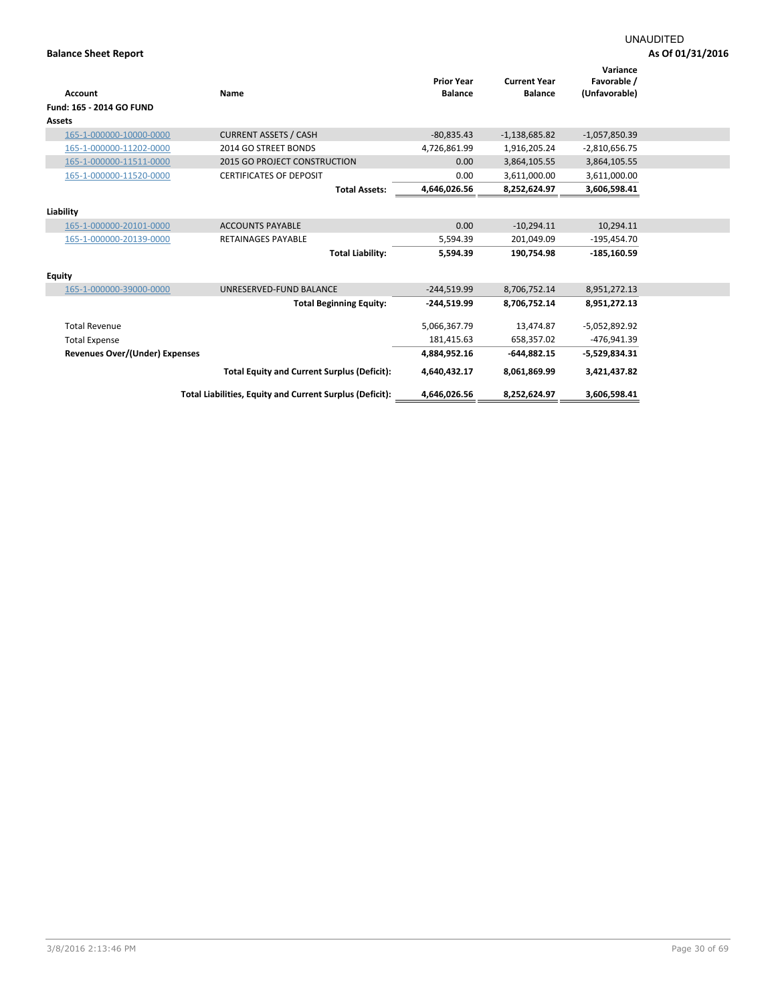|                                       |                                                          |                   |                     | Variance        |
|---------------------------------------|----------------------------------------------------------|-------------------|---------------------|-----------------|
|                                       |                                                          | <b>Prior Year</b> | <b>Current Year</b> | Favorable /     |
| <b>Account</b>                        | Name                                                     | <b>Balance</b>    | <b>Balance</b>      | (Unfavorable)   |
| Fund: 165 - 2014 GO FUND              |                                                          |                   |                     |                 |
| <b>Assets</b>                         |                                                          |                   |                     |                 |
| 165-1-000000-10000-0000               | <b>CURRENT ASSETS / CASH</b>                             | $-80,835.43$      | $-1,138,685.82$     | $-1,057,850.39$ |
| 165-1-000000-11202-0000               | 2014 GO STREET BONDS                                     | 4,726,861.99      | 1,916,205.24        | $-2,810,656.75$ |
| 165-1-000000-11511-0000               | 2015 GO PROJECT CONSTRUCTION                             | 0.00              | 3,864,105.55        | 3,864,105.55    |
| 165-1-000000-11520-0000               | <b>CERTIFICATES OF DEPOSIT</b>                           | 0.00              | 3,611,000.00        | 3,611,000.00    |
|                                       | <b>Total Assets:</b>                                     | 4,646,026.56      | 8,252,624.97        | 3,606,598.41    |
|                                       |                                                          |                   |                     |                 |
| Liability                             |                                                          |                   |                     |                 |
| 165-1-000000-20101-0000               | <b>ACCOUNTS PAYABLE</b>                                  | 0.00              | $-10,294.11$        | 10,294.11       |
| 165-1-000000-20139-0000               | <b>RETAINAGES PAYABLE</b>                                | 5,594.39          | 201,049.09          | $-195,454.70$   |
|                                       | <b>Total Liability:</b>                                  | 5,594.39          | 190.754.98          | $-185,160.59$   |
|                                       |                                                          |                   |                     |                 |
| <b>Equity</b>                         |                                                          |                   |                     |                 |
| 165-1-000000-39000-0000               | UNRESERVED-FUND BALANCE                                  | $-244.519.99$     | 8,706,752.14        | 8,951,272.13    |
|                                       | <b>Total Beginning Equity:</b>                           | -244,519.99       | 8,706,752.14        | 8,951,272.13    |
|                                       |                                                          |                   |                     |                 |
| <b>Total Revenue</b>                  |                                                          | 5,066,367.79      | 13,474.87           | $-5,052,892.92$ |
| <b>Total Expense</b>                  |                                                          | 181,415.63        | 658,357.02          | -476,941.39     |
| <b>Revenues Over/(Under) Expenses</b> |                                                          | 4,884,952.16      | $-644.882.15$       | $-5,529,834.31$ |
|                                       | <b>Total Equity and Current Surplus (Deficit):</b>       | 4,640,432.17      | 8,061,869.99        | 3,421,437.82    |
|                                       | Total Liabilities, Equity and Current Surplus (Deficit): | 4,646,026.56      | 8,252,624.97        | 3,606,598.41    |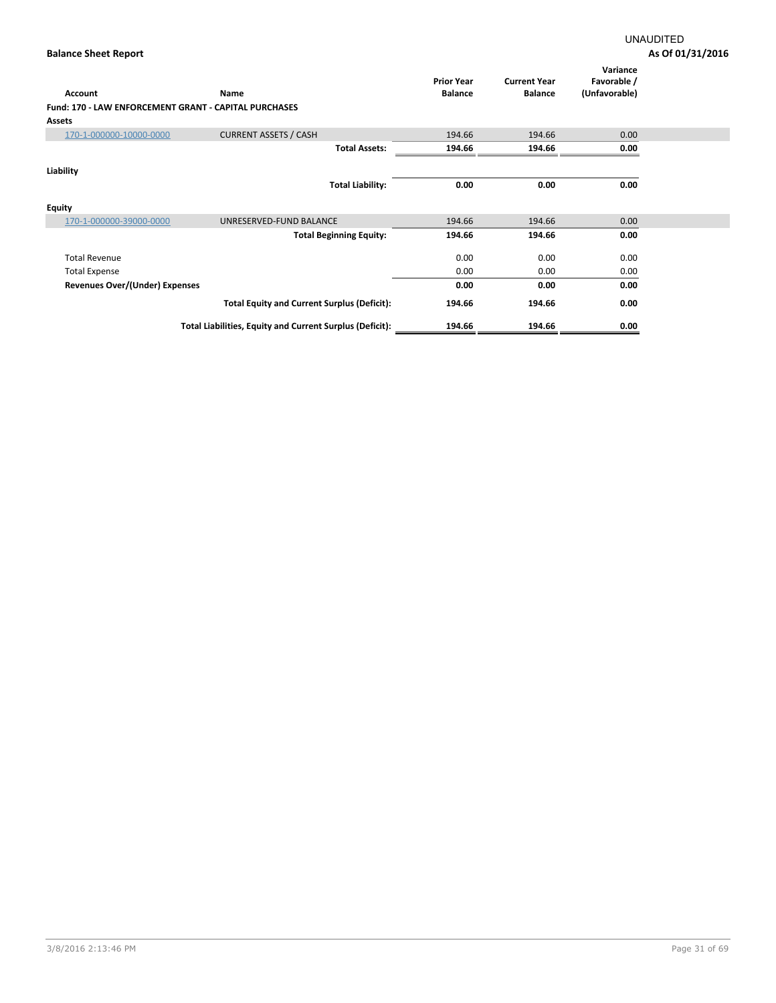| Account                                                      | Name                                                     | <b>Prior Year</b><br><b>Balance</b> | <b>Current Year</b><br><b>Balance</b> | Variance<br>Favorable /<br>(Unfavorable) |  |
|--------------------------------------------------------------|----------------------------------------------------------|-------------------------------------|---------------------------------------|------------------------------------------|--|
| <b>Fund: 170 - LAW ENFORCEMENT GRANT - CAPITAL PURCHASES</b> |                                                          |                                     |                                       |                                          |  |
| <b>Assets</b>                                                |                                                          |                                     |                                       |                                          |  |
| 170-1-000000-10000-0000                                      | <b>CURRENT ASSETS / CASH</b>                             | 194.66                              | 194.66                                | 0.00                                     |  |
|                                                              | <b>Total Assets:</b>                                     | 194.66                              | 194.66                                | 0.00                                     |  |
| Liability                                                    |                                                          |                                     |                                       |                                          |  |
|                                                              | <b>Total Liability:</b>                                  | 0.00                                | 0.00                                  | 0.00                                     |  |
| Equity                                                       |                                                          |                                     |                                       |                                          |  |
| 170-1-000000-39000-0000                                      | UNRESERVED-FUND BALANCE                                  | 194.66                              | 194.66                                | 0.00                                     |  |
|                                                              | <b>Total Beginning Equity:</b>                           | 194.66                              | 194.66                                | 0.00                                     |  |
| <b>Total Revenue</b>                                         |                                                          | 0.00                                | 0.00                                  | 0.00                                     |  |
| <b>Total Expense</b>                                         |                                                          | 0.00                                | 0.00                                  | 0.00                                     |  |
| Revenues Over/(Under) Expenses                               |                                                          | 0.00                                | 0.00                                  | 0.00                                     |  |
|                                                              | <b>Total Equity and Current Surplus (Deficit):</b>       | 194.66                              | 194.66                                | 0.00                                     |  |
|                                                              | Total Liabilities, Equity and Current Surplus (Deficit): | 194.66                              | 194.66                                | 0.00                                     |  |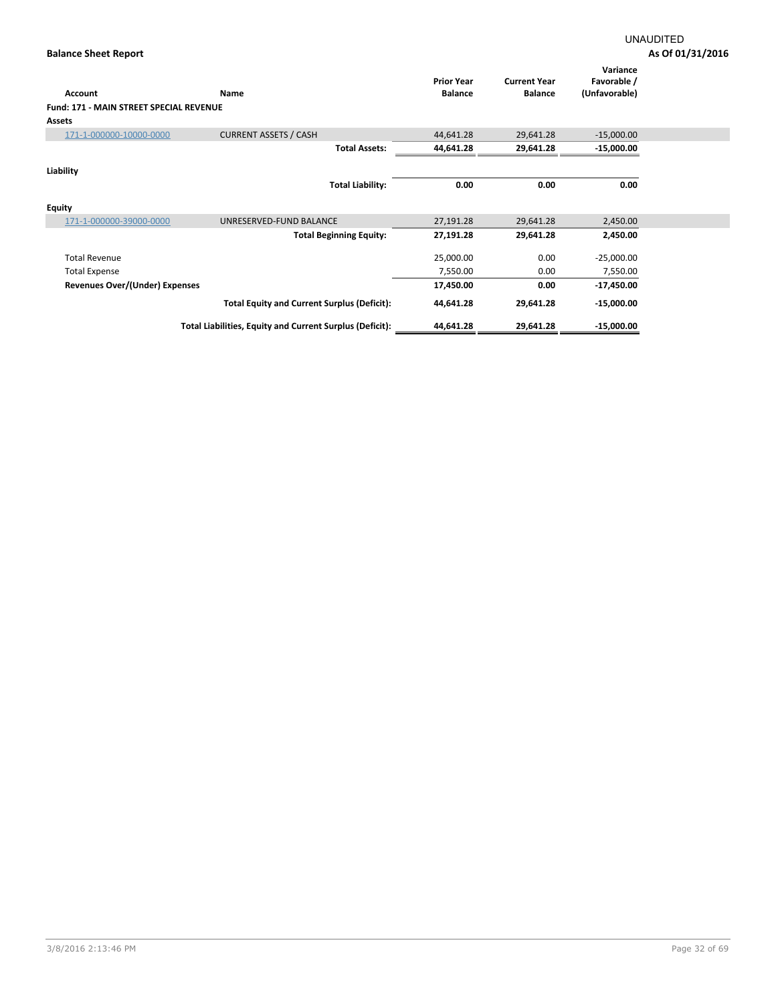| <b>Account</b>                          | Name                                                     | <b>Prior Year</b><br><b>Balance</b> | <b>Current Year</b><br><b>Balance</b> | Variance<br>Favorable /<br>(Unfavorable) |
|-----------------------------------------|----------------------------------------------------------|-------------------------------------|---------------------------------------|------------------------------------------|
| Fund: 171 - MAIN STREET SPECIAL REVENUE |                                                          |                                     |                                       |                                          |
| <b>Assets</b>                           |                                                          |                                     |                                       |                                          |
| 171-1-000000-10000-0000                 | <b>CURRENT ASSETS / CASH</b>                             | 44,641.28                           | 29,641.28                             | $-15,000.00$                             |
|                                         | <b>Total Assets:</b>                                     | 44,641.28                           | 29,641.28                             | $-15,000.00$                             |
| Liability                               |                                                          |                                     |                                       |                                          |
|                                         | <b>Total Liability:</b>                                  | 0.00                                | 0.00                                  | 0.00                                     |
| <b>Equity</b>                           |                                                          |                                     |                                       |                                          |
| 171-1-000000-39000-0000                 | UNRESERVED-FUND BALANCE                                  | 27,191.28                           | 29,641.28                             | 2,450.00                                 |
|                                         | <b>Total Beginning Equity:</b>                           | 27,191.28                           | 29,641.28                             | 2,450.00                                 |
| <b>Total Revenue</b>                    |                                                          | 25,000.00                           | 0.00                                  | $-25,000.00$                             |
| <b>Total Expense</b>                    |                                                          | 7,550.00                            | 0.00                                  | 7,550.00                                 |
| <b>Revenues Over/(Under) Expenses</b>   |                                                          | 17,450.00                           | 0.00                                  | $-17,450.00$                             |
|                                         | <b>Total Equity and Current Surplus (Deficit):</b>       | 44,641.28                           | 29,641.28                             | $-15,000.00$                             |
|                                         | Total Liabilities, Equity and Current Surplus (Deficit): | 44,641.28                           | 29,641.28                             | $-15,000.00$                             |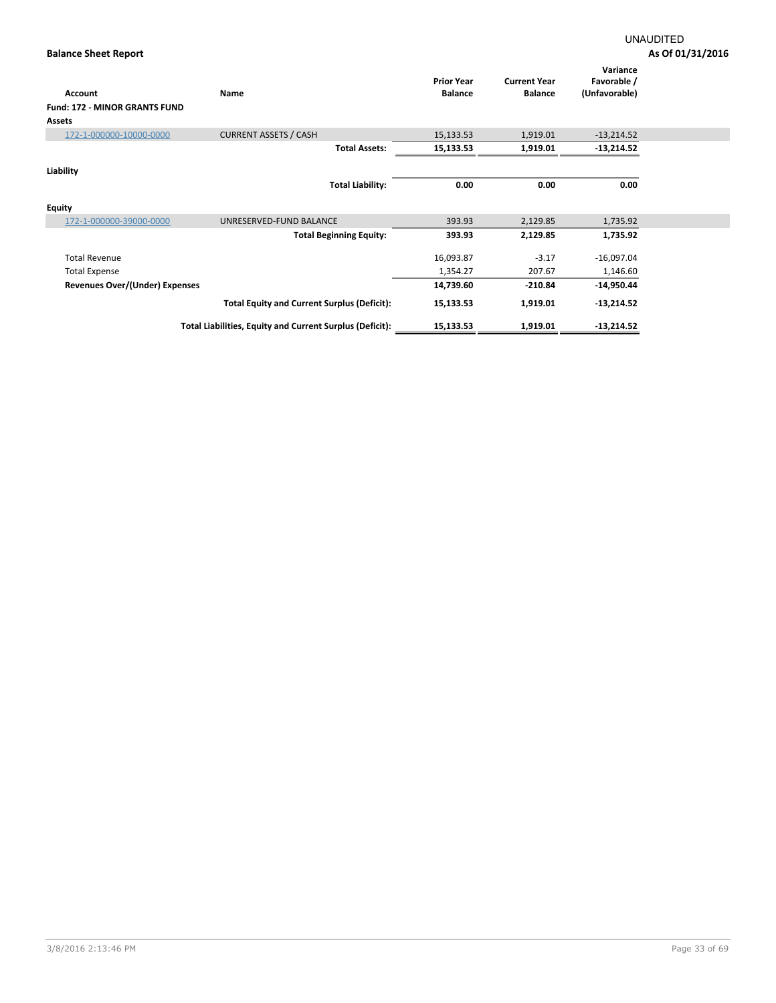| Account                              | Name                                                     | <b>Prior Year</b><br><b>Balance</b> | <b>Current Year</b><br><b>Balance</b> | Variance<br>Favorable /<br>(Unfavorable) |  |
|--------------------------------------|----------------------------------------------------------|-------------------------------------|---------------------------------------|------------------------------------------|--|
| <b>Fund: 172 - MINOR GRANTS FUND</b> |                                                          |                                     |                                       |                                          |  |
| <b>Assets</b>                        |                                                          |                                     |                                       |                                          |  |
| 172-1-000000-10000-0000              | <b>CURRENT ASSETS / CASH</b>                             | 15,133.53                           | 1,919.01                              | $-13,214.52$                             |  |
|                                      | <b>Total Assets:</b>                                     | 15,133.53                           | 1,919.01                              | $-13,214.52$                             |  |
| Liability                            |                                                          |                                     |                                       |                                          |  |
|                                      | <b>Total Liability:</b>                                  | 0.00                                | 0.00                                  | 0.00                                     |  |
| <b>Equity</b>                        |                                                          |                                     |                                       |                                          |  |
| 172-1-000000-39000-0000              | UNRESERVED-FUND BALANCE                                  | 393.93                              | 2,129.85                              | 1,735.92                                 |  |
|                                      | <b>Total Beginning Equity:</b>                           | 393.93                              | 2,129.85                              | 1,735.92                                 |  |
| <b>Total Revenue</b>                 |                                                          | 16,093.87                           | $-3.17$                               | $-16,097.04$                             |  |
| <b>Total Expense</b>                 |                                                          | 1,354.27                            | 207.67                                | 1,146.60                                 |  |
| Revenues Over/(Under) Expenses       |                                                          | 14,739.60                           | $-210.84$                             | $-14,950.44$                             |  |
|                                      | <b>Total Equity and Current Surplus (Deficit):</b>       | 15,133.53                           | 1,919.01                              | $-13,214.52$                             |  |
|                                      | Total Liabilities, Equity and Current Surplus (Deficit): | 15,133.53                           | 1,919.01                              | $-13,214.52$                             |  |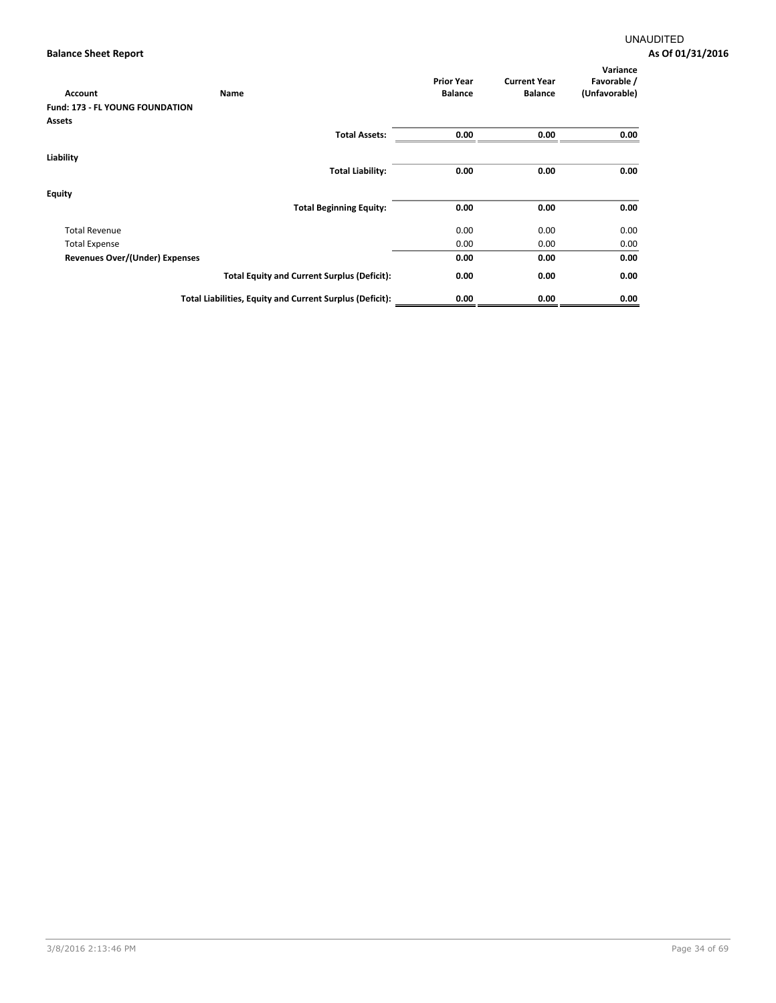| Account                                | Name                                                     | <b>Prior Year</b><br><b>Balance</b> | <b>Current Year</b><br><b>Balance</b> | Variance<br>Favorable /<br>(Unfavorable) |
|----------------------------------------|----------------------------------------------------------|-------------------------------------|---------------------------------------|------------------------------------------|
| <b>Fund: 173 - FL YOUNG FOUNDATION</b> |                                                          |                                     |                                       |                                          |
| Assets                                 |                                                          |                                     |                                       |                                          |
|                                        | <b>Total Assets:</b>                                     | 0.00                                | 0.00                                  | 0.00                                     |
| Liability                              |                                                          |                                     |                                       |                                          |
|                                        | <b>Total Liability:</b>                                  | 0.00                                | 0.00                                  | 0.00                                     |
| <b>Equity</b>                          |                                                          |                                     |                                       |                                          |
|                                        | <b>Total Beginning Equity:</b>                           | 0.00                                | 0.00                                  | 0.00                                     |
| <b>Total Revenue</b>                   |                                                          | 0.00                                | 0.00                                  | 0.00                                     |
| <b>Total Expense</b>                   |                                                          | 0.00                                | 0.00                                  | 0.00                                     |
| <b>Revenues Over/(Under) Expenses</b>  |                                                          | 0.00                                | 0.00                                  | 0.00                                     |
|                                        | <b>Total Equity and Current Surplus (Deficit):</b>       | 0.00                                | 0.00                                  | 0.00                                     |
|                                        | Total Liabilities, Equity and Current Surplus (Deficit): | 0.00                                | 0.00                                  | 0.00                                     |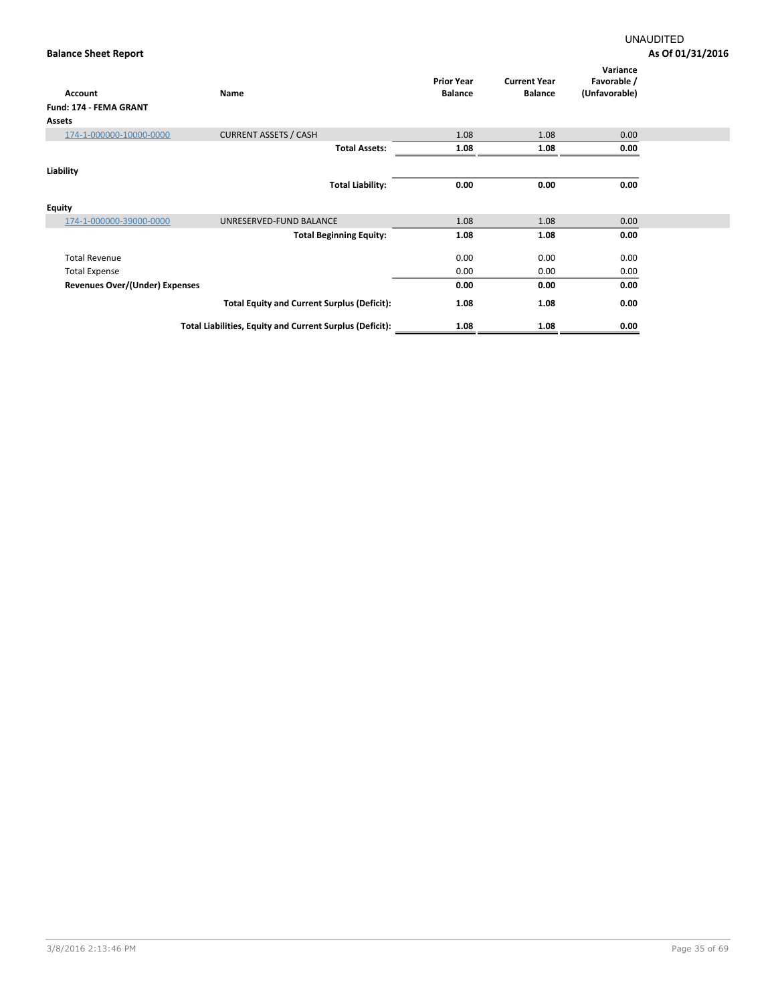| <b>Account</b>                        | Name                                                     | <b>Prior Year</b><br><b>Balance</b> | <b>Current Year</b><br><b>Balance</b> | Variance<br>Favorable /<br>(Unfavorable) |  |
|---------------------------------------|----------------------------------------------------------|-------------------------------------|---------------------------------------|------------------------------------------|--|
| Fund: 174 - FEMA GRANT                |                                                          |                                     |                                       |                                          |  |
| <b>Assets</b>                         |                                                          |                                     |                                       |                                          |  |
| 174-1-000000-10000-0000               | <b>CURRENT ASSETS / CASH</b>                             | 1.08                                | 1.08                                  | 0.00                                     |  |
|                                       | <b>Total Assets:</b>                                     | 1.08                                | 1.08                                  | 0.00                                     |  |
| Liability                             |                                                          |                                     |                                       |                                          |  |
|                                       | <b>Total Liability:</b>                                  | 0.00                                | 0.00                                  | 0.00                                     |  |
| Equity                                |                                                          |                                     |                                       |                                          |  |
| 174-1-000000-39000-0000               | UNRESERVED-FUND BALANCE                                  | 1.08                                | 1.08                                  | 0.00                                     |  |
|                                       | <b>Total Beginning Equity:</b>                           | 1.08                                | 1.08                                  | 0.00                                     |  |
| <b>Total Revenue</b>                  |                                                          | 0.00                                | 0.00                                  | 0.00                                     |  |
| <b>Total Expense</b>                  |                                                          | 0.00                                | 0.00                                  | 0.00                                     |  |
| <b>Revenues Over/(Under) Expenses</b> |                                                          | 0.00                                | 0.00                                  | 0.00                                     |  |
|                                       | <b>Total Equity and Current Surplus (Deficit):</b>       | 1.08                                | 1.08                                  | 0.00                                     |  |
|                                       | Total Liabilities, Equity and Current Surplus (Deficit): | 1.08                                | 1.08                                  | 0.00                                     |  |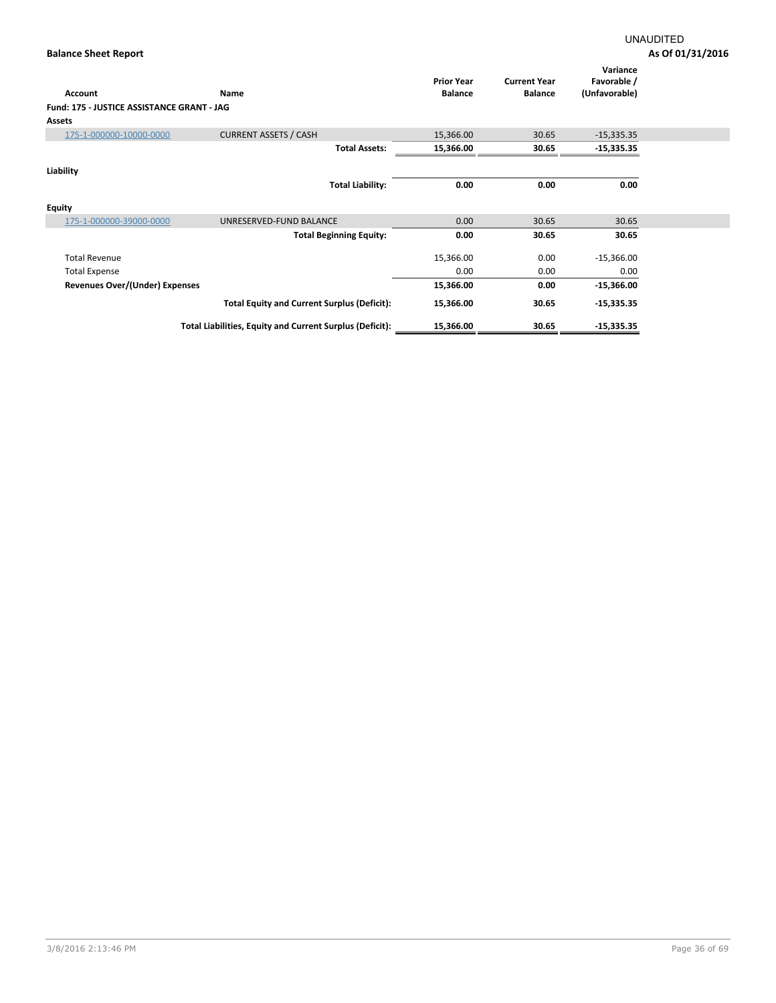| <b>Account</b>                             | Name                                                     | <b>Prior Year</b><br><b>Balance</b> | <b>Current Year</b><br><b>Balance</b> | Variance<br>Favorable /<br>(Unfavorable) |  |
|--------------------------------------------|----------------------------------------------------------|-------------------------------------|---------------------------------------|------------------------------------------|--|
| Fund: 175 - JUSTICE ASSISTANCE GRANT - JAG |                                                          |                                     |                                       |                                          |  |
|                                            |                                                          |                                     |                                       |                                          |  |
| Assets                                     |                                                          |                                     |                                       |                                          |  |
| 175-1-000000-10000-0000                    | <b>CURRENT ASSETS / CASH</b>                             | 15,366.00                           | 30.65                                 | $-15,335.35$                             |  |
|                                            | <b>Total Assets:</b>                                     | 15,366.00                           | 30.65                                 | $-15,335.35$                             |  |
| Liability                                  |                                                          |                                     |                                       |                                          |  |
|                                            | <b>Total Liability:</b>                                  | 0.00                                | 0.00                                  | 0.00                                     |  |
| Equity                                     |                                                          |                                     |                                       |                                          |  |
| 175-1-000000-39000-0000                    | UNRESERVED-FUND BALANCE                                  | 0.00                                | 30.65                                 | 30.65                                    |  |
|                                            | <b>Total Beginning Equity:</b>                           | 0.00                                | 30.65                                 | 30.65                                    |  |
| <b>Total Revenue</b>                       |                                                          | 15,366.00                           | 0.00                                  | $-15,366.00$                             |  |
| <b>Total Expense</b>                       |                                                          | 0.00                                | 0.00                                  | 0.00                                     |  |
| <b>Revenues Over/(Under) Expenses</b>      |                                                          | 15,366.00                           | 0.00                                  | $-15,366.00$                             |  |
|                                            | <b>Total Equity and Current Surplus (Deficit):</b>       | 15,366.00                           | 30.65                                 | $-15,335.35$                             |  |
|                                            | Total Liabilities, Equity and Current Surplus (Deficit): | 15,366.00                           | 30.65                                 | $-15,335.35$                             |  |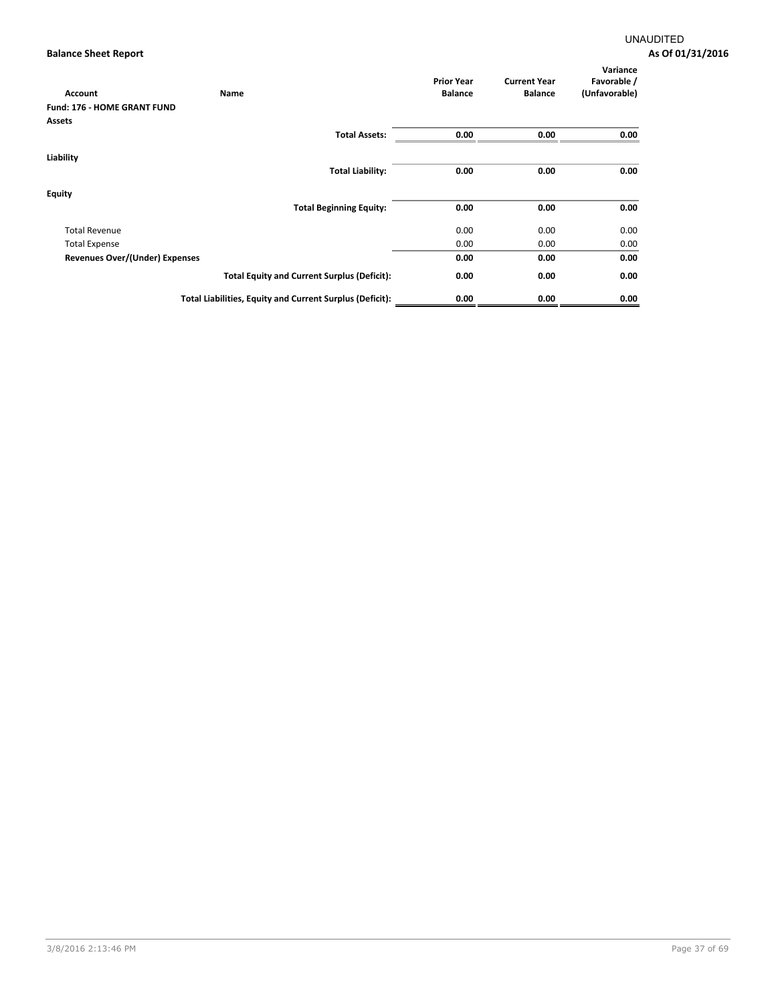| Account                               | Name                                                     | <b>Prior Year</b><br><b>Balance</b> | <b>Current Year</b><br><b>Balance</b> | Variance<br>Favorable /<br>(Unfavorable) |
|---------------------------------------|----------------------------------------------------------|-------------------------------------|---------------------------------------|------------------------------------------|
| <b>Fund: 176 - HOME GRANT FUND</b>    |                                                          |                                     |                                       |                                          |
| Assets                                |                                                          |                                     |                                       |                                          |
|                                       | <b>Total Assets:</b>                                     | 0.00                                | 0.00                                  | 0.00                                     |
| Liability                             |                                                          |                                     |                                       |                                          |
|                                       | <b>Total Liability:</b>                                  | 0.00                                | 0.00                                  | 0.00                                     |
| <b>Equity</b>                         |                                                          |                                     |                                       |                                          |
|                                       | <b>Total Beginning Equity:</b>                           | 0.00                                | 0.00                                  | 0.00                                     |
| <b>Total Revenue</b>                  |                                                          | 0.00                                | 0.00                                  | 0.00                                     |
| <b>Total Expense</b>                  |                                                          | 0.00                                | 0.00                                  | 0.00                                     |
| <b>Revenues Over/(Under) Expenses</b> |                                                          | 0.00                                | 0.00                                  | 0.00                                     |
|                                       | <b>Total Equity and Current Surplus (Deficit):</b>       | 0.00                                | 0.00                                  | 0.00                                     |
|                                       | Total Liabilities, Equity and Current Surplus (Deficit): | 0.00                                | 0.00                                  | 0.00                                     |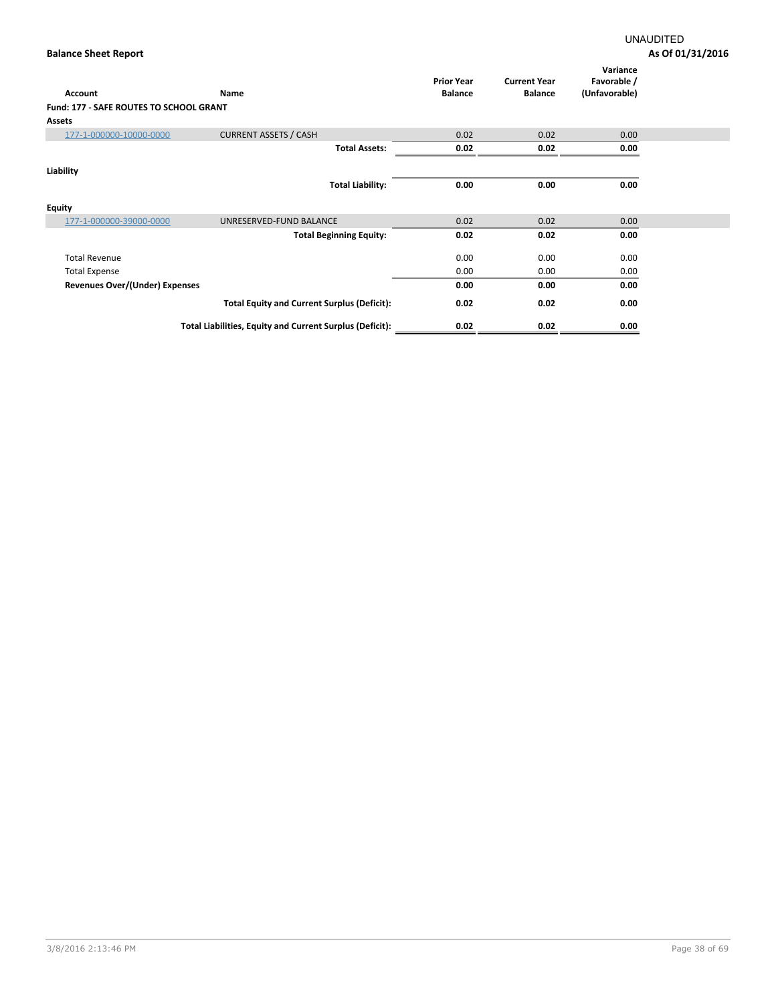| <b>Account</b>                          | Name                                                     | <b>Prior Year</b><br><b>Balance</b> | <b>Current Year</b><br><b>Balance</b> | Variance<br>Favorable /<br>(Unfavorable) |  |
|-----------------------------------------|----------------------------------------------------------|-------------------------------------|---------------------------------------|------------------------------------------|--|
| Fund: 177 - SAFE ROUTES TO SCHOOL GRANT |                                                          |                                     |                                       |                                          |  |
| <b>Assets</b>                           |                                                          |                                     |                                       |                                          |  |
| 177-1-000000-10000-0000                 | <b>CURRENT ASSETS / CASH</b>                             | 0.02                                | 0.02                                  | 0.00                                     |  |
|                                         | <b>Total Assets:</b>                                     | 0.02                                | 0.02                                  | 0.00                                     |  |
| Liability                               |                                                          |                                     |                                       |                                          |  |
|                                         | <b>Total Liability:</b>                                  | 0.00                                | 0.00                                  | 0.00                                     |  |
| <b>Equity</b>                           |                                                          |                                     |                                       |                                          |  |
| 177-1-000000-39000-0000                 | UNRESERVED-FUND BALANCE                                  | 0.02                                | 0.02                                  | 0.00                                     |  |
|                                         | <b>Total Beginning Equity:</b>                           | 0.02                                | 0.02                                  | 0.00                                     |  |
| <b>Total Revenue</b>                    |                                                          | 0.00                                | 0.00                                  | 0.00                                     |  |
| <b>Total Expense</b>                    |                                                          | 0.00                                | 0.00                                  | 0.00                                     |  |
| Revenues Over/(Under) Expenses          |                                                          | 0.00                                | 0.00                                  | 0.00                                     |  |
|                                         | <b>Total Equity and Current Surplus (Deficit):</b>       | 0.02                                | 0.02                                  | 0.00                                     |  |
|                                         | Total Liabilities, Equity and Current Surplus (Deficit): | 0.02                                | 0.02                                  | 0.00                                     |  |
|                                         |                                                          |                                     |                                       |                                          |  |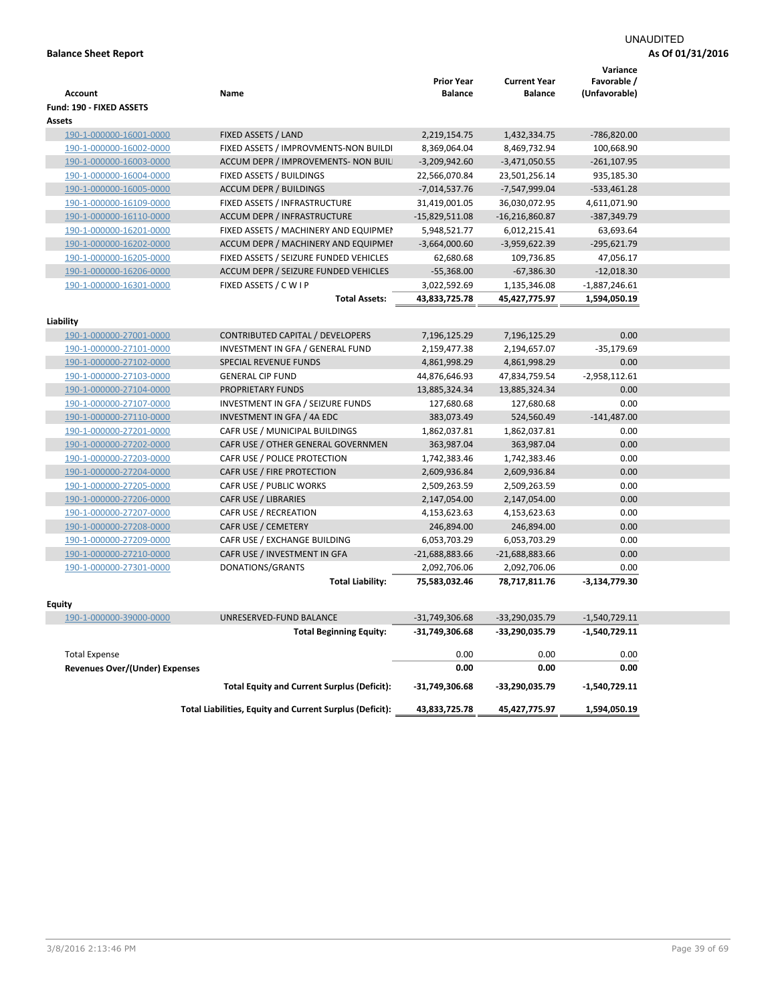# UNAUDITED

|                                       |                                                                  |                              |                     | Variance             |  |
|---------------------------------------|------------------------------------------------------------------|------------------------------|---------------------|----------------------|--|
|                                       |                                                                  | <b>Prior Year</b>            | <b>Current Year</b> | Favorable /          |  |
| <b>Account</b>                        | Name                                                             | <b>Balance</b>               | <b>Balance</b>      | (Unfavorable)        |  |
| Fund: 190 - FIXED ASSETS              |                                                                  |                              |                     |                      |  |
| <b>Assets</b>                         |                                                                  |                              |                     |                      |  |
| 190-1-000000-16001-0000               | FIXED ASSETS / LAND                                              | 2,219,154.75                 | 1,432,334.75        | -786,820.00          |  |
| 190-1-000000-16002-0000               | FIXED ASSETS / IMPROVMENTS-NON BUILDI                            | 8,369,064.04                 | 8,469,732.94        | 100,668.90           |  |
| 190-1-000000-16003-0000               | ACCUM DEPR / IMPROVEMENTS- NON BUIL                              | $-3,209,942.60$              | $-3,471,050.55$     | $-261, 107.95$       |  |
| 190-1-000000-16004-0000               | FIXED ASSETS / BUILDINGS                                         | 22,566,070.84                | 23,501,256.14       | 935,185.30           |  |
| 190-1-000000-16005-0000               | <b>ACCUM DEPR / BUILDINGS</b>                                    | $-7,014,537.76$              | -7,547,999.04       | $-533,461.28$        |  |
| 190-1-000000-16109-0000               | FIXED ASSETS / INFRASTRUCTURE                                    | 31,419,001.05                | 36,030,072.95       | 4,611,071.90         |  |
| 190-1-000000-16110-0000               | <b>ACCUM DEPR / INFRASTRUCTURE</b>                               | -15,829,511.08               | $-16,216,860.87$    | -387,349.79          |  |
| 190-1-000000-16201-0000               | FIXED ASSETS / MACHINERY AND EQUIPMEN                            | 5,948,521.77                 | 6,012,215.41        | 63,693.64            |  |
| 190-1-000000-16202-0000               | ACCUM DEPR / MACHINERY AND EQUIPMEI                              | $-3,664,000.60$              | $-3,959,622.39$     | $-295,621.79$        |  |
| 190-1-000000-16205-0000               | FIXED ASSETS / SEIZURE FUNDED VEHICLES                           | 62,680.68                    | 109,736.85          | 47,056.17            |  |
| 190-1-000000-16206-0000               | ACCUM DEPR / SEIZURE FUNDED VEHICLES                             | $-55,368.00$                 | $-67,386.30$        | $-12,018.30$         |  |
| 190-1-000000-16301-0000               | FIXED ASSETS / C W I P                                           | 3,022,592.69                 | 1,135,346.08        | $-1,887,246.61$      |  |
|                                       | <b>Total Assets:</b>                                             | 43,833,725.78                | 45,427,775.97       | 1,594,050.19         |  |
|                                       |                                                                  |                              |                     |                      |  |
| Liability                             |                                                                  |                              |                     |                      |  |
| 190-1-000000-27001-0000               | CONTRIBUTED CAPITAL / DEVELOPERS                                 | 7,196,125.29                 | 7,196,125.29        | 0.00                 |  |
| 190-1-000000-27101-0000               | INVESTMENT IN GFA / GENERAL FUND<br><b>SPECIAL REVENUE FUNDS</b> | 2,159,477.38<br>4,861,998.29 | 2,194,657.07        | $-35,179.69$<br>0.00 |  |
| 190-1-000000-27102-0000               |                                                                  |                              | 4,861,998.29        |                      |  |
| 190-1-000000-27103-0000               | <b>GENERAL CIP FUND</b>                                          | 44,876,646.93                | 47,834,759.54       | $-2,958,112.61$      |  |
| 190-1-000000-27104-0000               | PROPRIETARY FUNDS                                                | 13,885,324.34                | 13,885,324.34       | 0.00                 |  |
| 190-1-000000-27107-0000               | INVESTMENT IN GFA / SEIZURE FUNDS                                | 127,680.68                   | 127,680.68          | 0.00                 |  |
| 190-1-000000-27110-0000               | INVESTMENT IN GFA / 4A EDC                                       | 383,073.49                   | 524,560.49          | $-141,487.00$        |  |
| 190-1-000000-27201-0000               | CAFR USE / MUNICIPAL BUILDINGS                                   | 1,862,037.81                 | 1,862,037.81        | 0.00                 |  |
| 190-1-000000-27202-0000               | CAFR USE / OTHER GENERAL GOVERNMEN                               | 363,987.04                   | 363,987.04          | 0.00                 |  |
| 190-1-000000-27203-0000               | CAFR USE / POLICE PROTECTION                                     | 1,742,383.46                 | 1,742,383.46        | 0.00                 |  |
| 190-1-000000-27204-0000               | CAFR USE / FIRE PROTECTION                                       | 2,609,936.84                 | 2,609,936.84        | 0.00                 |  |
| 190-1-000000-27205-0000               | CAFR USE / PUBLIC WORKS                                          | 2,509,263.59                 | 2,509,263.59        | 0.00                 |  |
| 190-1-000000-27206-0000               | CAFR USE / LIBRARIES                                             | 2,147,054.00                 | 2,147,054.00        | 0.00                 |  |
| 190-1-000000-27207-0000               | CAFR USE / RECREATION                                            | 4,153,623.63                 | 4,153,623.63        | 0.00                 |  |
| 190-1-000000-27208-0000               | CAFR USE / CEMETERY                                              | 246,894.00                   | 246,894.00          | 0.00                 |  |
| 190-1-000000-27209-0000               | CAFR USE / EXCHANGE BUILDING                                     | 6,053,703.29                 | 6,053,703.29        | 0.00                 |  |
| 190-1-000000-27210-0000               | CAFR USE / INVESTMENT IN GFA                                     | $-21,688,883.66$             | $-21,688,883.66$    | 0.00                 |  |
| 190-1-000000-27301-0000               | DONATIONS/GRANTS                                                 | 2,092,706.06                 | 2,092,706.06        | 0.00                 |  |
|                                       | <b>Total Liability:</b>                                          | 75,583,032.46                | 78,717,811.76       | $-3,134,779.30$      |  |
| <b>Equity</b>                         |                                                                  |                              |                     |                      |  |
| 190-1-000000-39000-0000               | UNRESERVED-FUND BALANCE                                          | $-31,749,306.68$             | -33,290,035.79      | $-1,540,729.11$      |  |
|                                       | <b>Total Beginning Equity:</b>                                   | -31,749,306.68               | -33,290,035.79      | $-1,540,729.11$      |  |
|                                       |                                                                  |                              |                     |                      |  |
| <b>Total Expense</b>                  |                                                                  | 0.00                         | 0.00                | 0.00                 |  |
| <b>Revenues Over/(Under) Expenses</b> |                                                                  | 0.00                         | 0.00                | 0.00                 |  |
|                                       | <b>Total Equity and Current Surplus (Deficit):</b>               | -31,749,306.68               | -33,290,035.79      | $-1,540,729.11$      |  |
|                                       | Total Liabilities, Equity and Current Surplus (Deficit):         | 43,833,725.78                | 45,427,775.97       | 1,594,050.19         |  |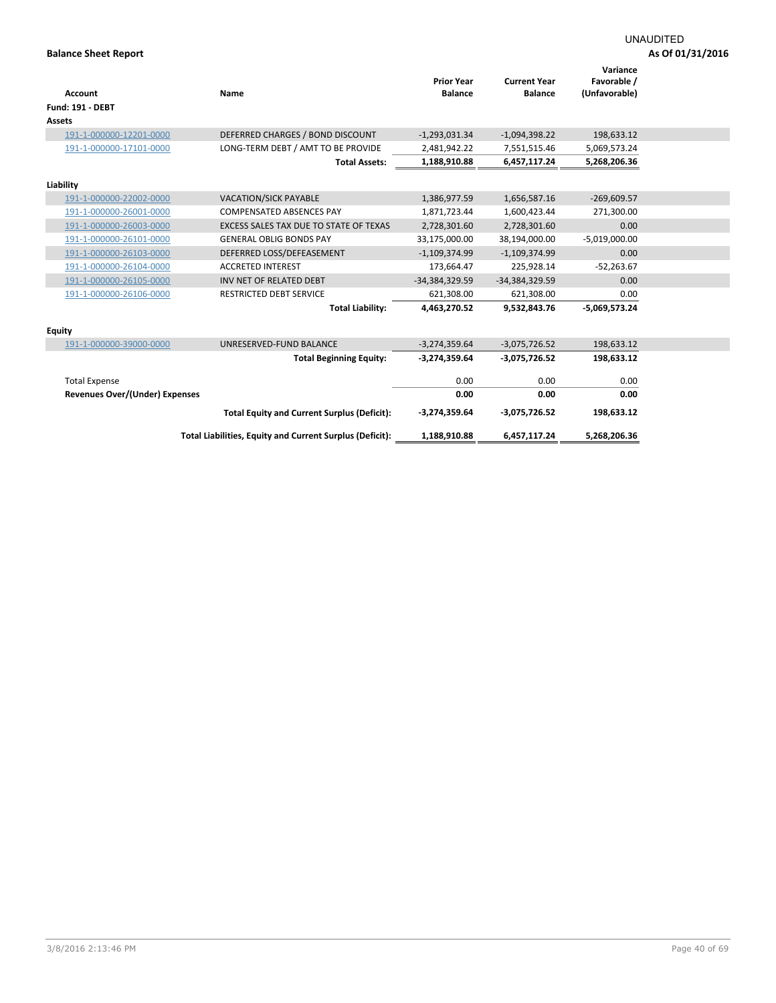|                                       |                                                          | <b>Prior Year</b> | <b>Current Year</b> | Variance<br>Favorable / |  |
|---------------------------------------|----------------------------------------------------------|-------------------|---------------------|-------------------------|--|
| <b>Account</b>                        | Name                                                     | <b>Balance</b>    | <b>Balance</b>      | (Unfavorable)           |  |
| <b>Fund: 191 - DEBT</b>               |                                                          |                   |                     |                         |  |
| <b>Assets</b>                         |                                                          |                   |                     |                         |  |
| 191-1-000000-12201-0000               | DEFERRED CHARGES / BOND DISCOUNT                         | $-1,293,031.34$   | $-1,094,398.22$     | 198,633.12              |  |
| 191-1-000000-17101-0000               | LONG-TERM DEBT / AMT TO BE PROVIDE                       | 2,481,942.22      | 7,551,515.46        | 5,069,573.24            |  |
|                                       | <b>Total Assets:</b>                                     | 1,188,910.88      | 6,457,117.24        | 5,268,206.36            |  |
| Liability                             |                                                          |                   |                     |                         |  |
| 191-1-000000-22002-0000               | <b>VACATION/SICK PAYABLE</b>                             | 1,386,977.59      | 1,656,587.16        | $-269,609.57$           |  |
| 191-1-000000-26001-0000               | <b>COMPENSATED ABSENCES PAY</b>                          | 1,871,723.44      | 1,600,423.44        | 271,300.00              |  |
| 191-1-000000-26003-0000               | EXCESS SALES TAX DUE TO STATE OF TEXAS                   | 2,728,301.60      | 2,728,301.60        | 0.00                    |  |
| 191-1-000000-26101-0000               | <b>GENERAL OBLIG BONDS PAY</b>                           | 33,175,000.00     | 38,194,000.00       | $-5,019,000.00$         |  |
| 191-1-000000-26103-0000               | DEFERRED LOSS/DEFEASEMENT                                | $-1,109,374.99$   | $-1,109,374.99$     | 0.00                    |  |
| 191-1-000000-26104-0000               | <b>ACCRETED INTEREST</b>                                 | 173,664.47        | 225,928.14          | $-52,263.67$            |  |
| 191-1-000000-26105-0000               | INV NET OF RELATED DEBT                                  | $-34,384,329.59$  | -34,384,329.59      | 0.00                    |  |
| 191-1-000000-26106-0000               | RESTRICTED DEBT SERVICE                                  | 621,308.00        | 621,308.00          | 0.00                    |  |
|                                       | <b>Total Liability:</b>                                  | 4,463,270.52      | 9,532,843.76        | $-5,069,573.24$         |  |
| <b>Equity</b>                         |                                                          |                   |                     |                         |  |
| 191-1-000000-39000-0000               | UNRESERVED-FUND BALANCE                                  | $-3,274,359.64$   | $-3,075,726.52$     | 198,633.12              |  |
|                                       | <b>Total Beginning Equity:</b>                           | -3,274,359.64     | -3,075,726.52       | 198,633.12              |  |
| <b>Total Expense</b>                  |                                                          | 0.00              | 0.00                | 0.00                    |  |
| <b>Revenues Over/(Under) Expenses</b> |                                                          | 0.00              | 0.00                | 0.00                    |  |
|                                       | <b>Total Equity and Current Surplus (Deficit):</b>       | $-3,274,359.64$   | $-3,075,726.52$     | 198,633.12              |  |
|                                       | Total Liabilities, Equity and Current Surplus (Deficit): | 1,188,910.88      | 6,457,117.24        | 5,268,206.36            |  |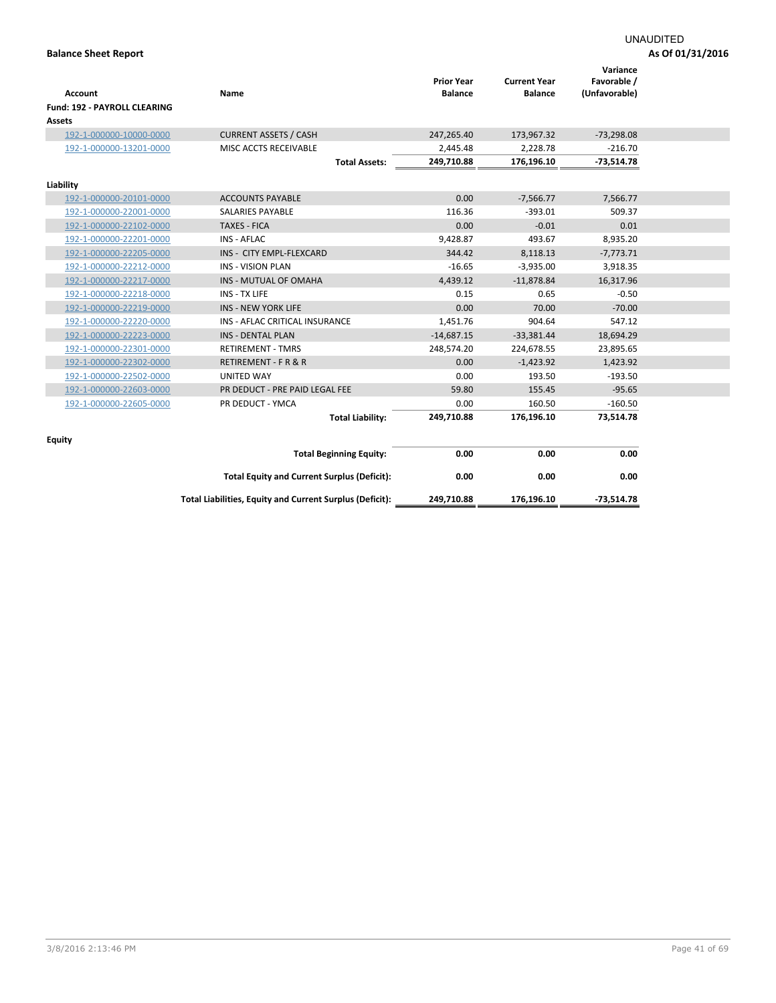| Account<br><b>Fund: 192 - PAYROLL CLEARING</b> | Name                                                     | <b>Prior Year</b><br><b>Balance</b> | <b>Current Year</b><br><b>Balance</b> | Variance<br>Favorable /<br>(Unfavorable) |  |
|------------------------------------------------|----------------------------------------------------------|-------------------------------------|---------------------------------------|------------------------------------------|--|
| Assets                                         |                                                          |                                     |                                       |                                          |  |
| 192-1-000000-10000-0000                        | <b>CURRENT ASSETS / CASH</b>                             | 247,265.40                          | 173,967.32                            | $-73,298.08$                             |  |
| 192-1-000000-13201-0000                        | MISC ACCTS RECEIVABLE                                    | 2,445.48                            | 2,228.78                              | $-216.70$                                |  |
|                                                | <b>Total Assets:</b>                                     | 249,710.88                          | 176,196.10                            | $-73,514.78$                             |  |
| Liability                                      |                                                          |                                     |                                       |                                          |  |
| 192-1-000000-20101-0000                        | <b>ACCOUNTS PAYABLE</b>                                  | 0.00                                | $-7,566.77$                           | 7,566.77                                 |  |
| 192-1-000000-22001-0000                        | <b>SALARIES PAYABLE</b>                                  | 116.36                              | $-393.01$                             | 509.37                                   |  |
| 192-1-000000-22102-0000                        | <b>TAXES - FICA</b>                                      | 0.00                                | $-0.01$                               | 0.01                                     |  |
| 192-1-000000-22201-0000                        | <b>INS - AFLAC</b>                                       | 9,428.87                            | 493.67                                | 8,935.20                                 |  |
| 192-1-000000-22205-0000                        | INS - CITY EMPL-FLEXCARD                                 | 344.42                              | 8,118.13                              | $-7,773.71$                              |  |
| 192-1-000000-22212-0000                        | <b>INS - VISION PLAN</b>                                 | $-16.65$                            | $-3,935.00$                           | 3,918.35                                 |  |
| 192-1-000000-22217-0000                        | INS - MUTUAL OF OMAHA                                    | 4,439.12                            | $-11,878.84$                          | 16,317.96                                |  |
| 192-1-000000-22218-0000                        | INS - TX LIFE                                            | 0.15                                | 0.65                                  | $-0.50$                                  |  |
| 192-1-000000-22219-0000                        | <b>INS - NEW YORK LIFE</b>                               | 0.00                                | 70.00                                 | $-70.00$                                 |  |
| 192-1-000000-22220-0000                        | INS - AFLAC CRITICAL INSURANCE                           | 1,451.76                            | 904.64                                | 547.12                                   |  |
| 192-1-000000-22223-0000                        | INS - DENTAL PLAN                                        | $-14,687.15$                        | $-33,381.44$                          | 18,694.29                                |  |
| 192-1-000000-22301-0000                        | <b>RETIREMENT - TMRS</b>                                 | 248,574.20                          | 224,678.55                            | 23,895.65                                |  |
| 192-1-000000-22302-0000                        | RETIREMENT - F R & R                                     | 0.00                                | $-1,423.92$                           | 1,423.92                                 |  |
| 192-1-000000-22502-0000                        | UNITED WAY                                               | 0.00                                | 193.50                                | $-193.50$                                |  |
| 192-1-000000-22603-0000                        | PR DEDUCT - PRE PAID LEGAL FEE                           | 59.80                               | 155.45                                | $-95.65$                                 |  |
| 192-1-000000-22605-0000                        | PR DEDUCT - YMCA                                         | 0.00                                | 160.50                                | $-160.50$                                |  |
|                                                | <b>Total Liability:</b>                                  | 249,710.88                          | 176,196.10                            | 73,514.78                                |  |
|                                                |                                                          |                                     |                                       |                                          |  |
| <b>Equity</b>                                  | <b>Total Beginning Equity:</b>                           | 0.00                                | 0.00                                  | 0.00                                     |  |
|                                                |                                                          |                                     |                                       |                                          |  |
|                                                | <b>Total Equity and Current Surplus (Deficit):</b>       | 0.00                                | 0.00                                  | 0.00                                     |  |
|                                                | Total Liabilities, Equity and Current Surplus (Deficit): | 249,710.88                          | 176,196.10                            | $-73,514.78$                             |  |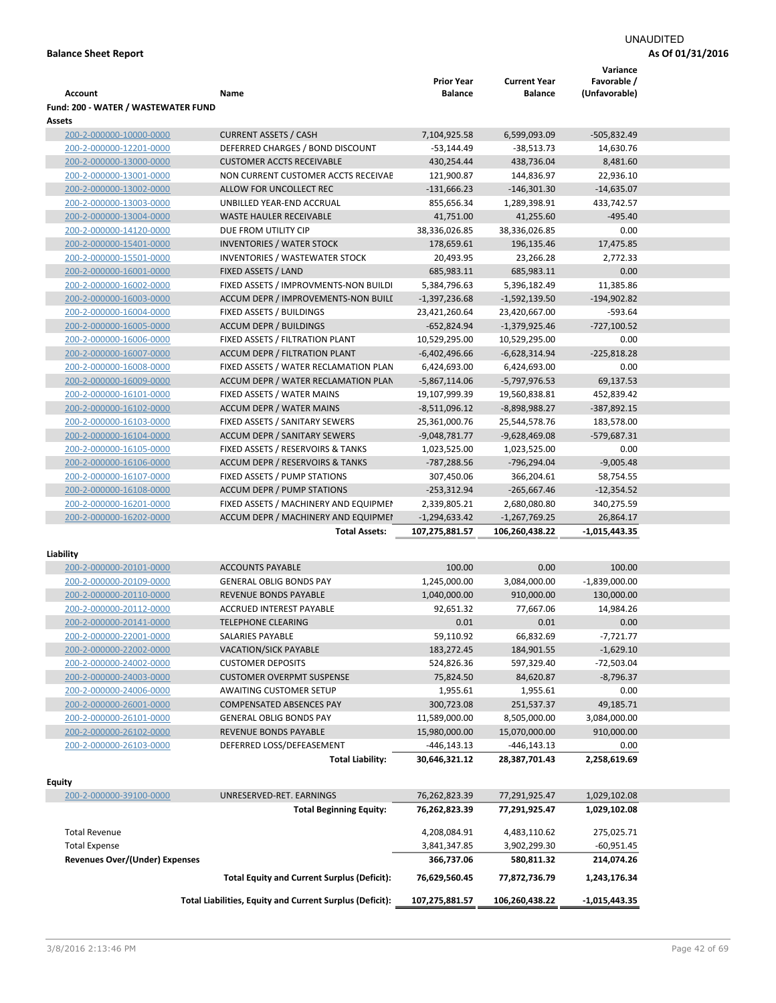# UNAUDITED

| Account                                              | Name                                                     | <b>Prior Year</b><br>Balance      | <b>Current Year</b><br><b>Balance</b> | Variance<br>Favorable /<br>(Unfavorable) |  |
|------------------------------------------------------|----------------------------------------------------------|-----------------------------------|---------------------------------------|------------------------------------------|--|
| Fund: 200 - WATER / WASTEWATER FUND<br><b>Assets</b> |                                                          |                                   |                                       |                                          |  |
| 200-2-000000-10000-0000                              | <b>CURRENT ASSETS / CASH</b>                             | 7,104,925.58                      | 6,599,093.09                          | $-505,832.49$                            |  |
| 200-2-000000-12201-0000                              | DEFERRED CHARGES / BOND DISCOUNT                         | $-53,144.49$                      | $-38,513.73$                          | 14,630.76                                |  |
| 200-2-000000-13000-0000                              | <b>CUSTOMER ACCTS RECEIVABLE</b>                         | 430,254.44                        | 438,736.04                            | 8,481.60                                 |  |
| 200-2-000000-13001-0000                              | NON CURRENT CUSTOMER ACCTS RECEIVAE                      | 121,900.87                        | 144,836.97                            | 22,936.10                                |  |
| 200-2-000000-13002-0000                              | ALLOW FOR UNCOLLECT REC                                  | $-131,666.23$                     | $-146,301.30$                         | $-14,635.07$                             |  |
| 200-2-000000-13003-0000                              | UNBILLED YEAR-END ACCRUAL                                | 855,656.34                        | 1,289,398.91                          | 433,742.57                               |  |
| 200-2-000000-13004-0000                              | <b>WASTE HAULER RECEIVABLE</b>                           | 41,751.00                         | 41,255.60                             | $-495.40$                                |  |
| 200-2-000000-14120-0000                              | DUE FROM UTILITY CIP                                     | 38,336,026.85                     | 38,336,026.85                         | 0.00                                     |  |
| 200-2-000000-15401-0000                              | <b>INVENTORIES / WATER STOCK</b>                         | 178,659.61                        | 196,135.46                            | 17,475.85                                |  |
| 200-2-000000-15501-0000                              | <b>INVENTORIES / WASTEWATER STOCK</b>                    | 20,493.95                         | 23,266.28                             | 2,772.33                                 |  |
| 200-2-000000-16001-0000                              | FIXED ASSETS / LAND                                      | 685,983.11                        | 685,983.11                            | 0.00                                     |  |
| 200-2-000000-16002-0000                              | FIXED ASSETS / IMPROVMENTS-NON BUILDI                    | 5,384,796.63                      | 5,396,182.49                          | 11,385.86                                |  |
| 200-2-000000-16003-0000                              | ACCUM DEPR / IMPROVEMENTS-NON BUILL                      | $-1,397,236.68$                   | $-1,592,139.50$                       | $-194,902.82$                            |  |
| 200-2-000000-16004-0000                              | FIXED ASSETS / BUILDINGS                                 | 23,421,260.64                     | 23,420,667.00                         | $-593.64$                                |  |
| 200-2-000000-16005-0000                              | <b>ACCUM DEPR / BUILDINGS</b>                            | $-652,824.94$                     | $-1,379,925.46$                       | $-727,100.52$                            |  |
| 200-2-000000-16006-0000                              | FIXED ASSETS / FILTRATION PLANT                          | 10,529,295.00                     | 10,529,295.00                         | 0.00                                     |  |
| 200-2-000000-16007-0000                              | ACCUM DEPR / FILTRATION PLANT                            | $-6,402,496.66$                   | $-6,628,314.94$                       | $-225,818.28$                            |  |
| 200-2-000000-16008-0000                              | FIXED ASSETS / WATER RECLAMATION PLAN                    | 6,424,693.00                      | 6,424,693.00                          | 0.00                                     |  |
| 200-2-000000-16009-0000                              | ACCUM DEPR / WATER RECLAMATION PLAN                      | $-5,867,114.06$                   | $-5,797,976.53$                       | 69,137.53                                |  |
| 200-2-000000-16101-0000                              | FIXED ASSETS / WATER MAINS                               | 19,107,999.39                     | 19,560,838.81                         | 452,839.42                               |  |
| 200-2-000000-16102-0000                              | <b>ACCUM DEPR / WATER MAINS</b>                          | $-8,511,096.12$                   | -8,898,988.27                         | $-387,892.15$                            |  |
| 200-2-000000-16103-0000                              | FIXED ASSETS / SANITARY SEWERS                           | 25,361,000.76                     | 25,544,578.76                         | 183,578.00                               |  |
| 200-2-000000-16104-0000                              | <b>ACCUM DEPR / SANITARY SEWERS</b>                      | $-9,048,781.77$                   | $-9,628,469.08$                       | $-579,687.31$                            |  |
| 200-2-000000-16105-0000                              | FIXED ASSETS / RESERVOIRS & TANKS                        | 1,023,525.00                      | 1,023,525.00                          | 0.00                                     |  |
| 200-2-000000-16106-0000                              | ACCUM DEPR / RESERVOIRS & TANKS                          | -787,288.56                       | -796,294.04                           | $-9,005.48$                              |  |
| 200-2-000000-16107-0000                              | FIXED ASSETS / PUMP STATIONS                             | 307,450.06                        | 366,204.61                            | 58,754.55                                |  |
| 200-2-000000-16108-0000                              | <b>ACCUM DEPR / PUMP STATIONS</b>                        | $-253,312.94$                     | $-265,667.46$                         | $-12,354.52$                             |  |
| 200-2-000000-16201-0000                              | FIXED ASSETS / MACHINERY AND EQUIPMEN                    | 2,339,805.21                      | 2,680,080.80                          | 340,275.59                               |  |
|                                                      |                                                          |                                   |                                       |                                          |  |
| 200-2-000000-16202-0000                              | ACCUM DEPR / MACHINERY AND EQUIPMEI                      | $-1,294,633.42$<br>107,275,881.57 | $-1,267,769.25$<br>106,260,438.22     | 26,864.17<br>$-1,015,443.35$             |  |
|                                                      | <b>Total Assets:</b>                                     |                                   |                                       |                                          |  |
| Liability                                            |                                                          |                                   |                                       |                                          |  |
| 200-2-000000-20101-0000                              | <b>ACCOUNTS PAYABLE</b>                                  | 100.00                            | 0.00                                  | 100.00                                   |  |
| 200-2-000000-20109-0000                              | <b>GENERAL OBLIG BONDS PAY</b>                           | 1,245,000.00                      | 3,084,000.00                          | $-1,839,000.00$                          |  |
| 200-2-000000-20110-0000                              | <b>REVENUE BONDS PAYABLE</b>                             | 1,040,000.00                      | 910,000.00                            | 130,000.00                               |  |
| 200-2-000000-20112-0000                              | <b>ACCRUED INTEREST PAYABLE</b>                          | 92,651.32                         | 77,667.06                             | 14,984.26                                |  |
| 200-2-000000-20141-0000                              | <b>TELEPHONE CLEARING</b>                                | 0.01                              | 0.01                                  | 0.00                                     |  |
| 200-2-000000-22001-0000                              | SALARIES PAYABLE                                         | 59,110.92                         | 66,832.69                             | $-7,721.77$                              |  |
| 200-2-000000-22002-0000                              | <b>VACATION/SICK PAYABLE</b>                             | 183,272.45                        | 184,901.55                            | $-1,629.10$                              |  |
| 200-2-000000-24002-0000                              | <b>CUSTOMER DEPOSITS</b>                                 | 524,826.36                        | 597,329.40                            | $-72,503.04$                             |  |
| 200-2-000000-24003-0000                              | <b>CUSTOMER OVERPMT SUSPENSE</b>                         | 75,824.50                         | 84,620.87                             | $-8,796.37$                              |  |
| 200-2-000000-24006-0000                              | <b>AWAITING CUSTOMER SETUP</b>                           | 1,955.61                          | 1,955.61                              | 0.00                                     |  |
| 200-2-000000-26001-0000                              | <b>COMPENSATED ABSENCES PAY</b>                          | 300,723.08                        | 251,537.37                            | 49,185.71                                |  |
| 200-2-000000-26101-0000                              | <b>GENERAL OBLIG BONDS PAY</b>                           | 11,589,000.00                     | 8,505,000.00                          | 3,084,000.00                             |  |
| 200-2-000000-26102-0000                              | REVENUE BONDS PAYABLE                                    | 15,980,000.00                     | 15,070,000.00                         | 910,000.00                               |  |
| 200-2-000000-26103-0000                              | DEFERRED LOSS/DEFEASEMENT                                | -446,143.13                       | -446,143.13                           | 0.00                                     |  |
|                                                      | <b>Total Liability:</b>                                  | 30,646,321.12                     | 28,387,701.43                         | 2,258,619.69                             |  |
|                                                      |                                                          |                                   |                                       |                                          |  |
| <b>Equity</b><br>200-2-000000-39100-0000             | UNRESERVED-RET. EARNINGS                                 | 76,262,823.39                     | 77,291,925.47                         | 1,029,102.08                             |  |
|                                                      | <b>Total Beginning Equity:</b>                           | 76,262,823.39                     | 77,291,925.47                         | 1,029,102.08                             |  |
|                                                      |                                                          |                                   |                                       |                                          |  |
| <b>Total Revenue</b>                                 |                                                          | 4,208,084.91                      | 4,483,110.62                          | 275,025.71                               |  |
| <b>Total Expense</b>                                 |                                                          | 3,841,347.85                      | 3,902,299.30                          | $-60,951.45$                             |  |
| <b>Revenues Over/(Under) Expenses</b>                |                                                          | 366,737.06                        | 580,811.32                            | 214,074.26                               |  |
|                                                      | <b>Total Equity and Current Surplus (Deficit):</b>       | 76,629,560.45                     | 77,872,736.79                         | 1,243,176.34                             |  |
|                                                      | Total Liabilities, Equity and Current Surplus (Deficit): | 107,275,881.57                    | 106,260,438.22                        | $-1,015,443.35$                          |  |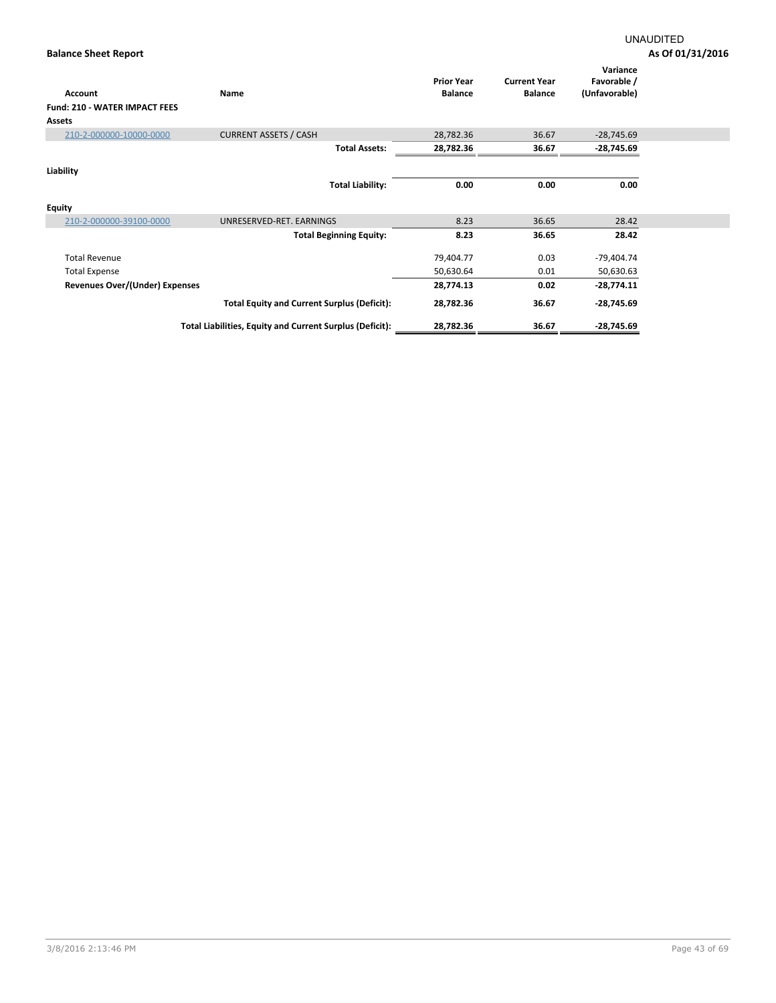| Account                              | Name                                                     | <b>Prior Year</b><br><b>Balance</b> | <b>Current Year</b><br><b>Balance</b> | Variance<br>Favorable /<br>(Unfavorable) |  |
|--------------------------------------|----------------------------------------------------------|-------------------------------------|---------------------------------------|------------------------------------------|--|
| <b>Fund: 210 - WATER IMPACT FEES</b> |                                                          |                                     |                                       |                                          |  |
| Assets                               |                                                          |                                     |                                       |                                          |  |
| 210-2-000000-10000-0000              | <b>CURRENT ASSETS / CASH</b>                             | 28,782.36                           | 36.67                                 | $-28,745.69$                             |  |
|                                      | <b>Total Assets:</b>                                     | 28,782.36                           | 36.67                                 | -28,745.69                               |  |
| Liability                            |                                                          |                                     |                                       |                                          |  |
|                                      | <b>Total Liability:</b>                                  | 0.00                                | 0.00                                  | 0.00                                     |  |
| <b>Equity</b>                        |                                                          |                                     |                                       |                                          |  |
| 210-2-000000-39100-0000              | UNRESERVED-RET. EARNINGS                                 | 8.23                                | 36.65                                 | 28.42                                    |  |
|                                      | <b>Total Beginning Equity:</b>                           | 8.23                                | 36.65                                 | 28.42                                    |  |
| <b>Total Revenue</b>                 |                                                          | 79,404.77                           | 0.03                                  | -79,404.74                               |  |
| <b>Total Expense</b>                 |                                                          | 50,630.64                           | 0.01                                  | 50,630.63                                |  |
| Revenues Over/(Under) Expenses       |                                                          | 28,774.13                           | 0.02                                  | $-28,774.11$                             |  |
|                                      | <b>Total Equity and Current Surplus (Deficit):</b>       | 28,782.36                           | 36.67                                 | -28,745.69                               |  |
|                                      | Total Liabilities, Equity and Current Surplus (Deficit): | 28,782.36                           | 36.67                                 | $-28,745.69$                             |  |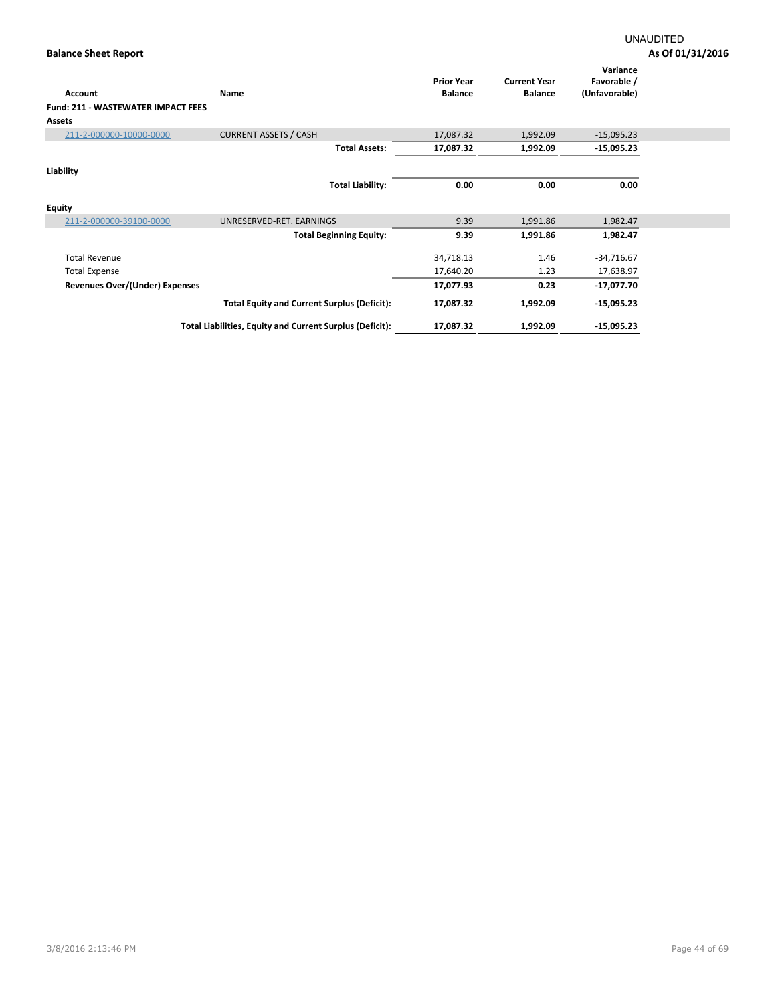|                                           |                                                          | <b>Prior Year</b> | <b>Current Year</b> | Variance<br>Favorable / |  |
|-------------------------------------------|----------------------------------------------------------|-------------------|---------------------|-------------------------|--|
| Account                                   | Name                                                     | <b>Balance</b>    | <b>Balance</b>      | (Unfavorable)           |  |
| <b>Fund: 211 - WASTEWATER IMPACT FEES</b> |                                                          |                   |                     |                         |  |
| <b>Assets</b>                             |                                                          |                   |                     |                         |  |
| 211-2-000000-10000-0000                   | <b>CURRENT ASSETS / CASH</b>                             | 17,087.32         | 1,992.09            | $-15,095.23$            |  |
|                                           | <b>Total Assets:</b>                                     | 17,087.32         | 1,992.09            | $-15,095.23$            |  |
| Liability                                 |                                                          |                   |                     |                         |  |
|                                           | <b>Total Liability:</b>                                  | 0.00              | 0.00                | 0.00                    |  |
| <b>Equity</b>                             |                                                          |                   |                     |                         |  |
| 211-2-000000-39100-0000                   | UNRESERVED-RET. EARNINGS                                 | 9.39              | 1,991.86            | 1,982.47                |  |
|                                           | <b>Total Beginning Equity:</b>                           | 9.39              | 1,991.86            | 1,982.47                |  |
| <b>Total Revenue</b>                      |                                                          | 34,718.13         | 1.46                | $-34,716.67$            |  |
| <b>Total Expense</b>                      |                                                          | 17,640.20         | 1.23                | 17,638.97               |  |
| Revenues Over/(Under) Expenses            |                                                          | 17,077.93         | 0.23                | $-17,077.70$            |  |
|                                           | <b>Total Equity and Current Surplus (Deficit):</b>       | 17,087.32         | 1,992.09            | $-15,095.23$            |  |
|                                           | Total Liabilities, Equity and Current Surplus (Deficit): | 17,087.32         | 1,992.09            | $-15,095.23$            |  |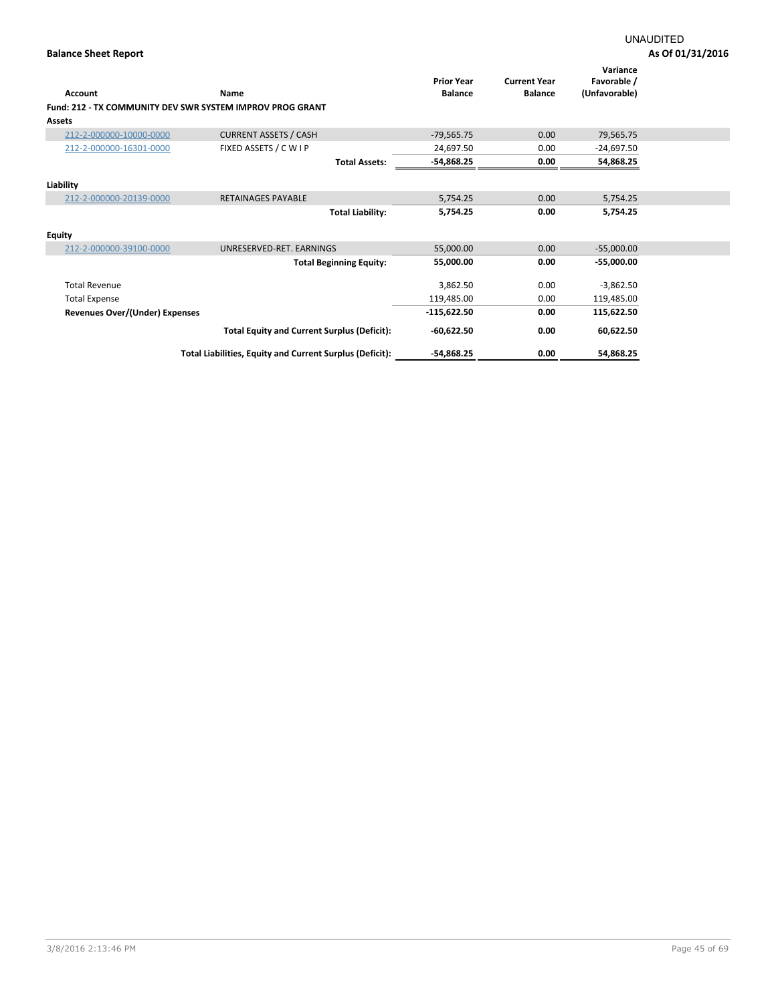| Account                                                   | Name                                                     | <b>Prior Year</b><br><b>Balance</b> | <b>Current Year</b><br><b>Balance</b> | Variance<br>Favorable /<br>(Unfavorable) |  |
|-----------------------------------------------------------|----------------------------------------------------------|-------------------------------------|---------------------------------------|------------------------------------------|--|
| Fund: 212 - TX COMMUNITY DEV SWR SYSTEM IMPROV PROG GRANT |                                                          |                                     |                                       |                                          |  |
| <b>Assets</b>                                             |                                                          |                                     |                                       |                                          |  |
| 212-2-000000-10000-0000                                   | <b>CURRENT ASSETS / CASH</b>                             | $-79,565.75$                        | 0.00                                  | 79,565.75                                |  |
| 212-2-000000-16301-0000                                   | FIXED ASSETS / C W I P                                   | 24,697.50                           | 0.00                                  | $-24.697.50$                             |  |
|                                                           | <b>Total Assets:</b>                                     | -54,868.25                          | 0.00                                  | 54,868.25                                |  |
| Liability                                                 |                                                          |                                     |                                       |                                          |  |
| 212-2-000000-20139-0000                                   | RETAINAGES PAYABLE                                       | 5,754.25                            | 0.00                                  | 5,754.25                                 |  |
|                                                           | <b>Total Liability:</b>                                  | 5,754.25                            | 0.00                                  | 5,754.25                                 |  |
| <b>Equity</b>                                             |                                                          |                                     |                                       |                                          |  |
| 212-2-000000-39100-0000                                   | UNRESERVED-RET. EARNINGS                                 | 55,000.00                           | 0.00                                  | $-55,000.00$                             |  |
|                                                           | <b>Total Beginning Equity:</b>                           | 55,000.00                           | 0.00                                  | $-55,000.00$                             |  |
| <b>Total Revenue</b>                                      |                                                          | 3,862.50                            | 0.00                                  | $-3,862.50$                              |  |
| <b>Total Expense</b>                                      |                                                          | 119,485.00                          | 0.00                                  | 119,485.00                               |  |
| Revenues Over/(Under) Expenses                            |                                                          | $-115,622.50$                       | 0.00                                  | 115,622.50                               |  |
|                                                           | <b>Total Equity and Current Surplus (Deficit):</b>       | $-60,622.50$                        | 0.00                                  | 60,622.50                                |  |
|                                                           | Total Liabilities, Equity and Current Surplus (Deficit): | -54,868.25                          | 0.00                                  | 54,868.25                                |  |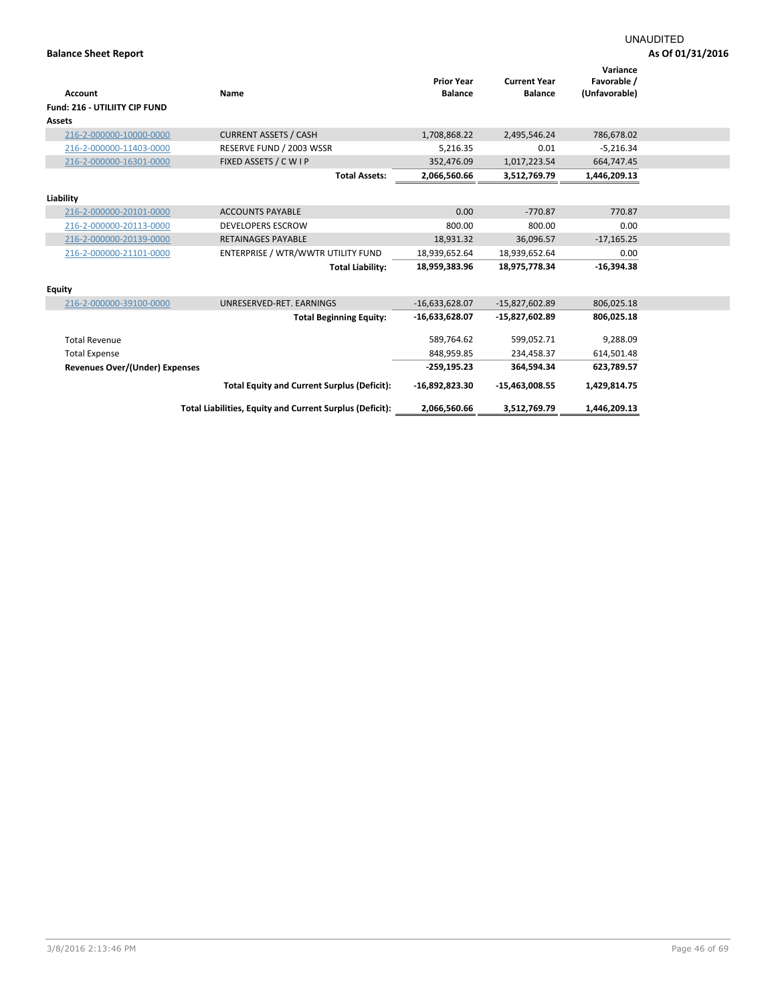|                                       |                                                          | <b>Prior Year</b> | <b>Current Year</b> | Variance<br>Favorable / |  |
|---------------------------------------|----------------------------------------------------------|-------------------|---------------------|-------------------------|--|
| <b>Account</b>                        | Name                                                     | <b>Balance</b>    | <b>Balance</b>      | (Unfavorable)           |  |
| <b>Fund: 216 - UTILIITY CIP FUND</b>  |                                                          |                   |                     |                         |  |
| Assets                                |                                                          |                   |                     |                         |  |
| 216-2-000000-10000-0000               | <b>CURRENT ASSETS / CASH</b>                             | 1,708,868.22      | 2,495,546.24        | 786,678.02              |  |
| 216-2-000000-11403-0000               | RESERVE FUND / 2003 WSSR                                 | 5,216.35          | 0.01                | $-5,216.34$             |  |
| 216-2-000000-16301-0000               | FIXED ASSETS / C W I P                                   | 352,476.09        | 1,017,223.54        | 664,747.45              |  |
|                                       | <b>Total Assets:</b>                                     | 2,066,560.66      | 3,512,769.79        | 1,446,209.13            |  |
| Liability                             |                                                          |                   |                     |                         |  |
| 216-2-000000-20101-0000               | <b>ACCOUNTS PAYABLE</b>                                  | 0.00              | $-770.87$           | 770.87                  |  |
| 216-2-000000-20113-0000               | <b>DEVELOPERS ESCROW</b>                                 | 800.00            | 800.00              | 0.00                    |  |
| 216-2-000000-20139-0000               | <b>RETAINAGES PAYABLE</b>                                | 18,931.32         | 36,096.57           | $-17,165.25$            |  |
| 216-2-000000-21101-0000               | ENTERPRISE / WTR/WWTR UTILITY FUND                       | 18,939,652.64     | 18,939,652.64       | 0.00                    |  |
|                                       | <b>Total Liability:</b>                                  | 18,959,383.96     | 18,975,778.34       | $-16,394.38$            |  |
| <b>Equity</b>                         |                                                          |                   |                     |                         |  |
| 216-2-000000-39100-0000               | UNRESERVED-RET. EARNINGS                                 | $-16,633,628.07$  | $-15,827,602.89$    | 806,025.18              |  |
|                                       | <b>Total Beginning Equity:</b>                           | $-16,633,628.07$  | -15,827,602.89      | 806,025.18              |  |
| <b>Total Revenue</b>                  |                                                          | 589,764.62        | 599,052.71          | 9,288.09                |  |
| <b>Total Expense</b>                  |                                                          | 848,959.85        | 234,458.37          | 614,501.48              |  |
| <b>Revenues Over/(Under) Expenses</b> |                                                          | $-259, 195.23$    | 364,594.34          | 623,789.57              |  |
|                                       | <b>Total Equity and Current Surplus (Deficit):</b>       | $-16,892,823.30$  | $-15,463,008.55$    | 1,429,814.75            |  |
|                                       | Total Liabilities, Equity and Current Surplus (Deficit): | 2,066,560.66      | 3,512,769.79        | 1,446,209.13            |  |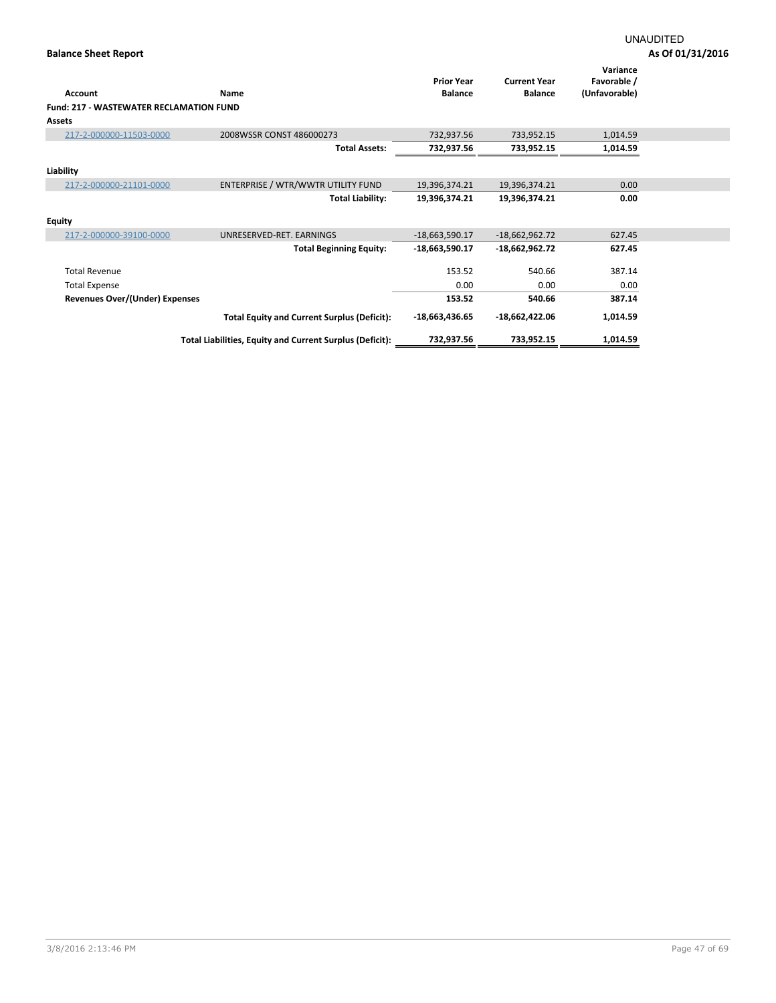|                                                |                                                          | <b>Prior Year</b> | <b>Current Year</b> | Variance<br>Favorable / |  |
|------------------------------------------------|----------------------------------------------------------|-------------------|---------------------|-------------------------|--|
| <b>Account</b>                                 | Name                                                     | <b>Balance</b>    | <b>Balance</b>      | (Unfavorable)           |  |
| <b>Fund: 217 - WASTEWATER RECLAMATION FUND</b> |                                                          |                   |                     |                         |  |
| <b>Assets</b>                                  |                                                          |                   |                     |                         |  |
| 217-2-000000-11503-0000                        | 2008WSSR CONST 486000273                                 | 732,937.56        | 733,952.15          | 1,014.59                |  |
|                                                | <b>Total Assets:</b>                                     | 732,937.56        | 733,952.15          | 1,014.59                |  |
| Liability                                      |                                                          |                   |                     |                         |  |
| 217-2-000000-21101-0000                        | ENTERPRISE / WTR/WWTR UTILITY FUND                       | 19,396,374.21     | 19,396,374.21       | 0.00                    |  |
|                                                | <b>Total Liability:</b>                                  | 19,396,374.21     | 19,396,374.21       | 0.00                    |  |
| <b>Equity</b>                                  |                                                          |                   |                     |                         |  |
| 217-2-000000-39100-0000                        | UNRESERVED-RET. EARNINGS                                 | $-18,663,590.17$  | $-18,662,962.72$    | 627.45                  |  |
|                                                | <b>Total Beginning Equity:</b>                           | -18,663,590.17    | -18,662,962.72      | 627.45                  |  |
| <b>Total Revenue</b>                           |                                                          | 153.52            | 540.66              | 387.14                  |  |
| <b>Total Expense</b>                           |                                                          | 0.00              | 0.00                | 0.00                    |  |
| Revenues Over/(Under) Expenses                 |                                                          | 153.52            | 540.66              | 387.14                  |  |
|                                                | <b>Total Equity and Current Surplus (Deficit):</b>       | $-18,663,436.65$  | $-18,662,422.06$    | 1,014.59                |  |
|                                                | Total Liabilities, Equity and Current Surplus (Deficit): | 732,937.56        | 733,952.15          | 1,014.59                |  |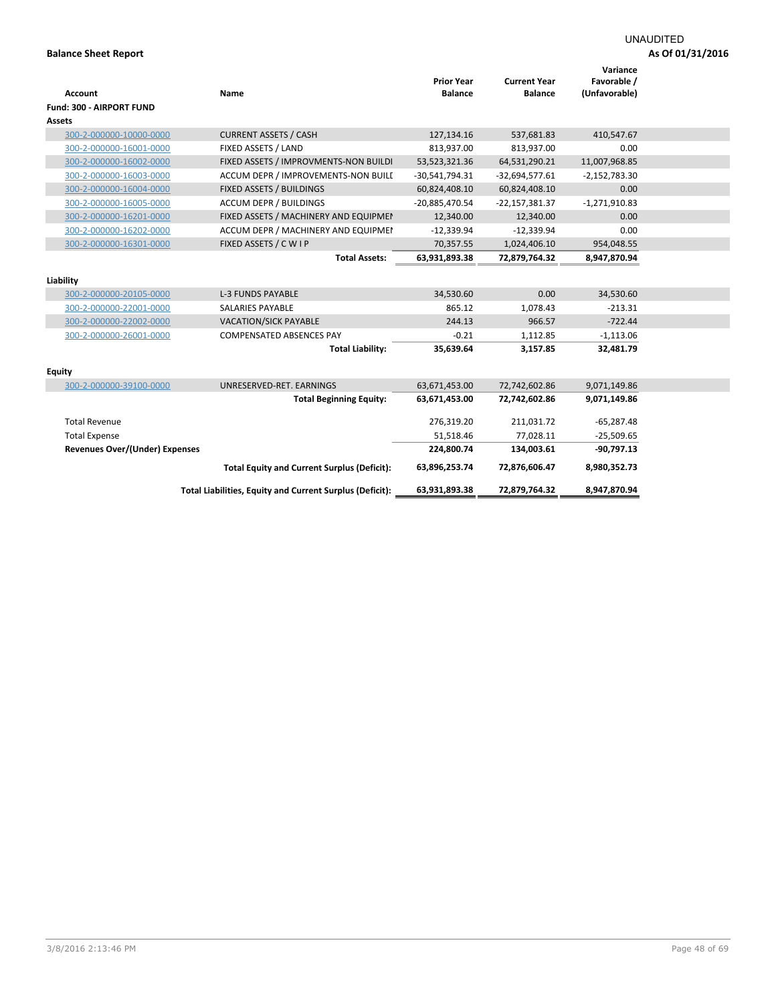# UNAUDITED

| <b>Account</b><br>Fund: 300 - AIRPORT FUND         | Name                                                     | <b>Prior Year</b><br><b>Balance</b> | <b>Current Year</b><br><b>Balance</b> | Variance<br>Favorable /<br>(Unfavorable) |  |
|----------------------------------------------------|----------------------------------------------------------|-------------------------------------|---------------------------------------|------------------------------------------|--|
| Assets                                             |                                                          |                                     |                                       |                                          |  |
| 300-2-000000-10000-0000                            | <b>CURRENT ASSETS / CASH</b>                             | 127,134.16                          | 537,681.83                            | 410,547.67                               |  |
| 300-2-000000-16001-0000                            | FIXED ASSETS / LAND                                      | 813,937.00                          | 813,937.00                            | 0.00                                     |  |
| 300-2-000000-16002-0000                            | FIXED ASSETS / IMPROVMENTS-NON BUILDI                    | 53,523,321.36                       | 64,531,290.21                         | 11,007,968.85                            |  |
| 300-2-000000-16003-0000                            | ACCUM DEPR / IMPROVEMENTS-NON BUILI                      | $-30,541,794.31$                    | $-32,694,577.61$                      | $-2,152,783.30$                          |  |
| 300-2-000000-16004-0000                            | FIXED ASSETS / BUILDINGS                                 | 60,824,408.10                       | 60,824,408.10                         | 0.00                                     |  |
| 300-2-000000-16005-0000                            | <b>ACCUM DEPR / BUILDINGS</b>                            | -20,885,470.54                      | -22,157,381.37                        | $-1,271,910.83$                          |  |
| 300-2-000000-16201-0000                            | FIXED ASSETS / MACHINERY AND EQUIPMEN                    | 12,340.00                           | 12,340.00                             | 0.00                                     |  |
| 300-2-000000-16202-0000                            | ACCUM DEPR / MACHINERY AND EQUIPMEI                      | $-12,339.94$                        | $-12,339.94$                          | 0.00                                     |  |
| 300-2-000000-16301-0000                            | FIXED ASSETS / C W I P                                   | 70,357.55                           | 1,024,406.10                          | 954,048.55                               |  |
|                                                    | <b>Total Assets:</b>                                     | 63,931,893.38                       | 72,879,764.32                         | 8,947,870.94                             |  |
| Liability                                          |                                                          |                                     |                                       |                                          |  |
|                                                    | <b>L-3 FUNDS PAYABLE</b>                                 |                                     | 0.00                                  | 34,530.60                                |  |
| 300-2-000000-20105-0000<br>300-2-000000-22001-0000 | <b>SALARIES PAYABLE</b>                                  | 34,530.60<br>865.12                 | 1,078.43                              | $-213.31$                                |  |
|                                                    |                                                          |                                     |                                       |                                          |  |
| 300-2-000000-22002-0000                            | <b>VACATION/SICK PAYABLE</b>                             | 244.13                              | 966.57                                | $-722.44$                                |  |
| 300-2-000000-26001-0000                            | <b>COMPENSATED ABSENCES PAY</b>                          | $-0.21$                             | 1,112.85                              | $-1,113.06$                              |  |
|                                                    | <b>Total Liability:</b>                                  | 35,639.64                           | 3,157.85                              | 32,481.79                                |  |
| <b>Equity</b>                                      |                                                          |                                     |                                       |                                          |  |
| 300-2-000000-39100-0000                            | UNRESERVED-RET. EARNINGS                                 | 63,671,453.00                       | 72,742,602.86                         | 9,071,149.86                             |  |
|                                                    | <b>Total Beginning Equity:</b>                           | 63,671,453.00                       | 72,742,602.86                         | 9,071,149.86                             |  |
| <b>Total Revenue</b>                               |                                                          | 276,319.20                          | 211,031.72                            | $-65,287.48$                             |  |
| <b>Total Expense</b>                               |                                                          | 51,518.46                           | 77,028.11                             | $-25,509.65$                             |  |
| <b>Revenues Over/(Under) Expenses</b>              |                                                          | 224,800.74                          | 134,003.61                            | $-90,797.13$                             |  |
|                                                    | <b>Total Equity and Current Surplus (Deficit):</b>       | 63,896,253.74                       | 72,876,606.47                         | 8,980,352.73                             |  |
|                                                    | Total Liabilities, Equity and Current Surplus (Deficit): | 63,931,893.38                       | 72,879,764.32                         | 8,947,870.94                             |  |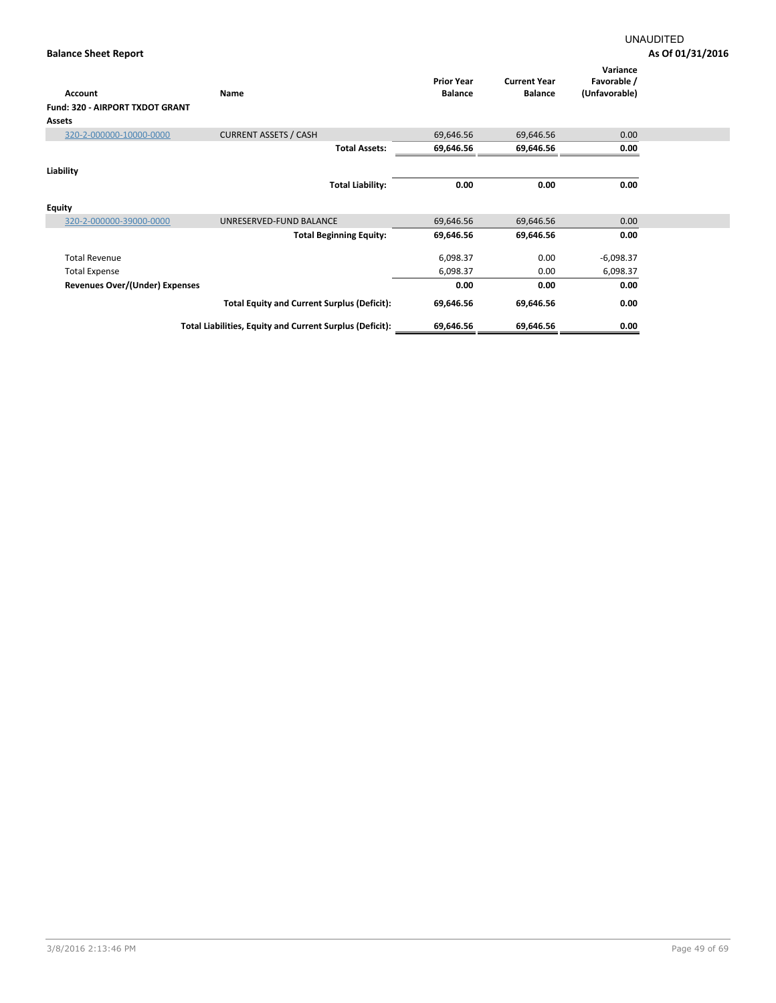| Account                         | Name                                                     | <b>Prior Year</b><br><b>Balance</b> | <b>Current Year</b><br><b>Balance</b> | Variance<br>Favorable /<br>(Unfavorable) |
|---------------------------------|----------------------------------------------------------|-------------------------------------|---------------------------------------|------------------------------------------|
| Fund: 320 - AIRPORT TXDOT GRANT |                                                          |                                     |                                       |                                          |
| <b>Assets</b>                   |                                                          |                                     |                                       |                                          |
| 320-2-000000-10000-0000         | <b>CURRENT ASSETS / CASH</b>                             | 69,646.56                           | 69,646.56                             | 0.00                                     |
|                                 | <b>Total Assets:</b>                                     | 69,646.56                           | 69,646.56                             | 0.00                                     |
|                                 |                                                          |                                     |                                       |                                          |
| Liability                       |                                                          |                                     |                                       |                                          |
|                                 | <b>Total Liability:</b>                                  | 0.00                                | 0.00                                  | 0.00                                     |
| <b>Equity</b>                   |                                                          |                                     |                                       |                                          |
| 320-2-000000-39000-0000         | UNRESERVED-FUND BALANCE                                  | 69,646.56                           | 69,646.56                             | 0.00                                     |
|                                 | <b>Total Beginning Equity:</b>                           | 69,646.56                           | 69,646.56                             | 0.00                                     |
| <b>Total Revenue</b>            |                                                          | 6,098.37                            | 0.00                                  | $-6,098.37$                              |
| <b>Total Expense</b>            |                                                          | 6,098.37                            | 0.00                                  | 6,098.37                                 |
| Revenues Over/(Under) Expenses  |                                                          | 0.00                                | 0.00                                  | 0.00                                     |
|                                 | <b>Total Equity and Current Surplus (Deficit):</b>       | 69,646.56                           | 69,646.56                             | 0.00                                     |
|                                 | Total Liabilities, Equity and Current Surplus (Deficit): | 69,646.56                           | 69,646.56                             | 0.00                                     |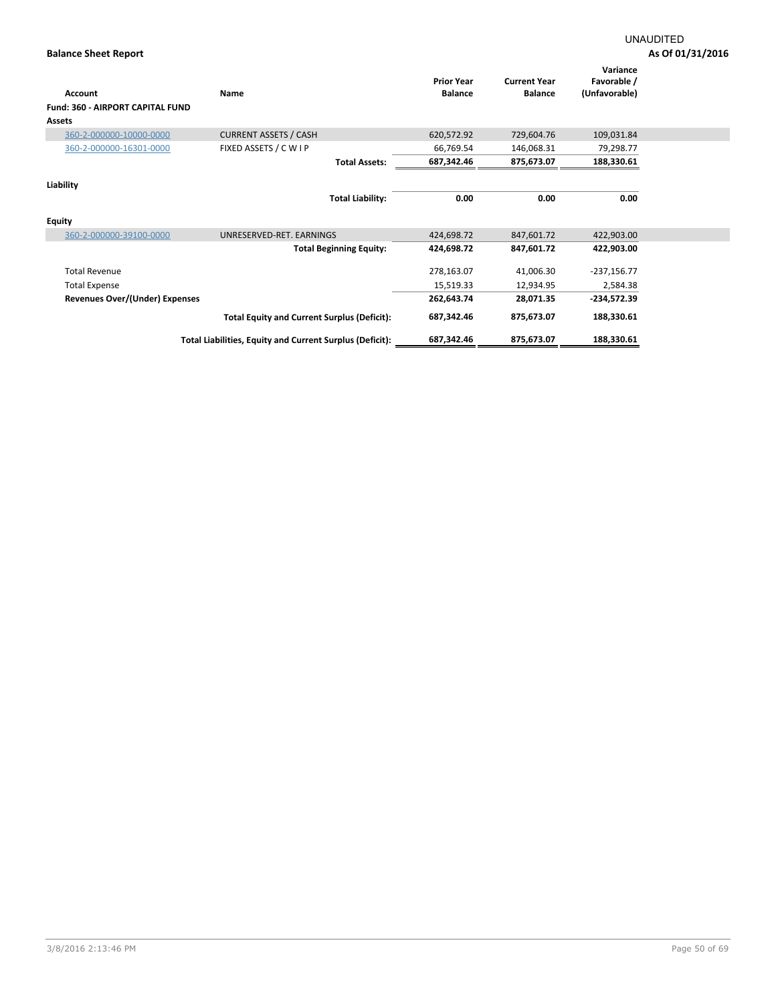|                                         |                                                          | <b>Prior Year</b> | <b>Current Year</b> | Variance<br>Favorable / |
|-----------------------------------------|----------------------------------------------------------|-------------------|---------------------|-------------------------|
| <b>Account</b>                          | <b>Name</b>                                              | <b>Balance</b>    | <b>Balance</b>      | (Unfavorable)           |
| <b>Fund: 360 - AIRPORT CAPITAL FUND</b> |                                                          |                   |                     |                         |
| Assets                                  |                                                          |                   |                     |                         |
| 360-2-000000-10000-0000                 | <b>CURRENT ASSETS / CASH</b>                             | 620,572.92        | 729,604.76          | 109,031.84              |
| 360-2-000000-16301-0000                 | FIXED ASSETS / C W I P                                   | 66,769.54         | 146,068.31          | 79,298.77               |
|                                         | <b>Total Assets:</b>                                     | 687,342.46        | 875,673.07          | 188,330.61              |
|                                         |                                                          |                   |                     |                         |
| Liability                               |                                                          |                   |                     |                         |
|                                         | <b>Total Liability:</b>                                  | 0.00              | 0.00                | 0.00                    |
| <b>Equity</b>                           |                                                          |                   |                     |                         |
| 360-2-000000-39100-0000                 | UNRESERVED-RET. EARNINGS                                 | 424,698.72        | 847,601.72          | 422,903.00              |
|                                         | <b>Total Beginning Equity:</b>                           | 424,698.72        | 847,601.72          | 422,903.00              |
| <b>Total Revenue</b>                    |                                                          | 278,163.07        | 41,006.30           | $-237,156.77$           |
| <b>Total Expense</b>                    |                                                          | 15,519.33         | 12,934.95           | 2,584.38                |
| Revenues Over/(Under) Expenses          |                                                          | 262,643.74        | 28,071.35           | $-234,572.39$           |
|                                         | <b>Total Equity and Current Surplus (Deficit):</b>       | 687,342.46        | 875,673.07          | 188,330.61              |
|                                         | Total Liabilities, Equity and Current Surplus (Deficit): | 687,342.46        | 875,673.07          | 188,330.61              |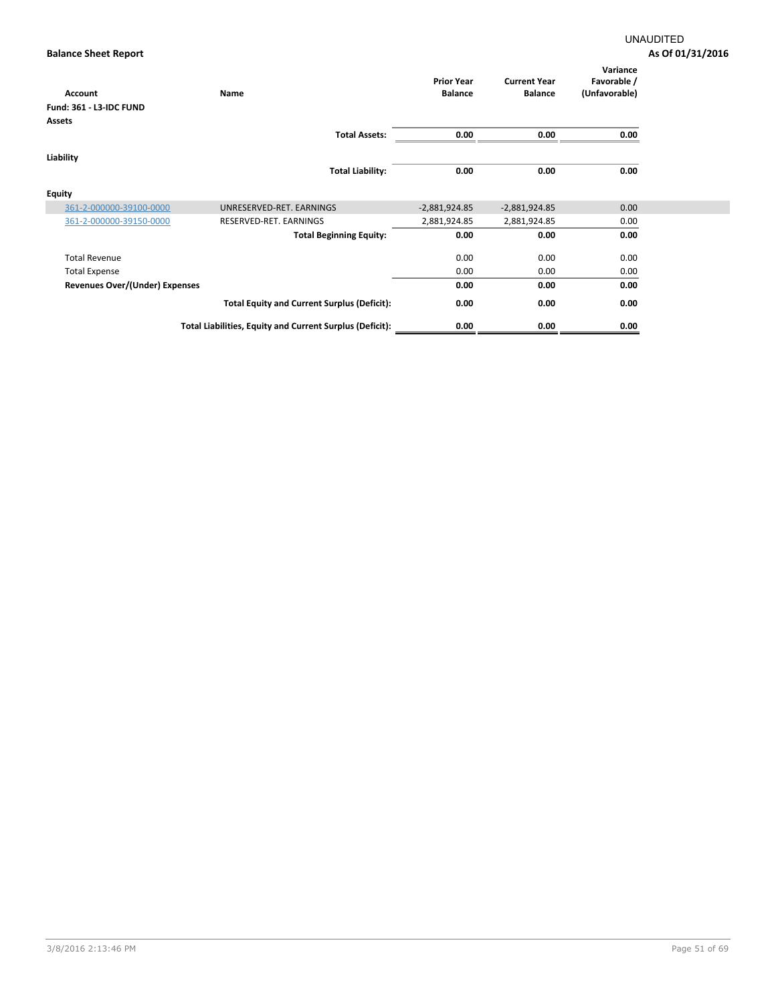| Account                               | Name                                                     | <b>Prior Year</b><br><b>Balance</b> | <b>Current Year</b><br><b>Balance</b> | Variance<br>Favorable /<br>(Unfavorable) |
|---------------------------------------|----------------------------------------------------------|-------------------------------------|---------------------------------------|------------------------------------------|
| <b>Fund: 361 - L3-IDC FUND</b>        |                                                          |                                     |                                       |                                          |
| <b>Assets</b>                         |                                                          |                                     |                                       |                                          |
|                                       | <b>Total Assets:</b>                                     | 0.00                                | 0.00                                  | 0.00                                     |
| Liability                             |                                                          |                                     |                                       |                                          |
|                                       | <b>Total Liability:</b>                                  | 0.00                                | 0.00                                  | 0.00                                     |
|                                       |                                                          |                                     |                                       |                                          |
| <b>Equity</b>                         |                                                          |                                     |                                       |                                          |
| 361-2-000000-39100-0000               | UNRESERVED-RET. EARNINGS                                 | $-2,881,924.85$                     | $-2,881,924.85$                       | 0.00                                     |
| 361-2-000000-39150-0000               | RESERVED-RET. EARNINGS                                   | 2,881,924.85                        | 2,881,924.85                          | 0.00                                     |
|                                       | <b>Total Beginning Equity:</b>                           | 0.00                                | 0.00                                  | 0.00                                     |
| <b>Total Revenue</b>                  |                                                          | 0.00                                | 0.00                                  | 0.00                                     |
| <b>Total Expense</b>                  |                                                          | 0.00                                | 0.00                                  | 0.00                                     |
| <b>Revenues Over/(Under) Expenses</b> |                                                          | 0.00                                | 0.00                                  | 0.00                                     |
|                                       | <b>Total Equity and Current Surplus (Deficit):</b>       | 0.00                                | 0.00                                  | 0.00                                     |
|                                       | Total Liabilities, Equity and Current Surplus (Deficit): | 0.00                                | 0.00                                  | 0.00                                     |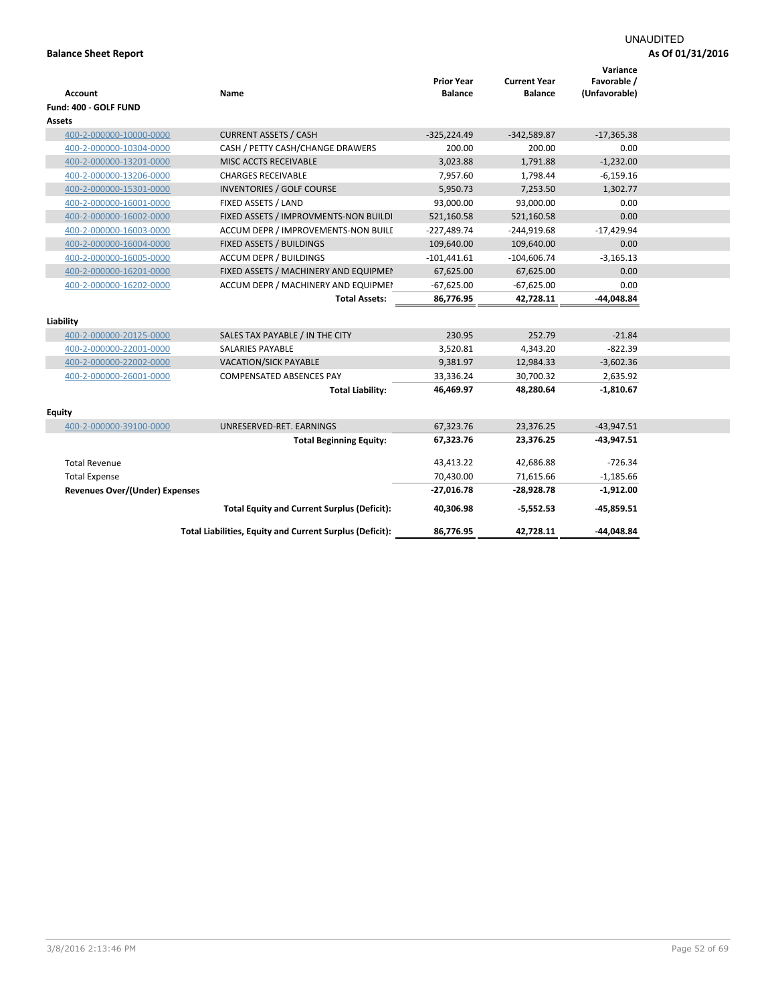| Account                               | Name                                                     | <b>Prior Year</b><br><b>Balance</b> | <b>Current Year</b><br><b>Balance</b> | Variance<br>Favorable /<br>(Unfavorable) |  |
|---------------------------------------|----------------------------------------------------------|-------------------------------------|---------------------------------------|------------------------------------------|--|
| Fund: 400 - GOLF FUND                 |                                                          |                                     |                                       |                                          |  |
| <b>Assets</b>                         |                                                          |                                     |                                       |                                          |  |
| 400-2-000000-10000-0000               | <b>CURRENT ASSETS / CASH</b>                             | $-325,224.49$                       | $-342,589.87$                         | $-17,365.38$                             |  |
| 400-2-000000-10304-0000               | CASH / PETTY CASH/CHANGE DRAWERS                         | 200.00                              | 200.00                                | 0.00                                     |  |
| 400-2-000000-13201-0000               | MISC ACCTS RECEIVABLE                                    | 3,023.88                            | 1,791.88                              | $-1,232.00$                              |  |
| 400-2-000000-13206-0000               | <b>CHARGES RECEIVABLE</b>                                | 7,957.60                            | 1,798.44                              | $-6,159.16$                              |  |
| 400-2-000000-15301-0000               | <b>INVENTORIES / GOLF COURSE</b>                         | 5,950.73                            | 7,253.50                              | 1,302.77                                 |  |
| 400-2-000000-16001-0000               | FIXED ASSETS / LAND                                      | 93,000.00                           | 93,000.00                             | 0.00                                     |  |
| 400-2-000000-16002-0000               | FIXED ASSETS / IMPROVMENTS-NON BUILDI                    | 521,160.58                          | 521,160.58                            | 0.00                                     |  |
| 400-2-000000-16003-0000               | ACCUM DEPR / IMPROVEMENTS-NON BUILI                      | $-227,489.74$                       | $-244,919.68$                         | $-17,429.94$                             |  |
| 400-2-000000-16004-0000               | FIXED ASSETS / BUILDINGS                                 | 109,640.00                          | 109,640.00                            | 0.00                                     |  |
| 400-2-000000-16005-0000               | ACCUM DEPR / BUILDINGS                                   | $-101,441.61$                       | $-104,606.74$                         | $-3,165.13$                              |  |
| 400-2-000000-16201-0000               | FIXED ASSETS / MACHINERY AND EQUIPMEN                    | 67,625.00                           | 67,625.00                             | 0.00                                     |  |
| 400-2-000000-16202-0000               | ACCUM DEPR / MACHINERY AND EQUIPMEI                      | $-67,625.00$                        | $-67,625.00$                          | 0.00                                     |  |
|                                       | <b>Total Assets:</b>                                     | 86,776.95                           | 42,728.11                             | -44,048.84                               |  |
|                                       |                                                          |                                     |                                       |                                          |  |
| Liability                             |                                                          |                                     |                                       |                                          |  |
| 400-2-000000-20125-0000               | SALES TAX PAYABLE / IN THE CITY                          | 230.95                              | 252.79                                | $-21.84$                                 |  |
| 400-2-000000-22001-0000               | <b>SALARIES PAYABLE</b>                                  | 3,520.81                            | 4,343.20                              | $-822.39$                                |  |
| 400-2-000000-22002-0000               | VACATION/SICK PAYABLE                                    | 9,381.97                            | 12,984.33                             | $-3,602.36$                              |  |
| 400-2-000000-26001-0000               | <b>COMPENSATED ABSENCES PAY</b>                          | 33,336.24                           | 30,700.32                             | 2,635.92                                 |  |
|                                       | <b>Total Liability:</b>                                  | 46,469.97                           | 48,280.64                             | $-1,810.67$                              |  |
|                                       |                                                          |                                     |                                       |                                          |  |
| <b>Equity</b>                         |                                                          |                                     |                                       |                                          |  |
| 400-2-000000-39100-0000               | UNRESERVED-RET. EARNINGS                                 | 67,323.76                           | 23,376.25                             | $-43,947.51$                             |  |
|                                       | <b>Total Beginning Equity:</b>                           | 67,323.76                           | 23,376.25                             | $-43,947.51$                             |  |
| <b>Total Revenue</b>                  |                                                          | 43,413.22                           | 42,686.88                             | $-726.34$                                |  |
| <b>Total Expense</b>                  |                                                          | 70,430.00                           | 71,615.66                             | $-1,185.66$                              |  |
| <b>Revenues Over/(Under) Expenses</b> |                                                          | $-27,016.78$                        | -28,928.78                            | $-1,912.00$                              |  |
|                                       | <b>Total Equity and Current Surplus (Deficit):</b>       | 40,306.98                           | -5,552.53                             | -45,859.51                               |  |
|                                       | Total Liabilities, Equity and Current Surplus (Deficit): | 86,776.95                           | 42,728.11                             | -44,048.84                               |  |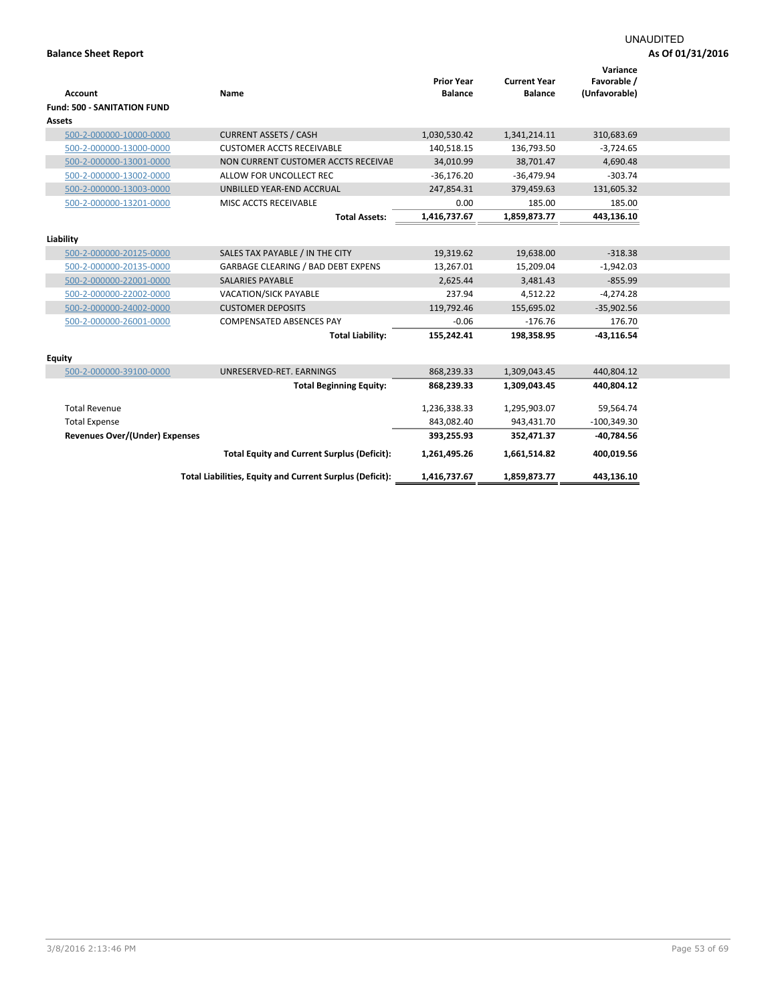|                                       |                                                          |                                     |                                       | Variance                     |  |
|---------------------------------------|----------------------------------------------------------|-------------------------------------|---------------------------------------|------------------------------|--|
| Account                               | Name                                                     | <b>Prior Year</b><br><b>Balance</b> | <b>Current Year</b><br><b>Balance</b> | Favorable /<br>(Unfavorable) |  |
| <b>Fund: 500 - SANITATION FUND</b>    |                                                          |                                     |                                       |                              |  |
| <b>Assets</b>                         |                                                          |                                     |                                       |                              |  |
|                                       |                                                          |                                     |                                       |                              |  |
| 500-2-000000-10000-0000               | <b>CURRENT ASSETS / CASH</b>                             | 1,030,530.42                        | 1,341,214.11                          | 310,683.69                   |  |
| 500-2-000000-13000-0000               | <b>CUSTOMER ACCTS RECEIVABLE</b>                         | 140,518.15                          | 136,793.50                            | $-3,724.65$                  |  |
| 500-2-000000-13001-0000               | NON CURRENT CUSTOMER ACCTS RECEIVAE                      | 34,010.99                           | 38,701.47                             | 4,690.48                     |  |
| 500-2-000000-13002-0000               | ALLOW FOR UNCOLLECT REC                                  | $-36,176.20$                        | $-36,479.94$                          | $-303.74$                    |  |
| 500-2-000000-13003-0000               | UNBILLED YEAR-END ACCRUAL                                | 247,854.31                          | 379,459.63                            | 131,605.32                   |  |
| 500-2-000000-13201-0000               | MISC ACCTS RECEIVABLE                                    | 0.00                                | 185.00                                | 185.00                       |  |
|                                       | <b>Total Assets:</b>                                     | 1,416,737.67                        | 1,859,873.77                          | 443,136.10                   |  |
|                                       |                                                          |                                     |                                       |                              |  |
| Liability                             |                                                          |                                     |                                       |                              |  |
| 500-2-000000-20125-0000               | SALES TAX PAYABLE / IN THE CITY                          | 19,319.62                           | 19,638.00                             | $-318.38$                    |  |
| 500-2-000000-20135-0000               | <b>GARBAGE CLEARING / BAD DEBT EXPENS</b>                | 13,267.01                           | 15,209.04                             | $-1,942.03$                  |  |
| 500-2-000000-22001-0000               | <b>SALARIES PAYABLE</b>                                  | 2,625.44                            | 3,481.43                              | $-855.99$                    |  |
| 500-2-000000-22002-0000               | <b>VACATION/SICK PAYABLE</b>                             | 237.94                              | 4,512.22                              | $-4,274.28$                  |  |
| 500-2-000000-24002-0000               | <b>CUSTOMER DEPOSITS</b>                                 | 119,792.46                          | 155,695.02                            | $-35,902.56$                 |  |
| 500-2-000000-26001-0000               | <b>COMPENSATED ABSENCES PAY</b>                          | $-0.06$                             | $-176.76$                             | 176.70                       |  |
|                                       | <b>Total Liability:</b>                                  | 155,242.41                          | 198,358.95                            | -43,116.54                   |  |
|                                       |                                                          |                                     |                                       |                              |  |
| <b>Equity</b>                         |                                                          |                                     |                                       |                              |  |
| 500-2-000000-39100-0000               | UNRESERVED-RET. EARNINGS                                 | 868,239.33                          | 1,309,043.45                          | 440,804.12                   |  |
|                                       | <b>Total Beginning Equity:</b>                           | 868,239.33                          | 1,309,043.45                          | 440,804.12                   |  |
| <b>Total Revenue</b>                  |                                                          | 1,236,338.33                        | 1,295,903.07                          | 59,564.74                    |  |
| <b>Total Expense</b>                  |                                                          | 843,082.40                          | 943,431.70                            | $-100,349.30$                |  |
|                                       |                                                          |                                     |                                       |                              |  |
| <b>Revenues Over/(Under) Expenses</b> |                                                          | 393,255.93                          | 352,471.37                            | -40,784.56                   |  |
|                                       | <b>Total Equity and Current Surplus (Deficit):</b>       | 1,261,495.26                        | 1,661,514.82                          | 400,019.56                   |  |
|                                       | Total Liabilities, Equity and Current Surplus (Deficit): | 1,416,737.67                        | 1,859,873.77                          | 443,136.10                   |  |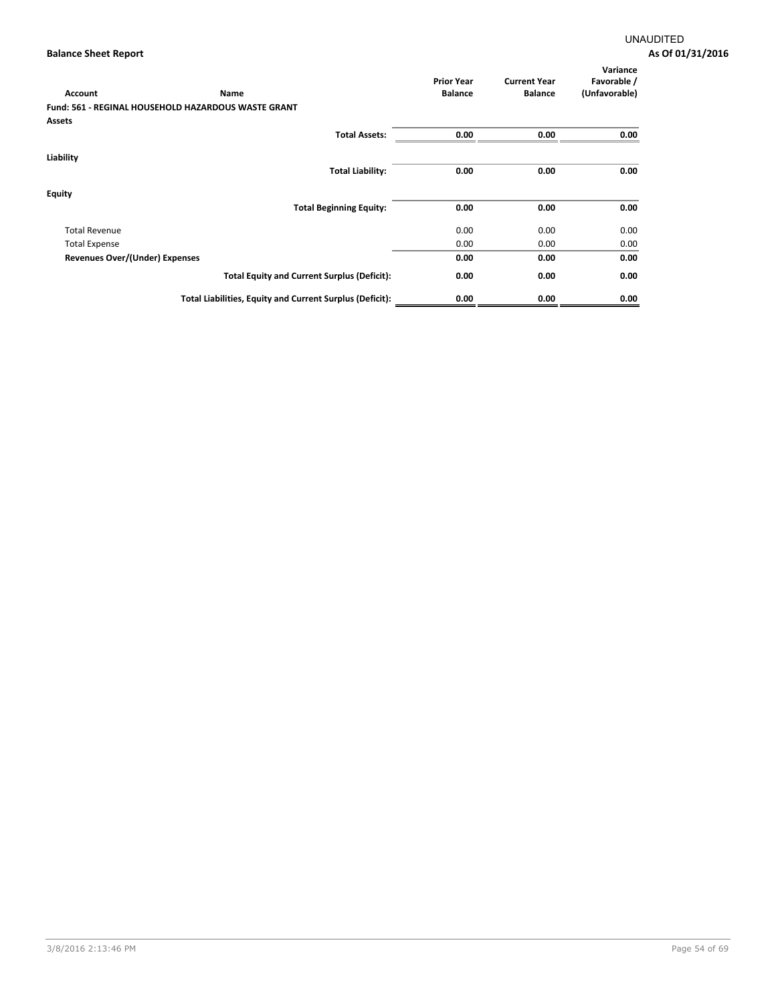| Account                               | Name                                                       | <b>Prior Year</b><br><b>Balance</b> | <b>Current Year</b><br><b>Balance</b> | Variance<br>Favorable /<br>(Unfavorable) |
|---------------------------------------|------------------------------------------------------------|-------------------------------------|---------------------------------------|------------------------------------------|
|                                       | <b>Fund: 561 - REGINAL HOUSEHOLD HAZARDOUS WASTE GRANT</b> |                                     |                                       |                                          |
| Assets                                |                                                            |                                     |                                       |                                          |
|                                       | <b>Total Assets:</b>                                       | 0.00                                | 0.00                                  | 0.00                                     |
| Liability                             |                                                            |                                     |                                       |                                          |
|                                       | <b>Total Liability:</b>                                    | 0.00                                | 0.00                                  | 0.00                                     |
| <b>Equity</b>                         |                                                            |                                     |                                       |                                          |
|                                       | <b>Total Beginning Equity:</b>                             | 0.00                                | 0.00                                  | 0.00                                     |
| <b>Total Revenue</b>                  |                                                            | 0.00                                | 0.00                                  | 0.00                                     |
| <b>Total Expense</b>                  |                                                            | 0.00                                | 0.00                                  | 0.00                                     |
| <b>Revenues Over/(Under) Expenses</b> |                                                            | 0.00                                | 0.00                                  | 0.00                                     |
|                                       | <b>Total Equity and Current Surplus (Deficit):</b>         | 0.00                                | 0.00                                  | 0.00                                     |
|                                       | Total Liabilities, Equity and Current Surplus (Deficit):   | 0.00                                | 0.00                                  | 0.00                                     |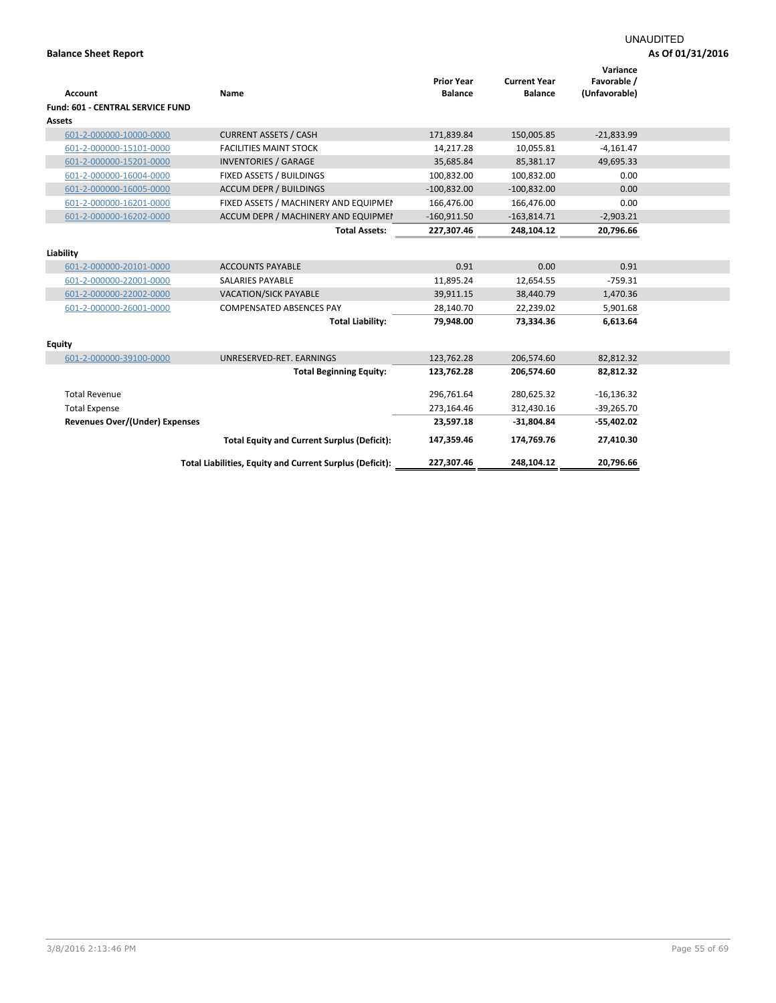| <b>Account</b>                          | Name                                                     | <b>Prior Year</b><br><b>Balance</b> | <b>Current Year</b><br><b>Balance</b> | Variance<br>Favorable /<br>(Unfavorable) |  |
|-----------------------------------------|----------------------------------------------------------|-------------------------------------|---------------------------------------|------------------------------------------|--|
| <b>Fund: 601 - CENTRAL SERVICE FUND</b> |                                                          |                                     |                                       |                                          |  |
| <b>Assets</b>                           |                                                          |                                     |                                       |                                          |  |
| 601-2-000000-10000-0000                 | <b>CURRENT ASSETS / CASH</b>                             | 171,839.84                          | 150,005.85                            | $-21,833.99$                             |  |
| 601-2-000000-15101-0000                 | <b>FACILITIES MAINT STOCK</b>                            | 14,217.28                           | 10,055.81                             | $-4,161.47$                              |  |
| 601-2-000000-15201-0000                 | <b>INVENTORIES / GARAGE</b>                              | 35,685.84                           | 85,381.17                             | 49,695.33                                |  |
| 601-2-000000-16004-0000                 | <b>FIXED ASSETS / BUILDINGS</b>                          | 100.832.00                          | 100.832.00                            | 0.00                                     |  |
| 601-2-000000-16005-0000                 | <b>ACCUM DEPR / BUILDINGS</b>                            | $-100,832.00$                       | $-100,832.00$                         | 0.00                                     |  |
| 601-2-000000-16201-0000                 | FIXED ASSETS / MACHINERY AND EQUIPMEN                    | 166,476.00                          | 166,476.00                            | 0.00                                     |  |
| 601-2-000000-16202-0000                 | ACCUM DEPR / MACHINERY AND EQUIPMEI                      | $-160,911.50$                       | $-163,814.71$                         | $-2,903.21$                              |  |
|                                         | <b>Total Assets:</b>                                     | 227,307.46                          | 248,104.12                            | 20,796.66                                |  |
| Liability                               |                                                          |                                     |                                       |                                          |  |
| 601-2-000000-20101-0000                 | <b>ACCOUNTS PAYABLE</b>                                  | 0.91                                | 0.00                                  | 0.91                                     |  |
| 601-2-000000-22001-0000                 | <b>SALARIES PAYABLE</b>                                  | 11,895.24                           | 12,654.55                             | $-759.31$                                |  |
| 601-2-000000-22002-0000                 | <b>VACATION/SICK PAYABLE</b>                             | 39,911.15                           | 38,440.79                             | 1,470.36                                 |  |
| 601-2-000000-26001-0000                 | <b>COMPENSATED ABSENCES PAY</b>                          | 28,140.70                           | 22,239.02                             | 5,901.68                                 |  |
|                                         | <b>Total Liability:</b>                                  | 79,948.00                           | 73,334.36                             | 6,613.64                                 |  |
| <b>Equity</b>                           |                                                          |                                     |                                       |                                          |  |
| 601-2-000000-39100-0000                 | UNRESERVED-RET. EARNINGS                                 | 123,762.28                          | 206,574.60                            | 82,812.32                                |  |
|                                         | <b>Total Beginning Equity:</b>                           | 123,762.28                          | 206,574.60                            | 82,812.32                                |  |
| <b>Total Revenue</b>                    |                                                          | 296.761.64                          | 280.625.32                            | $-16, 136.32$                            |  |
| <b>Total Expense</b>                    |                                                          | 273,164.46                          | 312,430.16                            | $-39,265.70$                             |  |
| Revenues Over/(Under) Expenses          |                                                          | 23,597.18                           | $-31,804.84$                          | $-55,402.02$                             |  |
|                                         | <b>Total Equity and Current Surplus (Deficit):</b>       | 147,359.46                          | 174,769.76                            | 27,410.30                                |  |
|                                         | Total Liabilities, Equity and Current Surplus (Deficit): | 227,307.46                          | 248.104.12                            | 20.796.66                                |  |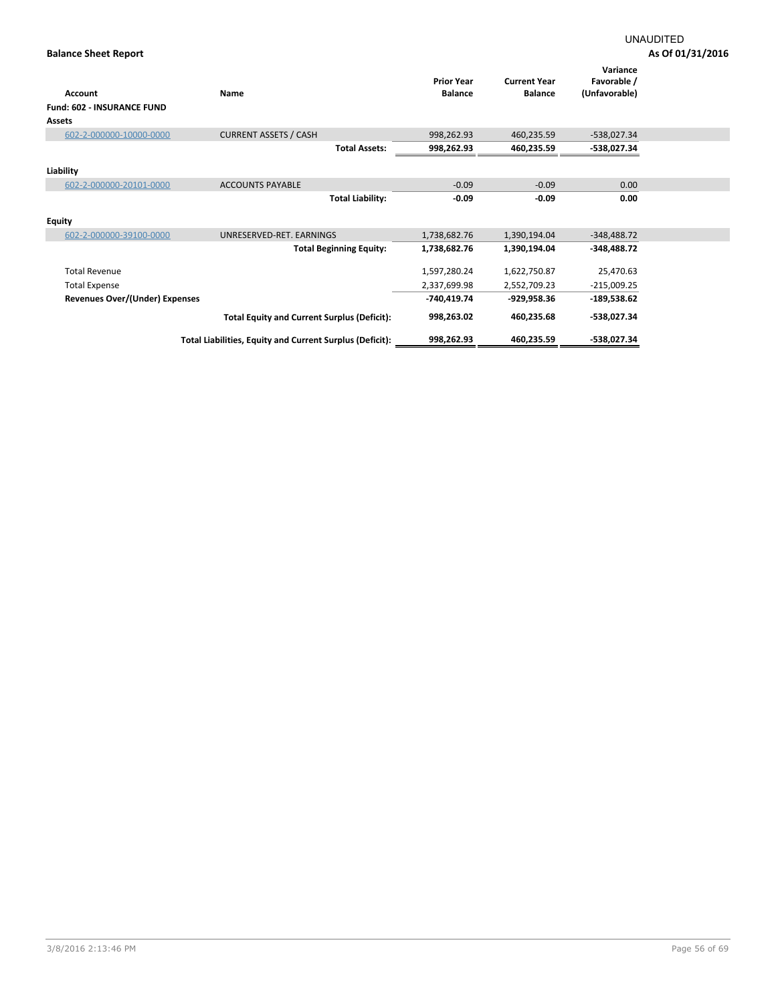| <b>Account</b>                    | Name                                                     | <b>Prior Year</b><br><b>Balance</b> | <b>Current Year</b><br><b>Balance</b> | Variance<br>Favorable /<br>(Unfavorable) |  |
|-----------------------------------|----------------------------------------------------------|-------------------------------------|---------------------------------------|------------------------------------------|--|
| <b>Fund: 602 - INSURANCE FUND</b> |                                                          |                                     |                                       |                                          |  |
| Assets                            |                                                          |                                     |                                       |                                          |  |
| 602-2-000000-10000-0000           | <b>CURRENT ASSETS / CASH</b>                             | 998,262.93                          | 460,235.59                            | $-538,027.34$                            |  |
|                                   | <b>Total Assets:</b>                                     | 998,262.93                          | 460,235.59                            | -538,027.34                              |  |
| Liability                         |                                                          |                                     |                                       |                                          |  |
| 602-2-000000-20101-0000           | <b>ACCOUNTS PAYABLE</b>                                  | $-0.09$                             | $-0.09$                               | 0.00                                     |  |
|                                   | <b>Total Liability:</b>                                  | $-0.09$                             | $-0.09$                               | 0.00                                     |  |
| <b>Equity</b>                     |                                                          |                                     |                                       |                                          |  |
| 602-2-000000-39100-0000           | UNRESERVED-RET. EARNINGS                                 | 1,738,682.76                        | 1,390,194.04                          | $-348,488.72$                            |  |
|                                   | <b>Total Beginning Equity:</b>                           | 1,738,682.76                        | 1,390,194.04                          | $-348,488.72$                            |  |
| <b>Total Revenue</b>              |                                                          | 1,597,280.24                        | 1,622,750.87                          | 25,470.63                                |  |
| <b>Total Expense</b>              |                                                          | 2,337,699.98                        | 2,552,709.23                          | $-215,009.25$                            |  |
| Revenues Over/(Under) Expenses    |                                                          | -740,419.74                         | -929,958.36                           | $-189,538.62$                            |  |
|                                   | <b>Total Equity and Current Surplus (Deficit):</b>       | 998,263.02                          | 460,235.68                            | -538,027.34                              |  |
|                                   | Total Liabilities, Equity and Current Surplus (Deficit): | 998,262.93                          | 460,235.59                            | -538,027.34                              |  |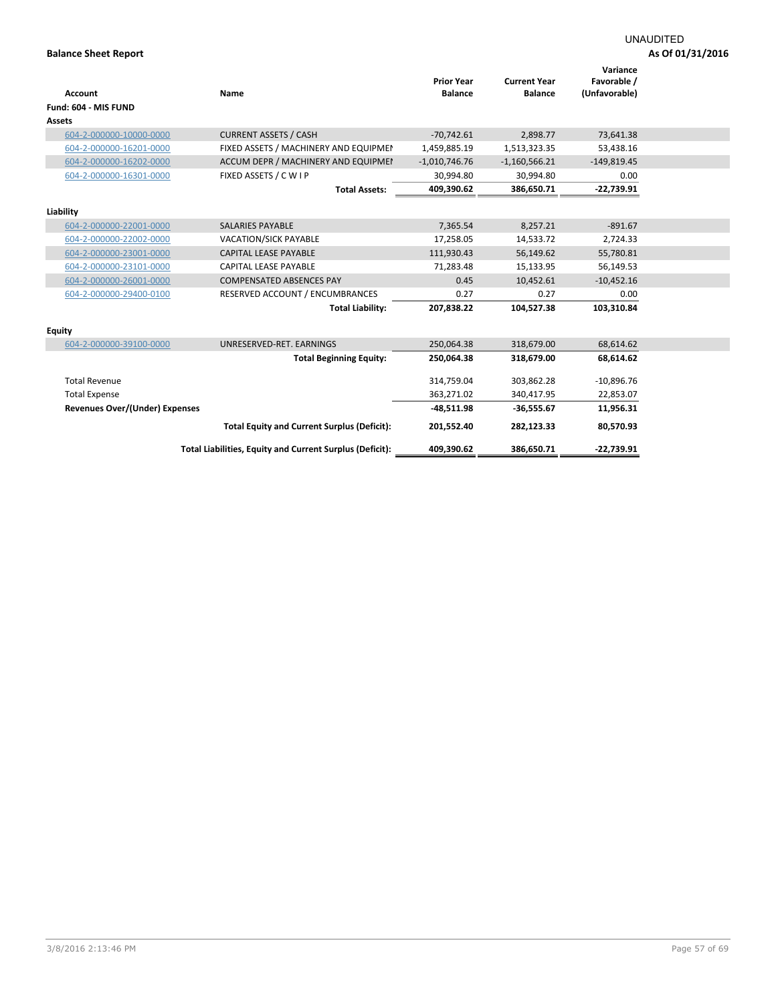|                                       |                                                          | <b>Prior Year</b> | <b>Current Year</b> | Variance<br>Favorable / |  |
|---------------------------------------|----------------------------------------------------------|-------------------|---------------------|-------------------------|--|
| <b>Account</b>                        | Name                                                     | <b>Balance</b>    | <b>Balance</b>      | (Unfavorable)           |  |
| Fund: 604 - MIS FUND                  |                                                          |                   |                     |                         |  |
| Assets                                |                                                          |                   |                     |                         |  |
| 604-2-000000-10000-0000               | <b>CURRENT ASSETS / CASH</b>                             | $-70,742.61$      | 2,898.77            | 73,641.38               |  |
| 604-2-000000-16201-0000               | FIXED ASSETS / MACHINERY AND EQUIPMEN                    | 1,459,885.19      | 1,513,323.35        | 53,438.16               |  |
| 604-2-000000-16202-0000               | ACCUM DEPR / MACHINERY AND EQUIPMEI                      | $-1,010,746.76$   | $-1,160,566.21$     | $-149,819.45$           |  |
| 604-2-000000-16301-0000               | FIXED ASSETS / C W I P                                   | 30,994.80         | 30,994.80           | 0.00                    |  |
|                                       | <b>Total Assets:</b>                                     | 409,390.62        | 386,650.71          | $-22,739.91$            |  |
| Liability                             |                                                          |                   |                     |                         |  |
| 604-2-000000-22001-0000               | <b>SALARIES PAYABLE</b>                                  | 7,365.54          | 8,257.21            | $-891.67$               |  |
| 604-2-000000-22002-0000               | <b>VACATION/SICK PAYABLE</b>                             | 17,258.05         | 14,533.72           | 2,724.33                |  |
| 604-2-000000-23001-0000               | <b>CAPITAL LEASE PAYABLE</b>                             | 111,930.43        | 56,149.62           | 55,780.81               |  |
| 604-2-000000-23101-0000               | <b>CAPITAL LEASE PAYABLE</b>                             | 71,283.48         | 15,133.95           | 56,149.53               |  |
| 604-2-000000-26001-0000               | <b>COMPENSATED ABSENCES PAY</b>                          | 0.45              | 10,452.61           | $-10,452.16$            |  |
| 604-2-000000-29400-0100               | RESERVED ACCOUNT / ENCUMBRANCES                          | 0.27              | 0.27                | 0.00                    |  |
|                                       | <b>Total Liability:</b>                                  | 207,838.22        | 104,527.38          | 103,310.84              |  |
|                                       |                                                          |                   |                     |                         |  |
| <b>Equity</b>                         |                                                          |                   |                     |                         |  |
| 604-2-000000-39100-0000               | UNRESERVED-RET. EARNINGS                                 | 250,064.38        | 318,679.00          | 68,614.62               |  |
|                                       | <b>Total Beginning Equity:</b>                           | 250,064.38        | 318,679.00          | 68,614.62               |  |
| <b>Total Revenue</b>                  |                                                          | 314,759.04        | 303,862.28          | $-10,896.76$            |  |
| <b>Total Expense</b>                  |                                                          | 363,271.02        | 340,417.95          | 22,853.07               |  |
| <b>Revenues Over/(Under) Expenses</b> |                                                          | $-48,511.98$      | $-36,555.67$        | 11,956.31               |  |
|                                       | <b>Total Equity and Current Surplus (Deficit):</b>       | 201,552.40        | 282,123.33          | 80,570.93               |  |
|                                       |                                                          |                   |                     |                         |  |
|                                       | Total Liabilities, Equity and Current Surplus (Deficit): | 409,390.62        | 386,650.71          | $-22,739.91$            |  |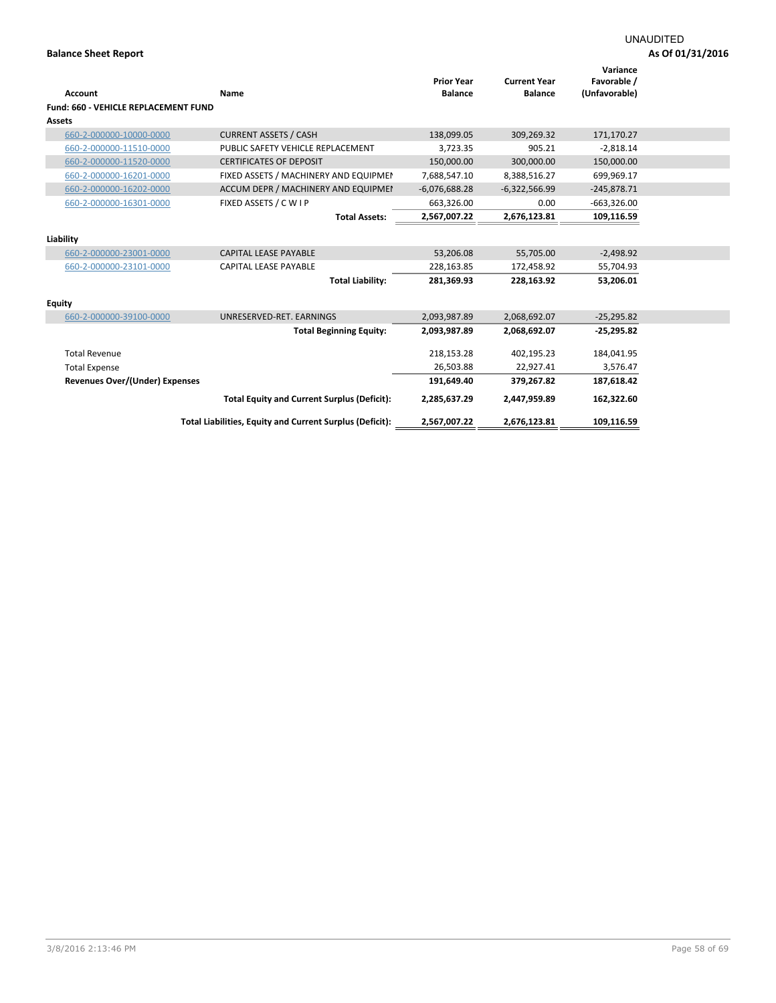|                                             |                                                          | <b>Prior Year</b> | <b>Current Year</b> | Variance<br>Favorable / |
|---------------------------------------------|----------------------------------------------------------|-------------------|---------------------|-------------------------|
| <b>Account</b>                              | Name                                                     | <b>Balance</b>    | <b>Balance</b>      | (Unfavorable)           |
| <b>Fund: 660 - VEHICLE REPLACEMENT FUND</b> |                                                          |                   |                     |                         |
| Assets                                      |                                                          |                   |                     |                         |
| 660-2-000000-10000-0000                     | <b>CURRENT ASSETS / CASH</b>                             | 138,099.05        | 309,269.32          | 171,170.27              |
| 660-2-000000-11510-0000                     | PUBLIC SAFETY VEHICLE REPLACEMENT                        | 3,723.35          | 905.21              | $-2,818.14$             |
| 660-2-000000-11520-0000                     | <b>CERTIFICATES OF DEPOSIT</b>                           | 150,000.00        | 300,000.00          | 150,000.00              |
| 660-2-000000-16201-0000                     | FIXED ASSETS / MACHINERY AND EQUIPMEN                    | 7,688,547.10      | 8,388,516.27        | 699,969.17              |
| 660-2-000000-16202-0000                     | ACCUM DEPR / MACHINERY AND EQUIPMEI                      | $-6,076,688.28$   | $-6,322,566.99$     | $-245,878.71$           |
| 660-2-000000-16301-0000                     | FIXED ASSETS / C W I P                                   | 663,326.00        | 0.00                | $-663,326.00$           |
|                                             | <b>Total Assets:</b>                                     | 2,567,007.22      | 2,676,123.81        | 109,116.59              |
| Liability                                   |                                                          |                   |                     |                         |
| 660-2-000000-23001-0000                     | <b>CAPITAL LEASE PAYABLE</b>                             | 53,206.08         | 55,705.00           | $-2,498.92$             |
| 660-2-000000-23101-0000                     | <b>CAPITAL LEASE PAYABLE</b>                             | 228,163.85        | 172,458.92          | 55,704.93               |
|                                             | <b>Total Liability:</b>                                  | 281,369.93        | 228,163.92          | 53,206.01               |
| <b>Equity</b>                               |                                                          |                   |                     |                         |
| 660-2-000000-39100-0000                     | UNRESERVED-RET, EARNINGS                                 | 2,093,987.89      | 2,068,692.07        | $-25,295.82$            |
|                                             | <b>Total Beginning Equity:</b>                           | 2,093,987.89      | 2,068,692.07        | $-25,295.82$            |
| <b>Total Revenue</b>                        |                                                          | 218,153.28        | 402,195.23          | 184,041.95              |
| <b>Total Expense</b>                        |                                                          | 26,503.88         | 22,927.41           | 3,576.47                |
| <b>Revenues Over/(Under) Expenses</b>       |                                                          | 191,649.40        | 379,267.82          | 187,618.42              |
|                                             | <b>Total Equity and Current Surplus (Deficit):</b>       | 2,285,637.29      | 2,447,959.89        | 162,322.60              |
|                                             | Total Liabilities, Equity and Current Surplus (Deficit): | 2,567,007.22      | 2,676,123.81        | 109,116.59              |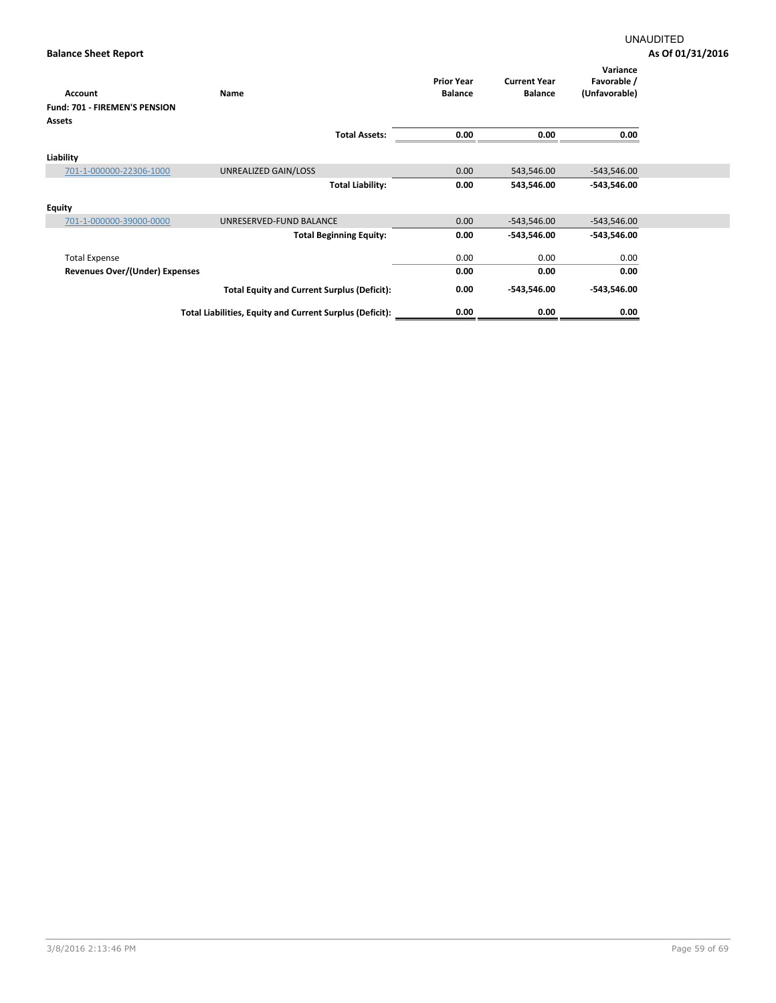|                                      |                                                          | <b>Prior Year</b> | <b>Current Year</b> | Variance<br>Favorable / |
|--------------------------------------|----------------------------------------------------------|-------------------|---------------------|-------------------------|
| <b>Account</b>                       | Name                                                     | <b>Balance</b>    | <b>Balance</b>      | (Unfavorable)           |
| <b>Fund: 701 - FIREMEN'S PENSION</b> |                                                          |                   |                     |                         |
| <b>Assets</b>                        |                                                          |                   |                     |                         |
|                                      | <b>Total Assets:</b>                                     | 0.00              | 0.00                | 0.00                    |
|                                      |                                                          |                   |                     |                         |
| Liability                            |                                                          |                   |                     |                         |
| 701-1-000000-22306-1000              | UNREALIZED GAIN/LOSS                                     | 0.00              | 543,546.00          | $-543,546.00$           |
|                                      | <b>Total Liability:</b>                                  | 0.00              | 543,546.00          | $-543,546.00$           |
| <b>Equity</b>                        |                                                          |                   |                     |                         |
| 701-1-000000-39000-0000              | UNRESERVED-FUND BALANCE                                  | 0.00              | $-543,546.00$       | $-543,546.00$           |
|                                      | <b>Total Beginning Equity:</b>                           | 0.00              | -543,546.00         | $-543,546.00$           |
| <b>Total Expense</b>                 |                                                          | 0.00              | 0.00                | 0.00                    |
| Revenues Over/(Under) Expenses       |                                                          | 0.00              | 0.00                | 0.00                    |
|                                      | <b>Total Equity and Current Surplus (Deficit):</b>       | 0.00              | -543,546.00         | $-543,546.00$           |
|                                      | Total Liabilities, Equity and Current Surplus (Deficit): | 0.00              | 0.00                | 0.00                    |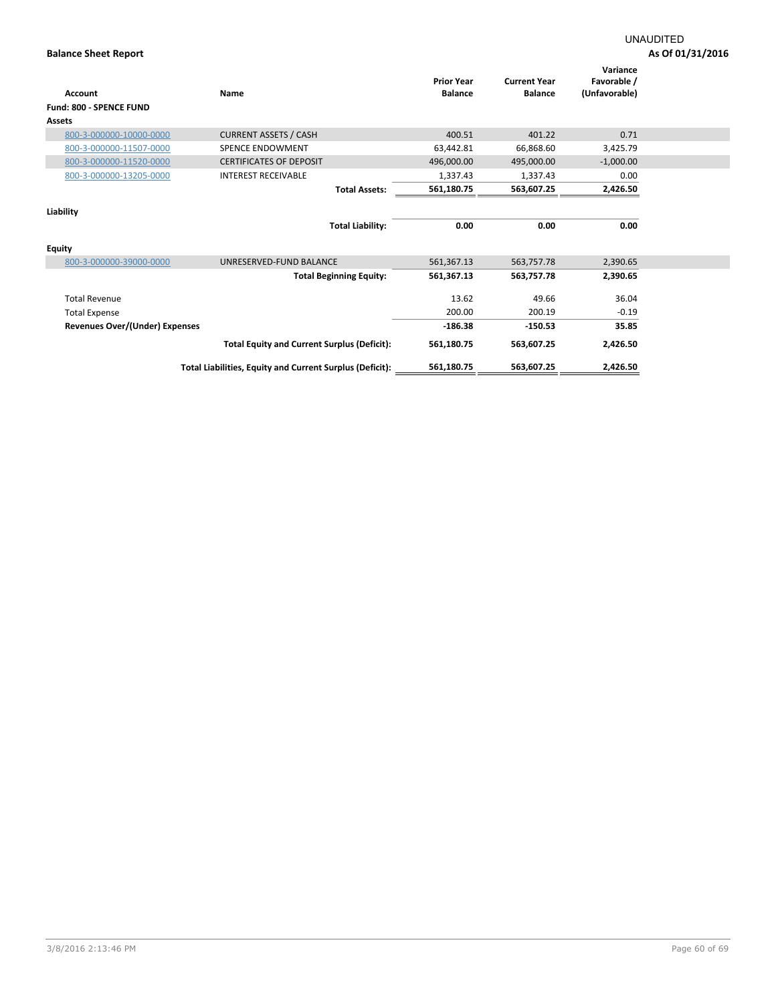| <b>Account</b>                 | Name                                                     | <b>Prior Year</b><br><b>Balance</b> | <b>Current Year</b><br><b>Balance</b> | Variance<br>Favorable /<br>(Unfavorable) |  |
|--------------------------------|----------------------------------------------------------|-------------------------------------|---------------------------------------|------------------------------------------|--|
| <b>Fund: 800 - SPENCE FUND</b> |                                                          |                                     |                                       |                                          |  |
| <b>Assets</b>                  |                                                          |                                     |                                       |                                          |  |
| 800-3-000000-10000-0000        | <b>CURRENT ASSETS / CASH</b>                             | 400.51                              | 401.22                                | 0.71                                     |  |
| 800-3-000000-11507-0000        | <b>SPENCE ENDOWMENT</b>                                  | 63,442.81                           | 66,868.60                             | 3,425.79                                 |  |
| 800-3-000000-11520-0000        | <b>CERTIFICATES OF DEPOSIT</b>                           | 496,000.00                          | 495,000.00                            | $-1,000.00$                              |  |
| 800-3-000000-13205-0000        | <b>INTEREST RECEIVABLE</b>                               | 1,337.43                            | 1,337.43                              | 0.00                                     |  |
|                                | <b>Total Assets:</b>                                     | 561,180.75                          | 563,607.25                            | 2,426.50                                 |  |
| Liability                      |                                                          |                                     |                                       |                                          |  |
|                                | <b>Total Liability:</b>                                  | 0.00                                | 0.00                                  | 0.00                                     |  |
| <b>Equity</b>                  |                                                          |                                     |                                       |                                          |  |
| 800-3-000000-39000-0000        | UNRESERVED-FUND BALANCE                                  | 561,367.13                          | 563,757.78                            | 2,390.65                                 |  |
|                                | <b>Total Beginning Equity:</b>                           | 561,367.13                          | 563,757.78                            | 2,390.65                                 |  |
| <b>Total Revenue</b>           |                                                          | 13.62                               | 49.66                                 | 36.04                                    |  |
| <b>Total Expense</b>           |                                                          | 200.00                              | 200.19                                | $-0.19$                                  |  |
| Revenues Over/(Under) Expenses |                                                          | $-186.38$                           | $-150.53$                             | 35.85                                    |  |
|                                | <b>Total Equity and Current Surplus (Deficit):</b>       | 561,180.75                          | 563,607.25                            | 2,426.50                                 |  |
|                                | Total Liabilities, Equity and Current Surplus (Deficit): | 561,180.75                          | 563,607.25                            | 2,426.50                                 |  |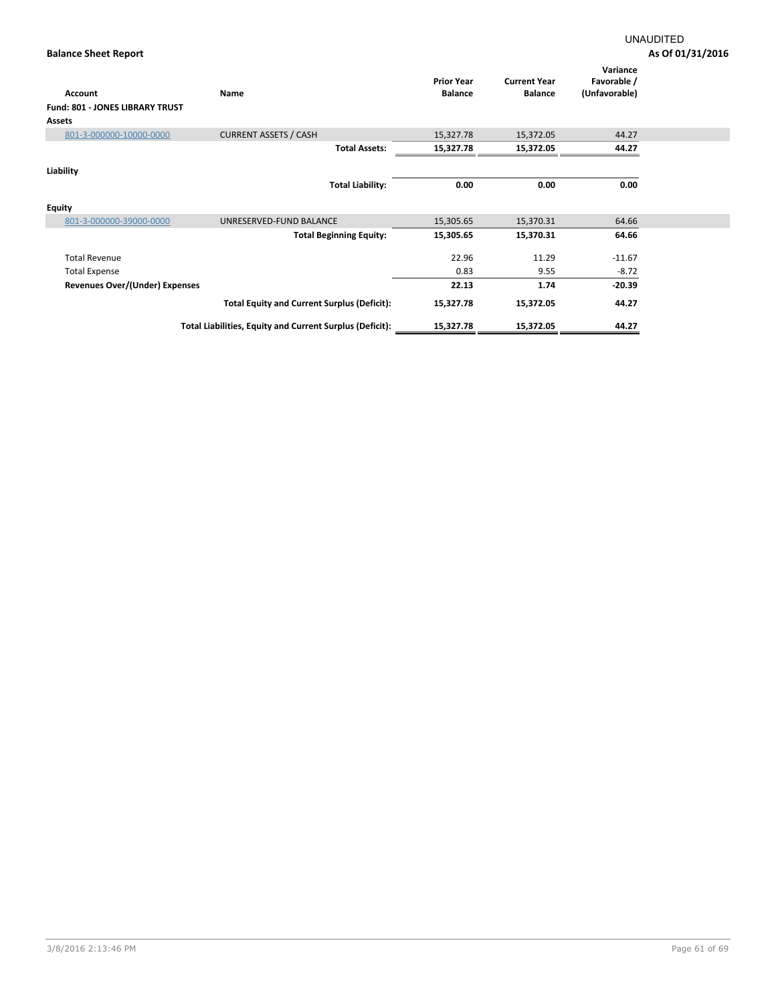| <b>Account</b>                         | Name                                                     | <b>Prior Year</b><br><b>Balance</b> | <b>Current Year</b><br><b>Balance</b> | Variance<br>Favorable /<br>(Unfavorable) |  |
|----------------------------------------|----------------------------------------------------------|-------------------------------------|---------------------------------------|------------------------------------------|--|
| <b>Fund: 801 - JONES LIBRARY TRUST</b> |                                                          |                                     |                                       |                                          |  |
| Assets                                 |                                                          |                                     |                                       |                                          |  |
| 801-3-000000-10000-0000                | <b>CURRENT ASSETS / CASH</b>                             | 15,327.78                           | 15,372.05                             | 44.27                                    |  |
|                                        | <b>Total Assets:</b>                                     | 15,327.78                           | 15,372.05                             | 44.27                                    |  |
| Liability                              |                                                          |                                     |                                       |                                          |  |
|                                        | <b>Total Liability:</b>                                  | 0.00                                | 0.00                                  | 0.00                                     |  |
| <b>Equity</b>                          |                                                          |                                     |                                       |                                          |  |
| 801-3-000000-39000-0000                | UNRESERVED-FUND BALANCE                                  | 15,305.65                           | 15,370.31                             | 64.66                                    |  |
|                                        | <b>Total Beginning Equity:</b>                           | 15,305.65                           | 15,370.31                             | 64.66                                    |  |
| <b>Total Revenue</b>                   |                                                          | 22.96                               | 11.29                                 | $-11.67$                                 |  |
| <b>Total Expense</b>                   |                                                          | 0.83                                | 9.55                                  | $-8.72$                                  |  |
| <b>Revenues Over/(Under) Expenses</b>  |                                                          | 22.13                               | 1.74                                  | $-20.39$                                 |  |
|                                        | <b>Total Equity and Current Surplus (Deficit):</b>       | 15,327.78                           | 15,372.05                             | 44.27                                    |  |
|                                        | Total Liabilities, Equity and Current Surplus (Deficit): | 15,327.78                           | 15,372.05                             | 44.27                                    |  |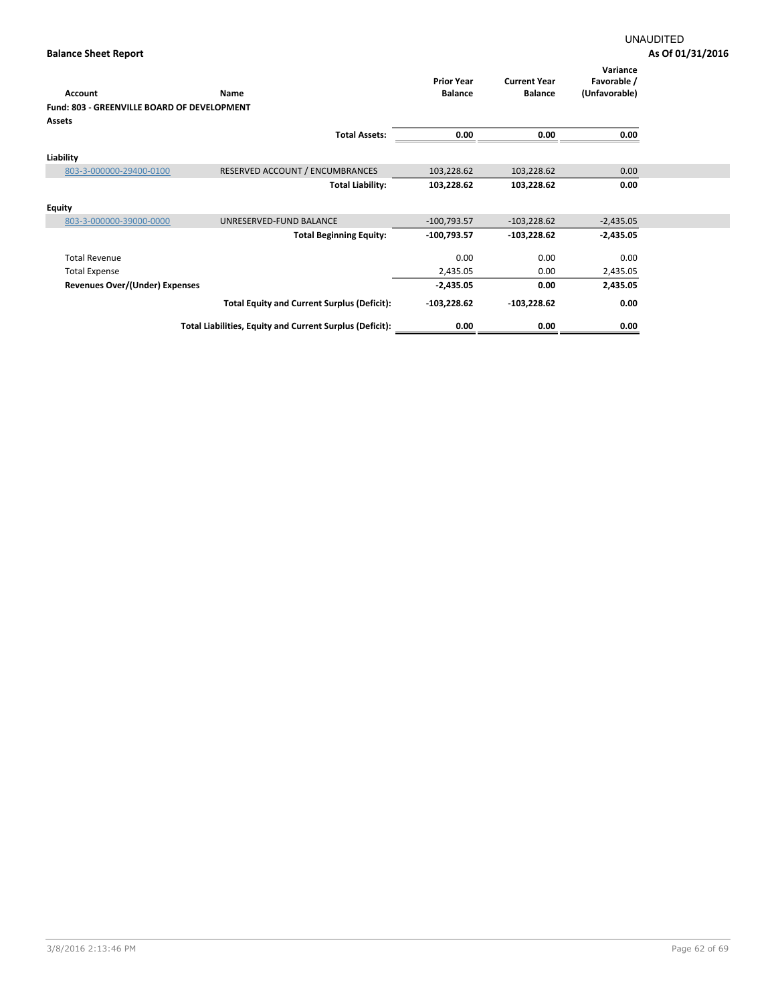|                                             |                                                          | <b>Prior Year</b> | <b>Current Year</b> | Variance<br>Favorable / |
|---------------------------------------------|----------------------------------------------------------|-------------------|---------------------|-------------------------|
| <b>Account</b>                              | Name                                                     | <b>Balance</b>    | <b>Balance</b>      | (Unfavorable)           |
| Fund: 803 - GREENVILLE BOARD OF DEVELOPMENT |                                                          |                   |                     |                         |
| <b>Assets</b>                               |                                                          |                   |                     |                         |
|                                             | <b>Total Assets:</b>                                     | 0.00              | 0.00                | 0.00                    |
| Liability                                   |                                                          |                   |                     |                         |
|                                             |                                                          |                   |                     |                         |
| 803-3-000000-29400-0100                     | RESERVED ACCOUNT / ENCUMBRANCES                          | 103,228.62        | 103,228.62          | 0.00                    |
|                                             | <b>Total Liability:</b>                                  | 103,228.62        | 103,228.62          | 0.00                    |
| <b>Equity</b>                               |                                                          |                   |                     |                         |
| 803-3-000000-39000-0000                     | UNRESERVED-FUND BALANCE                                  | $-100,793.57$     | $-103,228.62$       | $-2,435.05$             |
|                                             | <b>Total Beginning Equity:</b>                           | $-100,793.57$     | $-103,228.62$       | $-2,435.05$             |
| <b>Total Revenue</b>                        |                                                          | 0.00              | 0.00                | 0.00                    |
| <b>Total Expense</b>                        |                                                          | 2,435.05          | 0.00                | 2,435.05                |
| Revenues Over/(Under) Expenses              |                                                          | $-2,435.05$       | 0.00                | 2,435.05                |
|                                             | <b>Total Equity and Current Surplus (Deficit):</b>       | $-103,228.62$     | $-103,228.62$       | 0.00                    |
|                                             | Total Liabilities, Equity and Current Surplus (Deficit): | 0.00              | 0.00                | 0.00                    |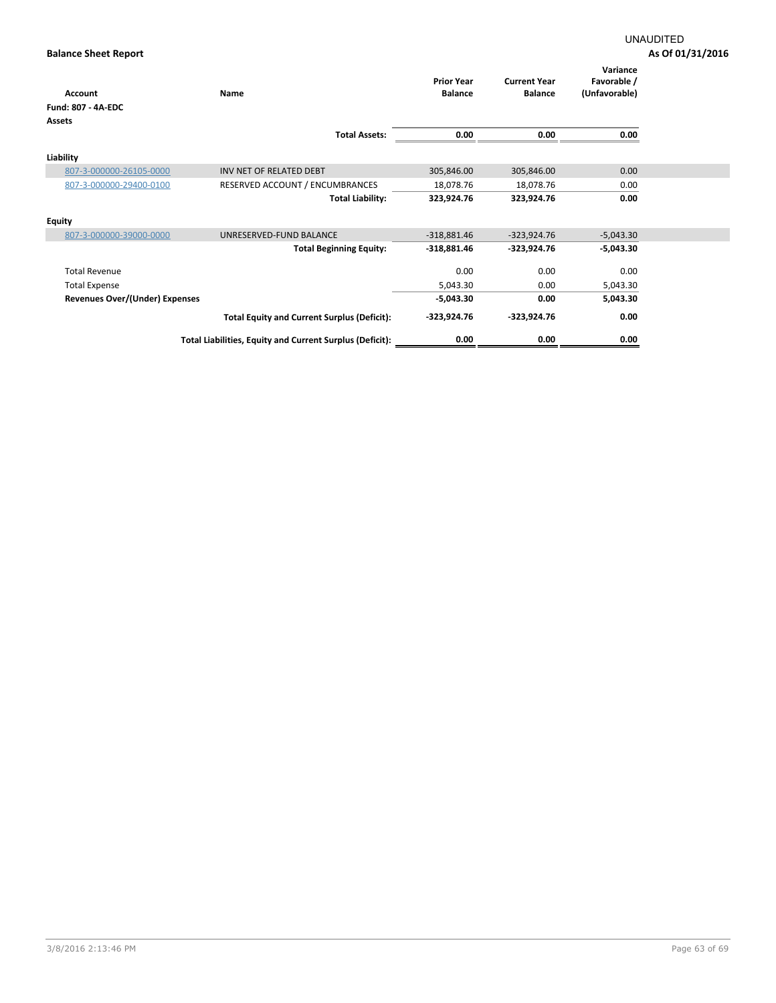| <b>Account</b>                 | Name                                                     | <b>Prior Year</b><br><b>Balance</b> | <b>Current Year</b><br><b>Balance</b> | Variance<br>Favorable /<br>(Unfavorable) |
|--------------------------------|----------------------------------------------------------|-------------------------------------|---------------------------------------|------------------------------------------|
| <b>Fund: 807 - 4A-EDC</b>      |                                                          |                                     |                                       |                                          |
| <b>Assets</b>                  |                                                          |                                     |                                       |                                          |
|                                | <b>Total Assets:</b>                                     | 0.00                                | 0.00                                  | 0.00                                     |
| Liability                      |                                                          |                                     |                                       |                                          |
| 807-3-000000-26105-0000        | INV NET OF RELATED DEBT                                  | 305,846.00                          | 305,846.00                            | 0.00                                     |
| 807-3-000000-29400-0100        | RESERVED ACCOUNT / ENCUMBRANCES                          | 18,078.76                           | 18,078.76                             | 0.00                                     |
|                                | <b>Total Liability:</b>                                  | 323,924.76                          | 323,924.76                            | 0.00                                     |
| <b>Equity</b>                  |                                                          |                                     |                                       |                                          |
| 807-3-000000-39000-0000        | UNRESERVED-FUND BALANCE                                  | $-318,881.46$                       | $-323,924.76$                         | $-5,043.30$                              |
|                                | <b>Total Beginning Equity:</b>                           | $-318,881.46$                       | $-323,924.76$                         | $-5,043.30$                              |
| <b>Total Revenue</b>           |                                                          | 0.00                                | 0.00                                  | 0.00                                     |
| <b>Total Expense</b>           |                                                          | 5,043.30                            | 0.00                                  | 5,043.30                                 |
| Revenues Over/(Under) Expenses |                                                          | $-5,043.30$                         | 0.00                                  | 5,043.30                                 |
|                                | <b>Total Equity and Current Surplus (Deficit):</b>       | -323,924.76                         | $-323,924.76$                         | 0.00                                     |
|                                | Total Liabilities, Equity and Current Surplus (Deficit): | 0.00                                | 0.00                                  | 0.00                                     |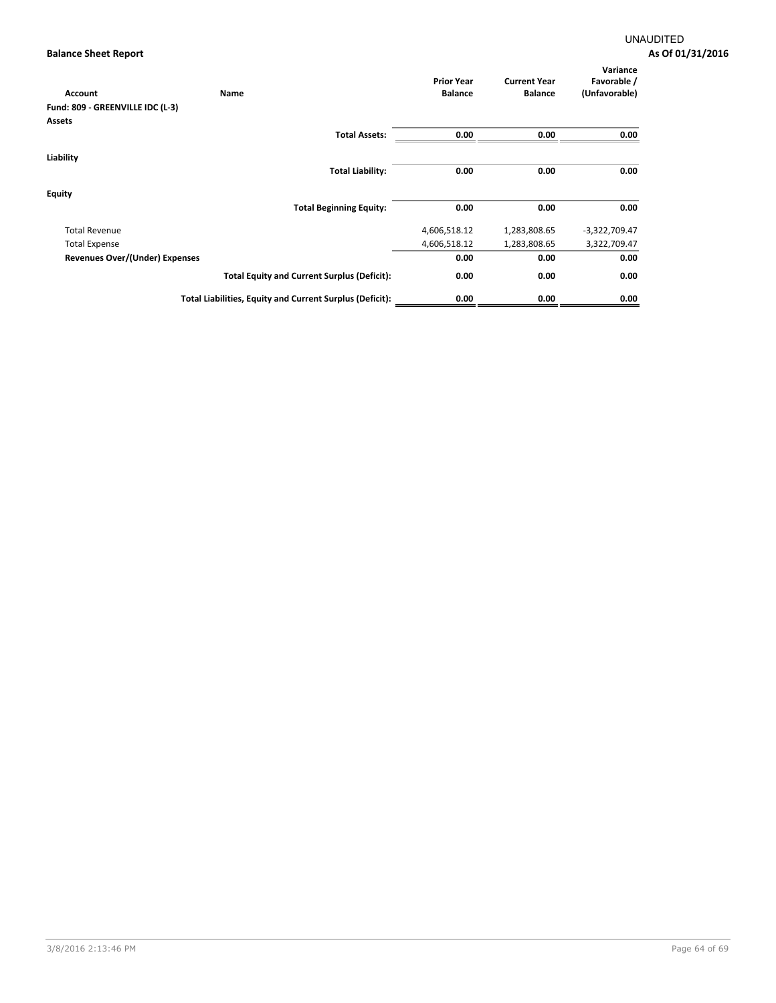| Account                          | Name                                                     | <b>Prior Year</b><br><b>Balance</b> | <b>Current Year</b><br><b>Balance</b> | Variance<br>Favorable /<br>(Unfavorable) |
|----------------------------------|----------------------------------------------------------|-------------------------------------|---------------------------------------|------------------------------------------|
| Fund: 809 - GREENVILLE IDC (L-3) |                                                          |                                     |                                       |                                          |
| Assets                           |                                                          |                                     |                                       |                                          |
|                                  | <b>Total Assets:</b>                                     | 0.00                                | 0.00                                  | 0.00                                     |
| Liability                        |                                                          |                                     |                                       |                                          |
|                                  | <b>Total Liability:</b>                                  | 0.00                                | 0.00                                  | 0.00                                     |
| <b>Equity</b>                    |                                                          |                                     |                                       |                                          |
|                                  | <b>Total Beginning Equity:</b>                           | 0.00                                | 0.00                                  | 0.00                                     |
| <b>Total Revenue</b>             |                                                          | 4,606,518.12                        | 1,283,808.65                          | $-3,322,709.47$                          |
| <b>Total Expense</b>             |                                                          | 4,606,518.12                        | 1,283,808.65                          | 3,322,709.47                             |
| Revenues Over/(Under) Expenses   |                                                          | 0.00                                | 0.00                                  | 0.00                                     |
|                                  | <b>Total Equity and Current Surplus (Deficit):</b>       | 0.00                                | 0.00                                  | 0.00                                     |
|                                  | Total Liabilities, Equity and Current Surplus (Deficit): | 0.00                                | 0.00                                  | 0.00                                     |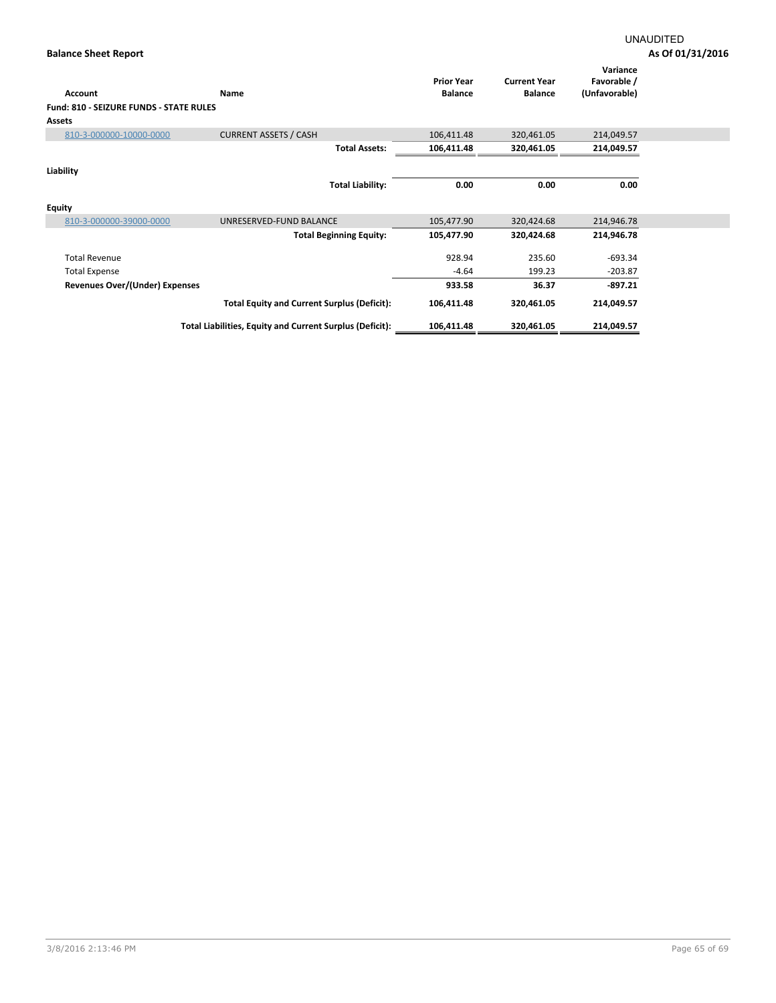| Account                                        | Name                                                     | <b>Prior Year</b><br><b>Balance</b> | <b>Current Year</b><br><b>Balance</b> | Variance<br>Favorable /<br>(Unfavorable) |  |
|------------------------------------------------|----------------------------------------------------------|-------------------------------------|---------------------------------------|------------------------------------------|--|
| <b>Fund: 810 - SEIZURE FUNDS - STATE RULES</b> |                                                          |                                     |                                       |                                          |  |
| <b>Assets</b>                                  |                                                          |                                     |                                       |                                          |  |
| 810-3-000000-10000-0000                        | <b>CURRENT ASSETS / CASH</b>                             | 106,411.48                          | 320,461.05                            | 214,049.57                               |  |
|                                                | <b>Total Assets:</b>                                     | 106,411.48                          | 320,461.05                            | 214,049.57                               |  |
| Liability                                      |                                                          |                                     |                                       |                                          |  |
|                                                | <b>Total Liability:</b>                                  | 0.00                                | 0.00                                  | 0.00                                     |  |
| <b>Equity</b>                                  |                                                          |                                     |                                       |                                          |  |
| 810-3-000000-39000-0000                        | UNRESERVED-FUND BALANCE                                  | 105,477.90                          | 320,424.68                            | 214,946.78                               |  |
|                                                | <b>Total Beginning Equity:</b>                           | 105,477.90                          | 320,424.68                            | 214,946.78                               |  |
| <b>Total Revenue</b>                           |                                                          | 928.94                              | 235.60                                | $-693.34$                                |  |
| <b>Total Expense</b>                           |                                                          | $-4.64$                             | 199.23                                | $-203.87$                                |  |
| Revenues Over/(Under) Expenses                 |                                                          | 933.58                              | 36.37                                 | $-897.21$                                |  |
|                                                | <b>Total Equity and Current Surplus (Deficit):</b>       | 106,411.48                          | 320,461.05                            | 214,049.57                               |  |
|                                                | Total Liabilities, Equity and Current Surplus (Deficit): | 106,411.48                          | 320,461.05                            | 214,049.57                               |  |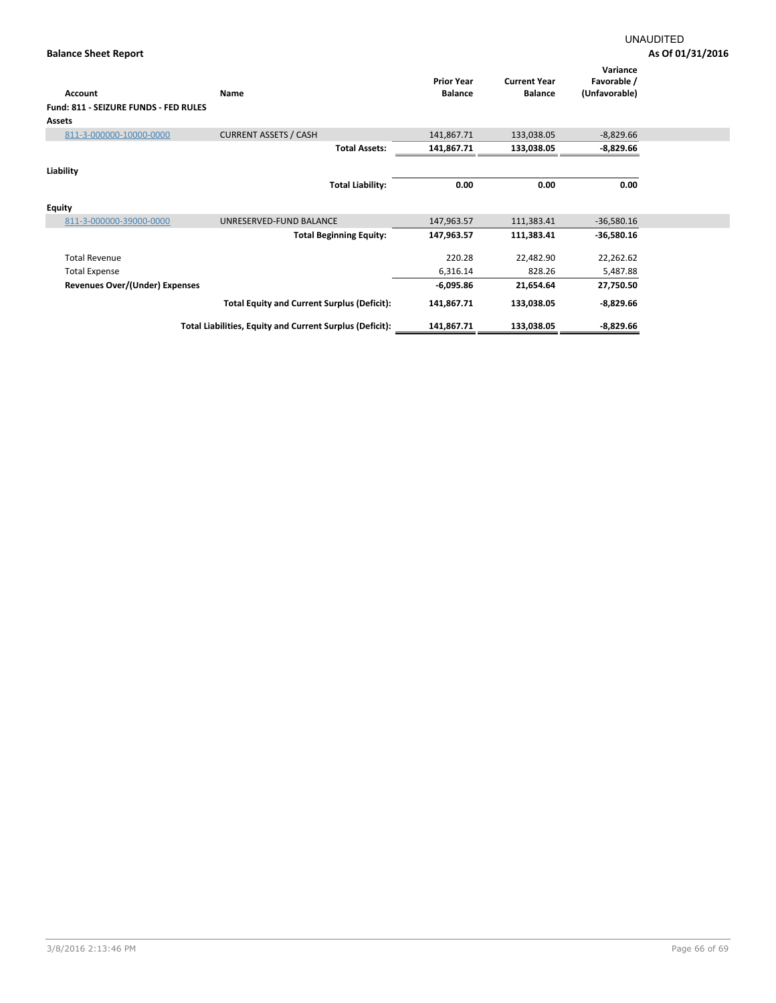| <b>Account</b><br>Fund: 811 - SEIZURE FUNDS - FED RULES<br><b>Assets</b> | Name                                                     | <b>Prior Year</b><br><b>Balance</b> | <b>Current Year</b><br><b>Balance</b> | Variance<br>Favorable /<br>(Unfavorable) |  |
|--------------------------------------------------------------------------|----------------------------------------------------------|-------------------------------------|---------------------------------------|------------------------------------------|--|
| 811-3-000000-10000-0000                                                  | <b>CURRENT ASSETS / CASH</b>                             | 141,867.71                          | 133,038.05                            | $-8,829.66$                              |  |
|                                                                          | <b>Total Assets:</b>                                     | 141,867.71                          | 133,038.05                            | $-8,829.66$                              |  |
| Liability                                                                | <b>Total Liability:</b>                                  | 0.00                                | 0.00                                  | 0.00                                     |  |
| <b>Equity</b>                                                            |                                                          |                                     |                                       |                                          |  |
| 811-3-000000-39000-0000                                                  | UNRESERVED-FUND BALANCE                                  | 147,963.57                          | 111,383.41                            | $-36,580.16$                             |  |
|                                                                          | <b>Total Beginning Equity:</b>                           | 147,963.57                          | 111,383.41                            | $-36,580.16$                             |  |
| <b>Total Revenue</b>                                                     |                                                          | 220.28                              | 22,482.90                             | 22,262.62                                |  |
| <b>Total Expense</b>                                                     |                                                          | 6,316.14                            | 828.26                                | 5,487.88                                 |  |
| Revenues Over/(Under) Expenses                                           |                                                          | $-6,095.86$                         | 21,654.64                             | 27,750.50                                |  |
|                                                                          | <b>Total Equity and Current Surplus (Deficit):</b>       | 141,867.71                          | 133,038.05                            | $-8,829.66$                              |  |
|                                                                          | Total Liabilities, Equity and Current Surplus (Deficit): | 141,867.71                          | 133,038.05                            | $-8,829.66$                              |  |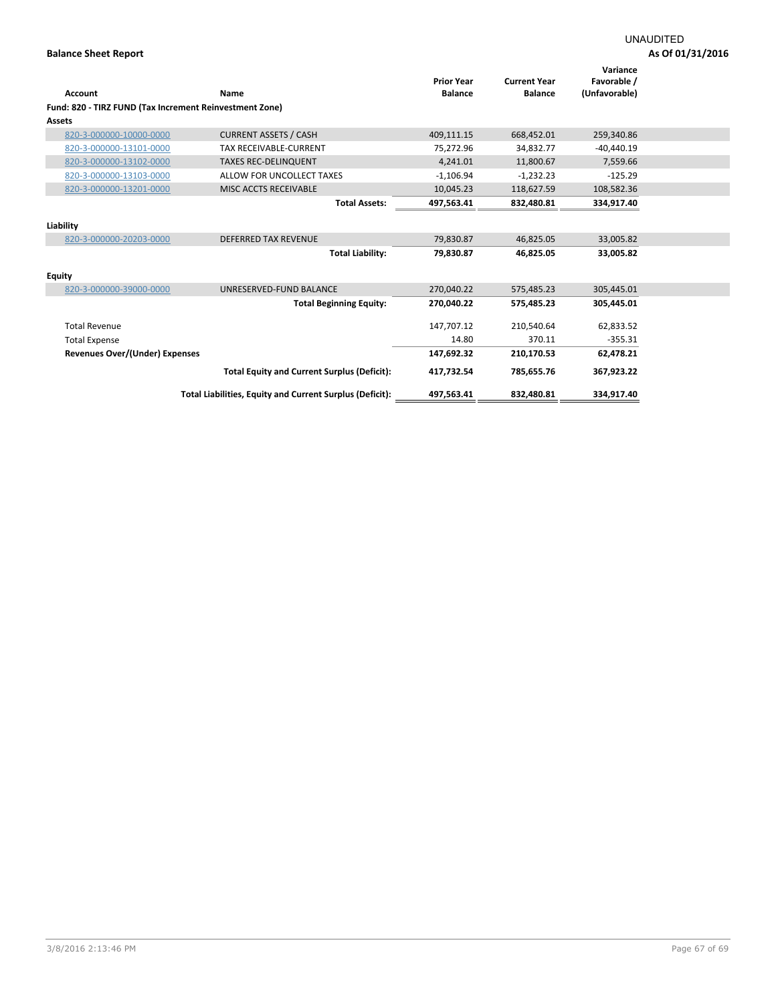|                                                         |                                                          | <b>Prior Year</b> | <b>Current Year</b> | Variance<br>Favorable / |  |
|---------------------------------------------------------|----------------------------------------------------------|-------------------|---------------------|-------------------------|--|
| <b>Account</b>                                          | Name                                                     | <b>Balance</b>    | <b>Balance</b>      | (Unfavorable)           |  |
| Fund: 820 - TIRZ FUND (Tax Increment Reinvestment Zone) |                                                          |                   |                     |                         |  |
| Assets                                                  |                                                          |                   |                     |                         |  |
| 820-3-000000-10000-0000                                 | <b>CURRENT ASSETS / CASH</b>                             | 409,111.15        | 668,452.01          | 259,340.86              |  |
| 820-3-000000-13101-0000                                 | TAX RECEIVABLE-CURRENT                                   | 75,272.96         | 34,832.77           | $-40,440.19$            |  |
| 820-3-000000-13102-0000                                 | <b>TAXES REC-DELINQUENT</b>                              | 4,241.01          | 11,800.67           | 7,559.66                |  |
| 820-3-000000-13103-0000                                 | ALLOW FOR UNCOLLECT TAXES                                | $-1,106.94$       | $-1,232.23$         | $-125.29$               |  |
| 820-3-000000-13201-0000                                 | <b>MISC ACCTS RECEIVABLE</b>                             | 10,045.23         | 118,627.59          | 108,582.36              |  |
|                                                         | <b>Total Assets:</b>                                     | 497.563.41        | 832,480.81          | 334,917.40              |  |
| Liability                                               |                                                          |                   |                     |                         |  |
| 820-3-000000-20203-0000                                 | <b>DEFERRED TAX REVENUE</b>                              | 79,830.87         | 46,825.05           | 33,005.82               |  |
|                                                         | <b>Total Liability:</b>                                  | 79,830.87         | 46,825.05           | 33,005.82               |  |
| <b>Equity</b>                                           |                                                          |                   |                     |                         |  |
| 820-3-000000-39000-0000                                 | UNRESERVED-FUND BALANCE                                  | 270,040.22        | 575,485.23          | 305,445.01              |  |
|                                                         | <b>Total Beginning Equity:</b>                           | 270,040.22        | 575,485.23          | 305.445.01              |  |
| <b>Total Revenue</b>                                    |                                                          | 147,707.12        | 210,540.64          | 62,833.52               |  |
| <b>Total Expense</b>                                    |                                                          | 14.80             | 370.11              | $-355.31$               |  |
|                                                         |                                                          |                   |                     |                         |  |
| Revenues Over/(Under) Expenses                          |                                                          | 147,692.32        | 210,170.53          | 62,478.21               |  |
|                                                         | <b>Total Equity and Current Surplus (Deficit):</b>       | 417,732.54        | 785,655.76          | 367,923.22              |  |
|                                                         | Total Liabilities, Equity and Current Surplus (Deficit): | 497,563.41        | 832,480.81          | 334,917.40              |  |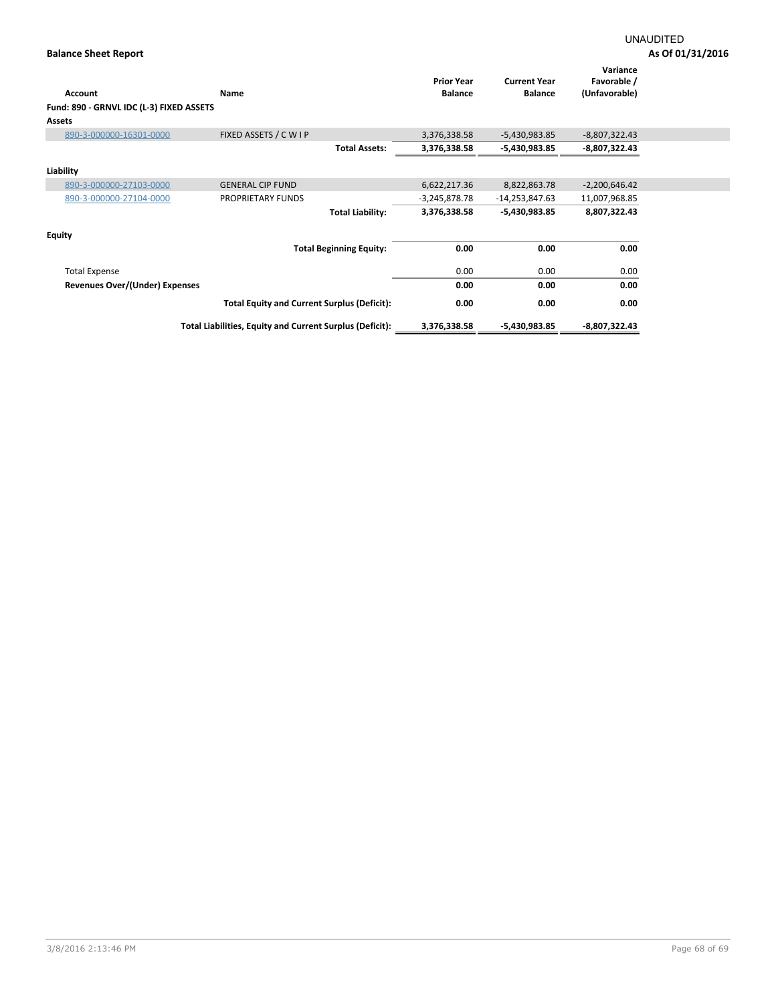| Account<br>Fund: 890 - GRNVL IDC (L-3) FIXED ASSETS | Name                                                     | <b>Prior Year</b><br><b>Balance</b> | <b>Current Year</b><br><b>Balance</b> | Variance<br>Favorable /<br>(Unfavorable) |
|-----------------------------------------------------|----------------------------------------------------------|-------------------------------------|---------------------------------------|------------------------------------------|
| <b>Assets</b>                                       |                                                          |                                     |                                       |                                          |
| 890-3-000000-16301-0000                             | FIXED ASSETS / C W I P                                   | 3,376,338.58                        | $-5,430,983.85$                       | $-8,807,322.43$                          |
|                                                     | <b>Total Assets:</b>                                     | 3,376,338.58                        | $-5,430,983.85$                       | $-8,807,322.43$                          |
| Liability                                           |                                                          |                                     |                                       |                                          |
| 890-3-000000-27103-0000                             | <b>GENERAL CIP FUND</b>                                  | 6,622,217.36                        | 8,822,863.78                          | $-2,200,646.42$                          |
| 890-3-000000-27104-0000                             | PROPRIETARY FUNDS                                        | $-3,245,878.78$                     | -14,253,847.63                        | 11,007,968.85                            |
|                                                     | <b>Total Liability:</b>                                  | 3,376,338.58                        | $-5,430,983.85$                       | 8,807,322.43                             |
| <b>Equity</b>                                       |                                                          |                                     |                                       |                                          |
|                                                     | <b>Total Beginning Equity:</b>                           | 0.00                                | 0.00                                  | 0.00                                     |
| <b>Total Expense</b>                                |                                                          | 0.00                                | 0.00                                  | 0.00                                     |
| <b>Revenues Over/(Under) Expenses</b>               |                                                          | 0.00                                | 0.00                                  | 0.00                                     |
|                                                     | <b>Total Equity and Current Surplus (Deficit):</b>       | 0.00                                | 0.00                                  | 0.00                                     |
|                                                     | Total Liabilities, Equity and Current Surplus (Deficit): | 3,376,338.58                        | $-5,430,983.85$                       | -8,807,322.43                            |